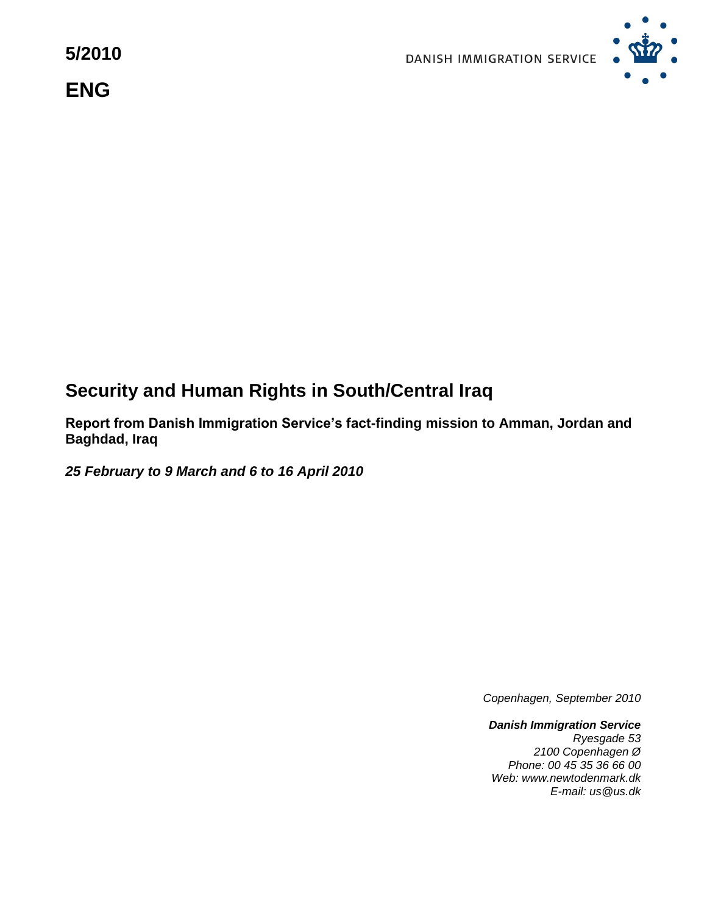**5/2010 ENG**



# **Security and Human Rights in South/Central Iraq**

**Report from Danish Immigration Service's fact-finding mission to Amman, Jordan and Baghdad, Iraq**

*25 February to 9 March and 6 to 16 April 2010*

*Copenhagen, September 2010*

*Danish Immigration Service Ryesgade 53 2100 Copenhagen Ø Phone: 00 45 35 36 66 00 Web: www.newtodenmark.dk E-mail: us@us.dk*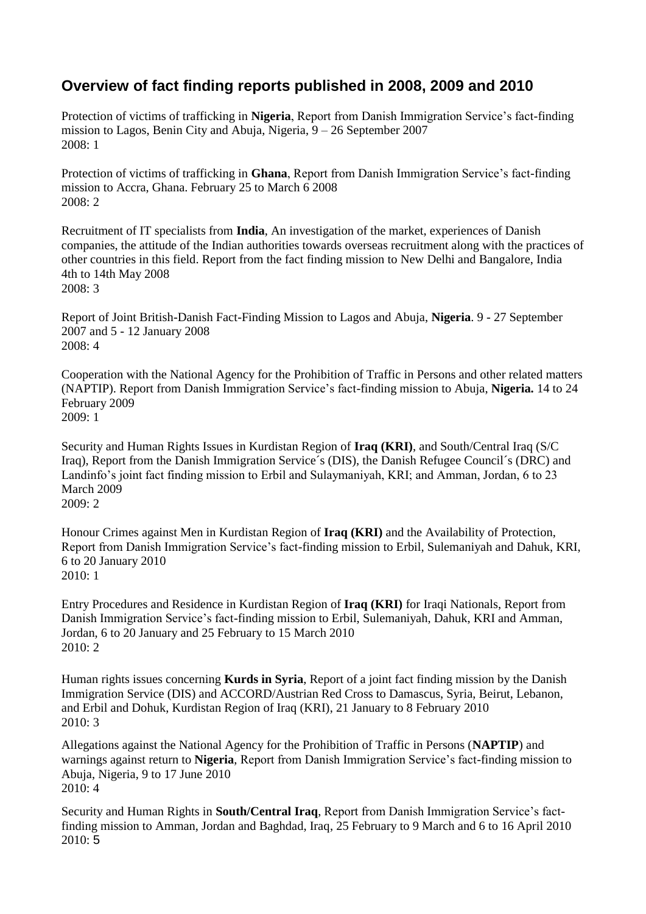## **Overview of fact finding reports published in 2008, 2009 and 2010**

Protection of victims of trafficking in **Nigeria**, Report from Danish Immigration Service's fact-finding mission to Lagos, Benin City and Abuja, Nigeria, 9 – 26 September 2007 2008: 1

Protection of victims of trafficking in **Ghana**, Report from Danish Immigration Service's fact-finding mission to Accra, Ghana. February 25 to March 6 2008  $2008 \cdot 2$ 

Recruitment of IT specialists from **India**, An investigation of the market, experiences of Danish companies, the attitude of the Indian authorities towards overseas recruitment along with the practices of other countries in this field. Report from the fact finding mission to New Delhi and Bangalore, India 4th to 14th May 2008 2008: 3

Report of Joint British-Danish Fact-Finding Mission to Lagos and Abuja, **Nigeria**. 9 - 27 September 2007 and 5 - 12 January 2008 2008: 4

Cooperation with the National Agency for the Prohibition of Traffic in Persons and other related matters (NAPTIP). Report from Danish Immigration Service's fact-finding mission to Abuja, **Nigeria.** 14 to 24 February 2009 2009: 1

Security and Human Rights Issues in Kurdistan Region of **Iraq (KRI)**, and South/Central Iraq (S/C Iraq), Report from the Danish Immigration Service´s (DIS), the Danish Refugee Council´s (DRC) and Landinfo's joint fact finding mission to Erbil and Sulaymaniyah, KRI; and Amman, Jordan, 6 to 23 March 2009 2009: 2

Honour Crimes against Men in Kurdistan Region of **Iraq (KRI)** and the Availability of Protection, Report from Danish Immigration Service's fact-finding mission to Erbil, Sulemaniyah and Dahuk, KRI, 6 to 20 January 2010 2010: 1

Entry Procedures and Residence in Kurdistan Region of **Iraq (KRI)** for Iraqi Nationals, Report from Danish Immigration Service's fact-finding mission to Erbil, Sulemaniyah, Dahuk, KRI and Amman, Jordan, 6 to 20 January and 25 February to 15 March 2010 2010: 2

Human rights issues concerning **Kurds in Syria**, Report of a joint fact finding mission by the Danish Immigration Service (DIS) and ACCORD/Austrian Red Cross to Damascus, Syria, Beirut, Lebanon, and Erbil and Dohuk, Kurdistan Region of Iraq (KRI), 21 January to 8 February 2010 2010: 3

Allegations against the National Agency for the Prohibition of Traffic in Persons (**NAPTIP**) and warnings against return to **Nigeria**, Report from Danish Immigration Service's fact-finding mission to Abuja, Nigeria, 9 to 17 June 2010 2010: 4

Security and Human Rights in **South/Central Iraq**, Report from Danish Immigration Service's factfinding mission to Amman, Jordan and Baghdad, Iraq, 25 February to 9 March and 6 to 16 April 2010 2010: 5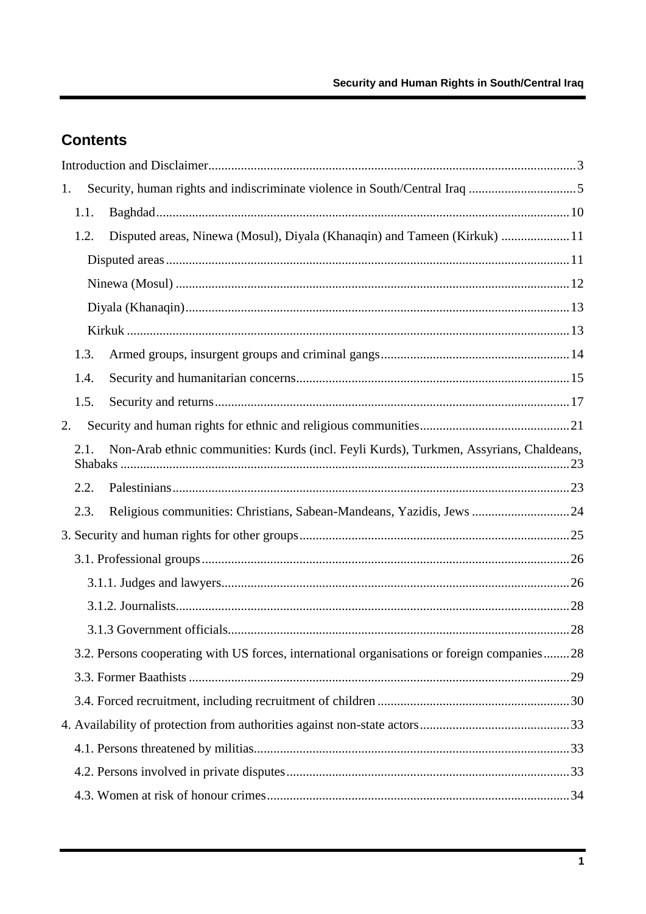# **Contents**

| 1.                                                                                          |                                                                                        |  |  |
|---------------------------------------------------------------------------------------------|----------------------------------------------------------------------------------------|--|--|
| 1.1.                                                                                        |                                                                                        |  |  |
| 1.2.                                                                                        | Disputed areas, Ninewa (Mosul), Diyala (Khanaqin) and Tameen (Kirkuk)  11              |  |  |
|                                                                                             |                                                                                        |  |  |
|                                                                                             |                                                                                        |  |  |
|                                                                                             |                                                                                        |  |  |
|                                                                                             |                                                                                        |  |  |
| 1.3.                                                                                        |                                                                                        |  |  |
| 1.4.                                                                                        |                                                                                        |  |  |
| 1.5.                                                                                        |                                                                                        |  |  |
| 2.                                                                                          |                                                                                        |  |  |
| 2.1.                                                                                        | Non-Arab ethnic communities: Kurds (incl. Feyli Kurds), Turkmen, Assyrians, Chaldeans, |  |  |
| 2.2.                                                                                        |                                                                                        |  |  |
| 2.3.                                                                                        | Religious communities: Christians, Sabean-Mandeans, Yazidis, Jews  24                  |  |  |
|                                                                                             |                                                                                        |  |  |
|                                                                                             |                                                                                        |  |  |
|                                                                                             |                                                                                        |  |  |
|                                                                                             |                                                                                        |  |  |
|                                                                                             |                                                                                        |  |  |
| 3.2. Persons cooperating with US forces, international organisations or foreign companies28 |                                                                                        |  |  |
|                                                                                             |                                                                                        |  |  |
|                                                                                             |                                                                                        |  |  |
|                                                                                             |                                                                                        |  |  |
|                                                                                             |                                                                                        |  |  |
|                                                                                             |                                                                                        |  |  |
|                                                                                             |                                                                                        |  |  |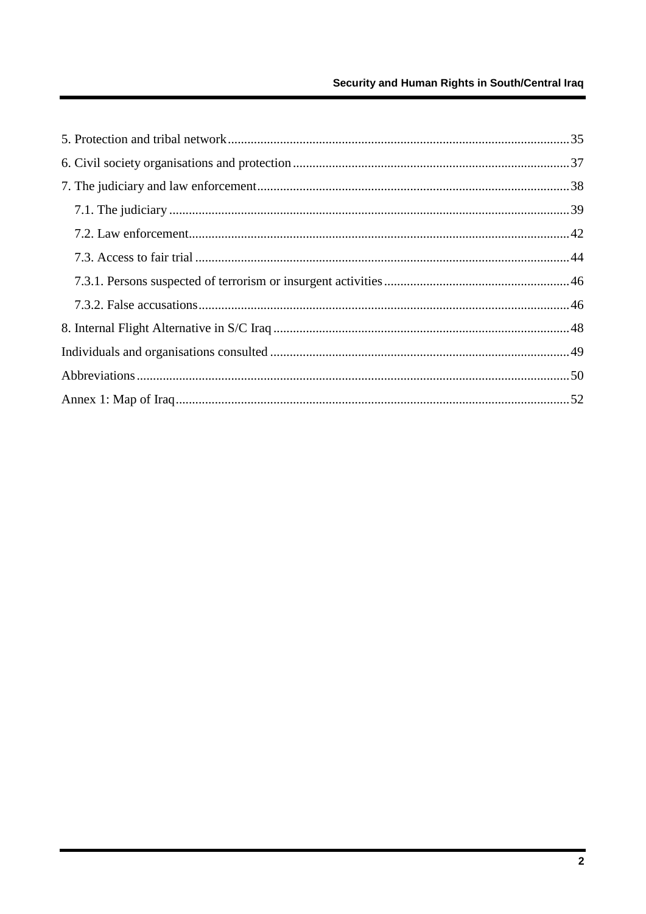### Security and Human Rights in South/Central Iraq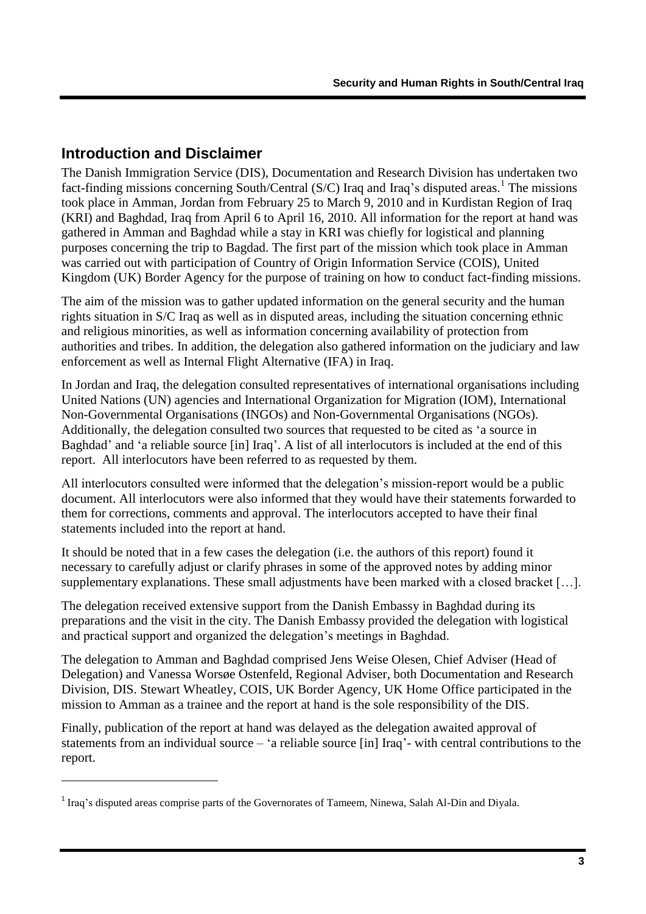## <span id="page-4-0"></span>**Introduction and Disclaimer**

1

The Danish Immigration Service (DIS), Documentation and Research Division has undertaken two fact-finding missions concerning South/Central (S/C) Iraq and Iraq's disputed areas.<sup>1</sup> The missions took place in Amman, Jordan from February 25 to March 9, 2010 and in Kurdistan Region of Iraq (KRI) and Baghdad, Iraq from April 6 to April 16, 2010. All information for the report at hand was gathered in Amman and Baghdad while a stay in KRI was chiefly for logistical and planning purposes concerning the trip to Bagdad. The first part of the mission which took place in Amman was carried out with participation of Country of Origin Information Service (COIS), United Kingdom (UK) Border Agency for the purpose of training on how to conduct fact-finding missions.

The aim of the mission was to gather updated information on the general security and the human rights situation in S/C Iraq as well as in disputed areas, including the situation concerning ethnic and religious minorities, as well as information concerning availability of protection from authorities and tribes. In addition, the delegation also gathered information on the judiciary and law enforcement as well as Internal Flight Alternative (IFA) in Iraq.

In Jordan and Iraq, the delegation consulted representatives of international organisations including United Nations (UN) agencies and International Organization for Migration (IOM), International Non-Governmental Organisations (INGOs) and Non-Governmental Organisations (NGOs). Additionally, the delegation consulted two sources that requested to be cited as "a source in Baghdad' and 'a reliable source [in] Iraq'. A list of all interlocutors is included at the end of this report. All interlocutors have been referred to as requested by them.

All interlocutors consulted were informed that the delegation"s mission-report would be a public document. All interlocutors were also informed that they would have their statements forwarded to them for corrections, comments and approval. The interlocutors accepted to have their final statements included into the report at hand.

It should be noted that in a few cases the delegation (i.e. the authors of this report) found it necessary to carefully adjust or clarify phrases in some of the approved notes by adding minor supplementary explanations. These small adjustments have been marked with a closed bracket […].

The delegation received extensive support from the Danish Embassy in Baghdad during its preparations and the visit in the city. The Danish Embassy provided the delegation with logistical and practical support and organized the delegation"s meetings in Baghdad.

The delegation to Amman and Baghdad comprised Jens Weise Olesen, Chief Adviser (Head of Delegation) and Vanessa Worsøe Ostenfeld, Regional Adviser, both Documentation and Research Division, DIS. Stewart Wheatley, COIS, UK Border Agency, UK Home Office participated in the mission to Amman as a trainee and the report at hand is the sole responsibility of the DIS.

Finally, publication of the report at hand was delayed as the delegation awaited approval of statements from an individual source – "a reliable source [in] Iraq"- with central contributions to the report.

<sup>&</sup>lt;sup>1</sup> Iraq's disputed areas comprise parts of the Governorates of Tameem, Ninewa, Salah Al-Din and Diyala.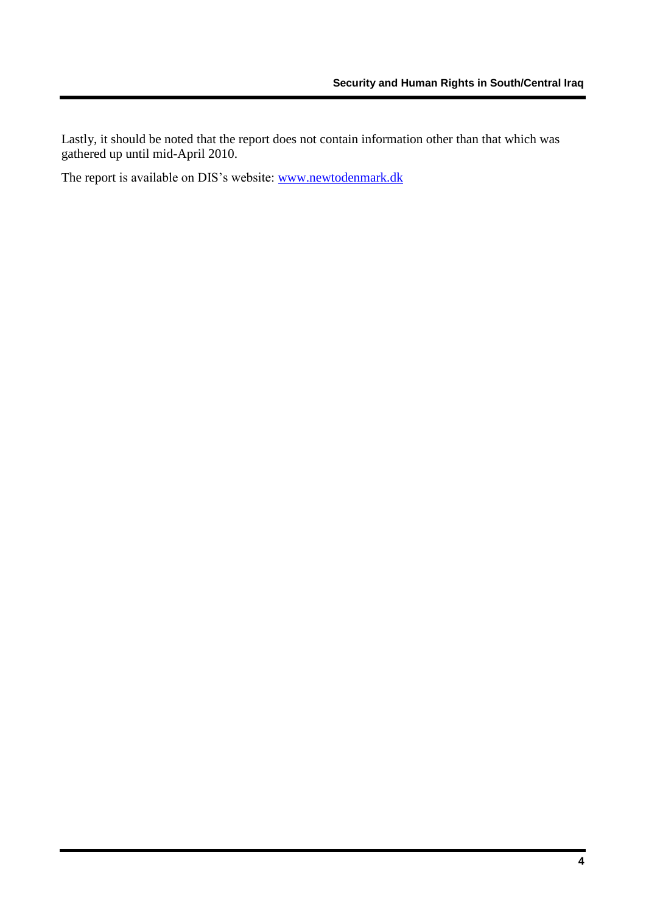Lastly, it should be noted that the report does not contain information other than that which was gathered up until mid-April 2010.

The report is available on DIS's website: [www.newtodenmark.dk](http://www.newtodenmark.dk/)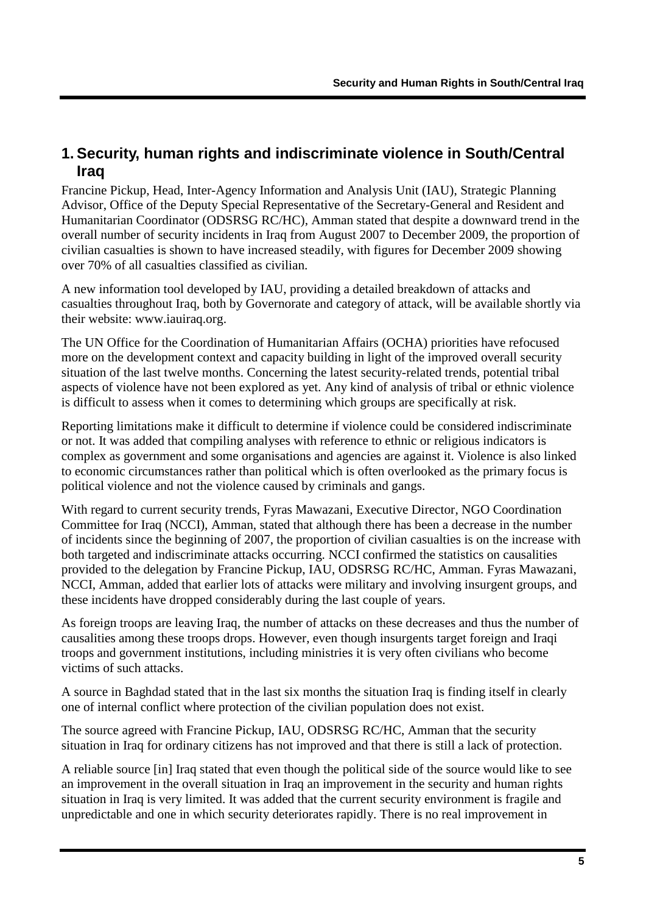## <span id="page-6-0"></span>**1. Security, human rights and indiscriminate violence in South/Central Iraq**

Francine Pickup, Head, Inter-Agency Information and Analysis Unit (IAU), Strategic Planning Advisor, Office of the Deputy Special Representative of the Secretary-General and Resident and Humanitarian Coordinator (ODSRSG RC/HC), Amman stated that despite a downward trend in the overall number of security incidents in Iraq from August 2007 to December 2009, the proportion of civilian casualties is shown to have increased steadily, with figures for December 2009 showing over 70% of all casualties classified as civilian.

A new information tool developed by IAU, providing a detailed breakdown of attacks and casualties throughout Iraq, both by Governorate and category of attack, will be available shortly via their website: www.iauiraq.org.

The UN Office for the Coordination of Humanitarian Affairs (OCHA) priorities have refocused more on the development context and capacity building in light of the improved overall security situation of the last twelve months. Concerning the latest security-related trends, potential tribal aspects of violence have not been explored as yet. Any kind of analysis of tribal or ethnic violence is difficult to assess when it comes to determining which groups are specifically at risk.

Reporting limitations make it difficult to determine if violence could be considered indiscriminate or not. It was added that compiling analyses with reference to ethnic or religious indicators is complex as government and some organisations and agencies are against it. Violence is also linked to economic circumstances rather than political which is often overlooked as the primary focus is political violence and not the violence caused by criminals and gangs.

With regard to current security trends, Fyras Mawazani, Executive Director, NGO Coordination Committee for Iraq (NCCI), Amman, stated that although there has been a decrease in the number of incidents since the beginning of 2007, the proportion of civilian casualties is on the increase with both targeted and indiscriminate attacks occurring. NCCI confirmed the statistics on causalities provided to the delegation by Francine Pickup, IAU, ODSRSG RC/HC, Amman. Fyras Mawazani, NCCI, Amman, added that earlier lots of attacks were military and involving insurgent groups, and these incidents have dropped considerably during the last couple of years.

As foreign troops are leaving Iraq, the number of attacks on these decreases and thus the number of causalities among these troops drops. However, even though insurgents target foreign and Iraqi troops and government institutions, including ministries it is very often civilians who become victims of such attacks.

A source in Baghdad stated that in the last six months the situation Iraq is finding itself in clearly one of internal conflict where protection of the civilian population does not exist.

The source agreed with Francine Pickup, IAU, ODSRSG RC/HC, Amman that the security situation in Iraq for ordinary citizens has not improved and that there is still a lack of protection.

A reliable source [in] Iraq stated that even though the political side of the source would like to see an improvement in the overall situation in Iraq an improvement in the security and human rights situation in Iraq is very limited. It was added that the current security environment is fragile and unpredictable and one in which security deteriorates rapidly. There is no real improvement in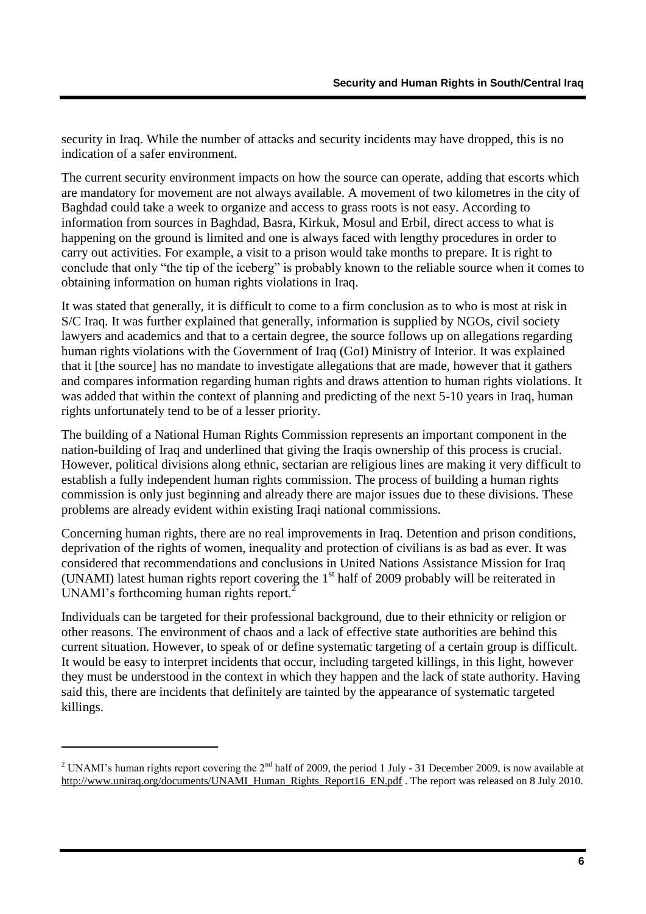security in Iraq. While the number of attacks and security incidents may have dropped, this is no indication of a safer environment.

The current security environment impacts on how the source can operate, adding that escorts which are mandatory for movement are not always available. A movement of two kilometres in the city of Baghdad could take a week to organize and access to grass roots is not easy. According to information from sources in Baghdad, Basra, Kirkuk, Mosul and Erbil, direct access to what is happening on the ground is limited and one is always faced with lengthy procedures in order to carry out activities. For example, a visit to a prison would take months to prepare. It is right to conclude that only "the tip of the iceberg" is probably known to the reliable source when it comes to obtaining information on human rights violations in Iraq.

It was stated that generally, it is difficult to come to a firm conclusion as to who is most at risk in S/C Iraq. It was further explained that generally, information is supplied by NGOs, civil society lawyers and academics and that to a certain degree, the source follows up on allegations regarding human rights violations with the Government of Iraq (GoI) Ministry of Interior. It was explained that it [the source] has no mandate to investigate allegations that are made, however that it gathers and compares information regarding human rights and draws attention to human rights violations. It was added that within the context of planning and predicting of the next 5-10 years in Iraq, human rights unfortunately tend to be of a lesser priority.

The building of a National Human Rights Commission represents an important component in the nation-building of Iraq and underlined that giving the Iraqis ownership of this process is crucial. However, political divisions along ethnic, sectarian are religious lines are making it very difficult to establish a fully independent human rights commission. The process of building a human rights commission is only just beginning and already there are major issues due to these divisions. These problems are already evident within existing Iraqi national commissions.

Concerning human rights, there are no real improvements in Iraq. Detention and prison conditions, deprivation of the rights of women, inequality and protection of civilians is as bad as ever. It was considered that recommendations and conclusions in United Nations Assistance Mission for Iraq (UNAMI) latest human rights report covering the  $1<sup>st</sup>$  half of 2009 probably will be reiterated in UNAMI's forthcoming human rights report.<sup>2</sup>

Individuals can be targeted for their professional background, due to their ethnicity or religion or other reasons. The environment of chaos and a lack of effective state authorities are behind this current situation. However, to speak of or define systematic targeting of a certain group is difficult. It would be easy to interpret incidents that occur, including targeted killings, in this light, however they must be understood in the context in which they happen and the lack of state authority. Having said this, there are incidents that definitely are tainted by the appearance of systematic targeted killings.

1

<sup>&</sup>lt;sup>2</sup> UNAMI's human rights report covering the  $2^{nd}$  half of 2009, the period 1 July - 31 December 2009, is now available at [http://www.uniraq.org/documents/UNAMI\\_Human\\_Rights\\_Report16\\_EN.pdf](http://www.uniraq.org/documents/UNAMI_Human_Rights_Report16_EN.pdf) . The report was released on 8 July 2010.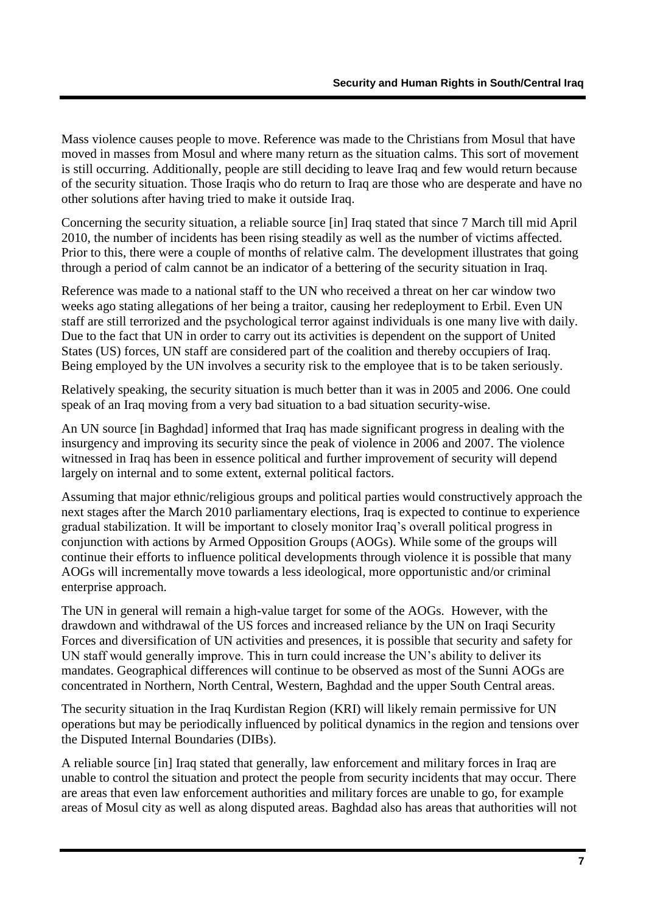Mass violence causes people to move. Reference was made to the Christians from Mosul that have moved in masses from Mosul and where many return as the situation calms. This sort of movement is still occurring. Additionally, people are still deciding to leave Iraq and few would return because of the security situation. Those Iraqis who do return to Iraq are those who are desperate and have no other solutions after having tried to make it outside Iraq.

Concerning the security situation, a reliable source [in] Iraq stated that since 7 March till mid April 2010, the number of incidents has been rising steadily as well as the number of victims affected. Prior to this, there were a couple of months of relative calm. The development illustrates that going through a period of calm cannot be an indicator of a bettering of the security situation in Iraq.

Reference was made to a national staff to the UN who received a threat on her car window two weeks ago stating allegations of her being a traitor, causing her redeployment to Erbil. Even UN staff are still terrorized and the psychological terror against individuals is one many live with daily. Due to the fact that UN in order to carry out its activities is dependent on the support of United States (US) forces, UN staff are considered part of the coalition and thereby occupiers of Iraq. Being employed by the UN involves a security risk to the employee that is to be taken seriously.

Relatively speaking, the security situation is much better than it was in 2005 and 2006. One could speak of an Iraq moving from a very bad situation to a bad situation security-wise.

An UN source [in Baghdad] informed that Iraq has made significant progress in dealing with the insurgency and improving its security since the peak of violence in 2006 and 2007. The violence witnessed in Iraq has been in essence political and further improvement of security will depend largely on internal and to some extent, external political factors.

Assuming that major ethnic/religious groups and political parties would constructively approach the next stages after the March 2010 parliamentary elections, Iraq is expected to continue to experience gradual stabilization. It will be important to closely monitor Iraq"s overall political progress in conjunction with actions by Armed Opposition Groups (AOGs). While some of the groups will continue their efforts to influence political developments through violence it is possible that many AOGs will incrementally move towards a less ideological, more opportunistic and/or criminal enterprise approach.

The UN in general will remain a high-value target for some of the AOGs. However, with the drawdown and withdrawal of the US forces and increased reliance by the UN on Iraqi Security Forces and diversification of UN activities and presences, it is possible that security and safety for UN staff would generally improve. This in turn could increase the UN"s ability to deliver its mandates. Geographical differences will continue to be observed as most of the Sunni AOGs are concentrated in Northern, North Central, Western, Baghdad and the upper South Central areas.

The security situation in the Iraq Kurdistan Region (KRI) will likely remain permissive for UN operations but may be periodically influenced by political dynamics in the region and tensions over the Disputed Internal Boundaries (DIBs).

A reliable source [in] Iraq stated that generally, law enforcement and military forces in Iraq are unable to control the situation and protect the people from security incidents that may occur. There are areas that even law enforcement authorities and military forces are unable to go, for example areas of Mosul city as well as along disputed areas. Baghdad also has areas that authorities will not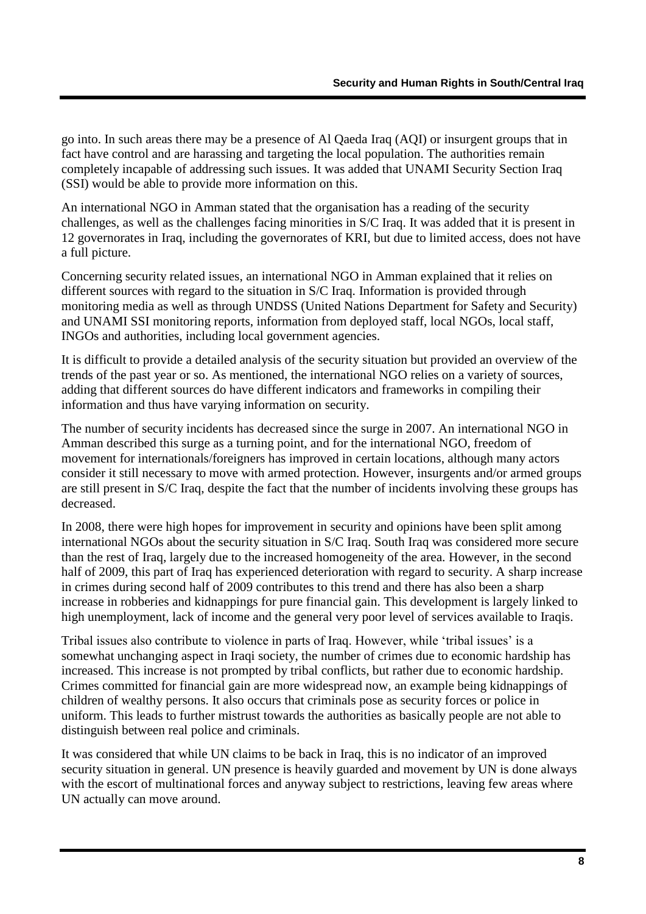go into. In such areas there may be a presence of Al Qaeda Iraq (AQI) or insurgent groups that in fact have control and are harassing and targeting the local population. The authorities remain completely incapable of addressing such issues. It was added that UNAMI Security Section Iraq (SSI) would be able to provide more information on this.

An international NGO in Amman stated that the organisation has a reading of the security challenges, as well as the challenges facing minorities in S/C Iraq. It was added that it is present in 12 governorates in Iraq, including the governorates of KRI, but due to limited access, does not have a full picture.

Concerning security related issues, an international NGO in Amman explained that it relies on different sources with regard to the situation in S/C Iraq. Information is provided through monitoring media as well as through UNDSS (United Nations Department for Safety and Security) and UNAMI SSI monitoring reports, information from deployed staff, local NGOs, local staff, INGOs and authorities, including local government agencies.

It is difficult to provide a detailed analysis of the security situation but provided an overview of the trends of the past year or so. As mentioned, the international NGO relies on a variety of sources, adding that different sources do have different indicators and frameworks in compiling their information and thus have varying information on security.

The number of security incidents has decreased since the surge in 2007. An international NGO in Amman described this surge as a turning point, and for the international NGO, freedom of movement for internationals/foreigners has improved in certain locations, although many actors consider it still necessary to move with armed protection. However, insurgents and/or armed groups are still present in S/C Iraq, despite the fact that the number of incidents involving these groups has decreased.

In 2008, there were high hopes for improvement in security and opinions have been split among international NGOs about the security situation in S/C Iraq. South Iraq was considered more secure than the rest of Iraq, largely due to the increased homogeneity of the area. However, in the second half of 2009, this part of Iraq has experienced deterioration with regard to security. A sharp increase in crimes during second half of 2009 contributes to this trend and there has also been a sharp increase in robberies and kidnappings for pure financial gain. This development is largely linked to high unemployment, lack of income and the general very poor level of services available to Iraqis.

Tribal issues also contribute to violence in parts of Iraq. However, while "tribal issues" is a somewhat unchanging aspect in Iraqi society, the number of crimes due to economic hardship has increased. This increase is not prompted by tribal conflicts, but rather due to economic hardship. Crimes committed for financial gain are more widespread now, an example being kidnappings of children of wealthy persons. It also occurs that criminals pose as security forces or police in uniform. This leads to further mistrust towards the authorities as basically people are not able to distinguish between real police and criminals.

It was considered that while UN claims to be back in Iraq, this is no indicator of an improved security situation in general. UN presence is heavily guarded and movement by UN is done always with the escort of multinational forces and anyway subject to restrictions, leaving few areas where UN actually can move around.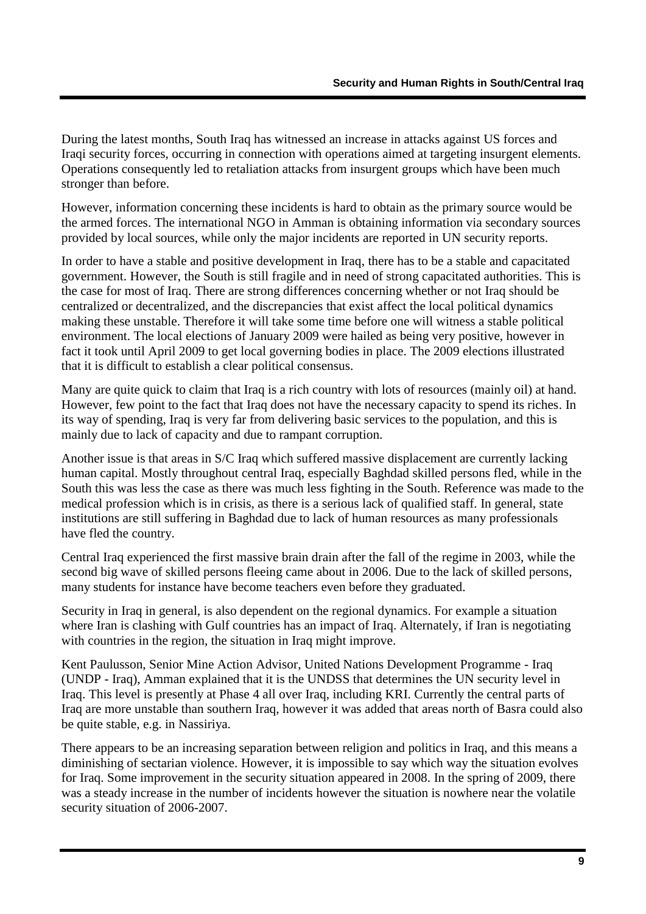During the latest months, South Iraq has witnessed an increase in attacks against US forces and Iraqi security forces, occurring in connection with operations aimed at targeting insurgent elements. Operations consequently led to retaliation attacks from insurgent groups which have been much stronger than before.

However, information concerning these incidents is hard to obtain as the primary source would be the armed forces. The international NGO in Amman is obtaining information via secondary sources provided by local sources, while only the major incidents are reported in UN security reports.

In order to have a stable and positive development in Iraq, there has to be a stable and capacitated government. However, the South is still fragile and in need of strong capacitated authorities. This is the case for most of Iraq. There are strong differences concerning whether or not Iraq should be centralized or decentralized, and the discrepancies that exist affect the local political dynamics making these unstable. Therefore it will take some time before one will witness a stable political environment. The local elections of January 2009 were hailed as being very positive, however in fact it took until April 2009 to get local governing bodies in place. The 2009 elections illustrated that it is difficult to establish a clear political consensus.

Many are quite quick to claim that Iraq is a rich country with lots of resources (mainly oil) at hand. However, few point to the fact that Iraq does not have the necessary capacity to spend its riches. In its way of spending, Iraq is very far from delivering basic services to the population, and this is mainly due to lack of capacity and due to rampant corruption.

Another issue is that areas in S/C Iraq which suffered massive displacement are currently lacking human capital. Mostly throughout central Iraq, especially Baghdad skilled persons fled, while in the South this was less the case as there was much less fighting in the South. Reference was made to the medical profession which is in crisis, as there is a serious lack of qualified staff. In general, state institutions are still suffering in Baghdad due to lack of human resources as many professionals have fled the country.

Central Iraq experienced the first massive brain drain after the fall of the regime in 2003, while the second big wave of skilled persons fleeing came about in 2006. Due to the lack of skilled persons, many students for instance have become teachers even before they graduated.

Security in Iraq in general, is also dependent on the regional dynamics. For example a situation where Iran is clashing with Gulf countries has an impact of Iraq. Alternately, if Iran is negotiating with countries in the region, the situation in Iraq might improve.

Kent Paulusson, Senior Mine Action Advisor, United Nations Development Programme - Iraq (UNDP - Iraq), Amman explained that it is the UNDSS that determines the UN security level in Iraq. This level is presently at Phase 4 all over Iraq, including KRI. Currently the central parts of Iraq are more unstable than southern Iraq, however it was added that areas north of Basra could also be quite stable, e.g. in Nassiriya.

There appears to be an increasing separation between religion and politics in Iraq, and this means a diminishing of sectarian violence. However, it is impossible to say which way the situation evolves for Iraq. Some improvement in the security situation appeared in 2008. In the spring of 2009, there was a steady increase in the number of incidents however the situation is nowhere near the volatile security situation of 2006-2007.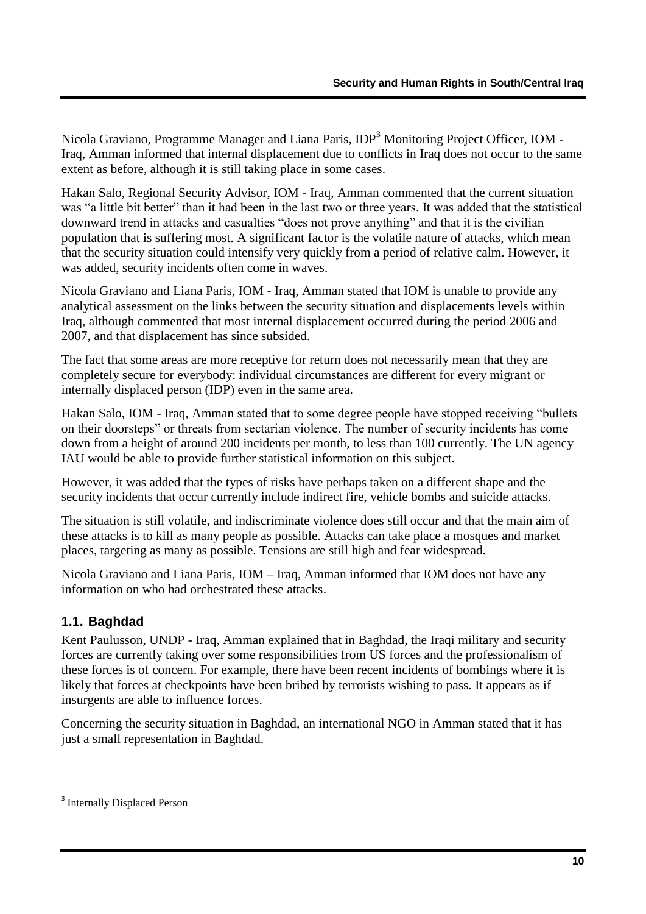Nicola Graviano, Programme Manager and Liana Paris, IDP<sup>3</sup> Monitoring Project Officer, IOM -Iraq, Amman informed that internal displacement due to conflicts in Iraq does not occur to the same extent as before, although it is still taking place in some cases.

Hakan Salo, Regional Security Advisor, IOM - Iraq, Amman commented that the current situation was "a little bit better" than it had been in the last two or three years. It was added that the statistical downward trend in attacks and casualties "does not prove anything" and that it is the civilian population that is suffering most. A significant factor is the volatile nature of attacks, which mean that the security situation could intensify very quickly from a period of relative calm. However, it was added, security incidents often come in waves.

Nicola Graviano and Liana Paris, IOM - Iraq, Amman stated that IOM is unable to provide any analytical assessment on the links between the security situation and displacements levels within Iraq, although commented that most internal displacement occurred during the period 2006 and 2007, and that displacement has since subsided.

The fact that some areas are more receptive for return does not necessarily mean that they are completely secure for everybody: individual circumstances are different for every migrant or internally displaced person (IDP) even in the same area.

Hakan Salo, IOM - Iraq, Amman stated that to some degree people have stopped receiving "bullets on their doorsteps" or threats from sectarian violence. The number of security incidents has come down from a height of around 200 incidents per month, to less than 100 currently. The UN agency IAU would be able to provide further statistical information on this subject.

However, it was added that the types of risks have perhaps taken on a different shape and the security incidents that occur currently include indirect fire, vehicle bombs and suicide attacks.

The situation is still volatile, and indiscriminate violence does still occur and that the main aim of these attacks is to kill as many people as possible. Attacks can take place a mosques and market places, targeting as many as possible. Tensions are still high and fear widespread.

Nicola Graviano and Liana Paris, IOM – Iraq, Amman informed that IOM does not have any information on who had orchestrated these attacks.

### <span id="page-11-0"></span>**1.1. Baghdad**

Kent Paulusson, UNDP - Iraq, Amman explained that in Baghdad, the Iraqi military and security forces are currently taking over some responsibilities from US forces and the professionalism of these forces is of concern. For example, there have been recent incidents of bombings where it is likely that forces at checkpoints have been bribed by terrorists wishing to pass. It appears as if insurgents are able to influence forces.

Concerning the security situation in Baghdad, an international NGO in Amman stated that it has just a small representation in Baghdad.

1

<sup>&</sup>lt;sup>3</sup> Internally Displaced Person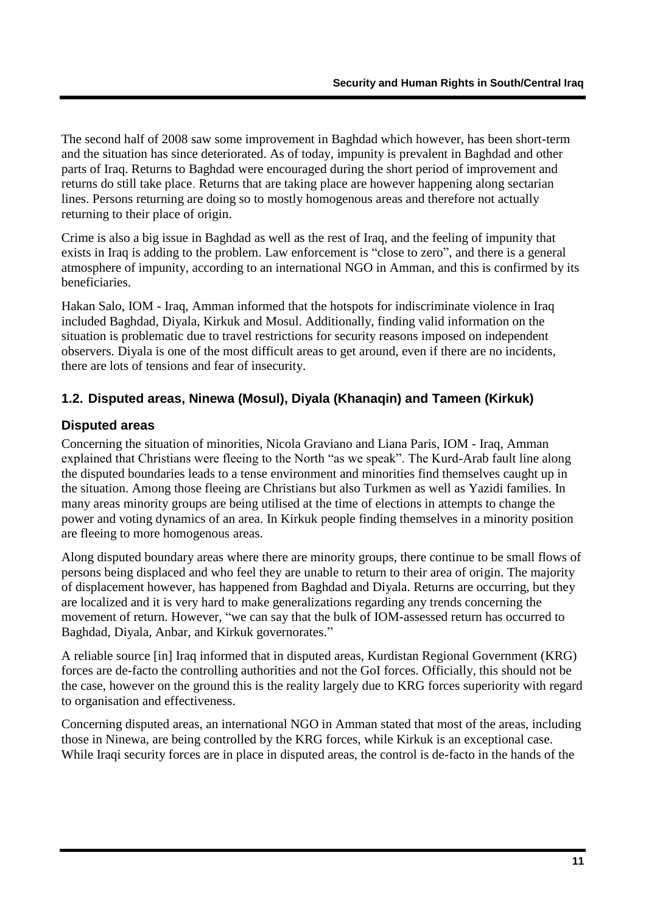The second half of 2008 saw some improvement in Baghdad which however, has been short-term and the situation has since deteriorated. As of today, impunity is prevalent in Baghdad and other parts of Iraq. Returns to Baghdad were encouraged during the short period of improvement and returns do still take place. Returns that are taking place are however happening along sectarian lines. Persons returning are doing so to mostly homogenous areas and therefore not actually returning to their place of origin.

Crime is also a big issue in Baghdad as well as the rest of Iraq, and the feeling of impunity that exists in Iraq is adding to the problem. Law enforcement is "close to zero", and there is a general atmosphere of impunity, according to an international NGO in Amman, and this is confirmed by its beneficiaries.

Hakan Salo, IOM - Iraq, Amman informed that the hotspots for indiscriminate violence in Iraq included Baghdad, Diyala, Kirkuk and Mosul. Additionally, finding valid information on the situation is problematic due to travel restrictions for security reasons imposed on independent observers. Diyala is one of the most difficult areas to get around, even if there are no incidents, there are lots of tensions and fear of insecurity.

### <span id="page-12-0"></span>**1.2. Disputed areas, Ninewa (Mosul), Diyala (Khanaqin) and Tameen (Kirkuk)**

#### <span id="page-12-1"></span>**Disputed areas**

Concerning the situation of minorities, Nicola Graviano and Liana Paris, IOM - Iraq, Amman explained that Christians were fleeing to the North "as we speak". The Kurd-Arab fault line along the disputed boundaries leads to a tense environment and minorities find themselves caught up in the situation. Among those fleeing are Christians but also Turkmen as well as Yazidi families. In many areas minority groups are being utilised at the time of elections in attempts to change the power and voting dynamics of an area. In Kirkuk people finding themselves in a minority position are fleeing to more homogenous areas.

Along disputed boundary areas where there are minority groups, there continue to be small flows of persons being displaced and who feel they are unable to return to their area of origin. The majority of displacement however, has happened from Baghdad and Diyala. Returns are occurring, but they are localized and it is very hard to make generalizations regarding any trends concerning the movement of return. However, "we can say that the bulk of IOM-assessed return has occurred to Baghdad, Diyala, Anbar, and Kirkuk governorates."

A reliable source [in] Iraq informed that in disputed areas, Kurdistan Regional Government (KRG) forces are de-facto the controlling authorities and not the GoI forces. Officially, this should not be the case, however on the ground this is the reality largely due to KRG forces superiority with regard to organisation and effectiveness.

Concerning disputed areas, an international NGO in Amman stated that most of the areas, including those in Ninewa, are being controlled by the KRG forces, while Kirkuk is an exceptional case. While Iraqi security forces are in place in disputed areas, the control is de-facto in the hands of the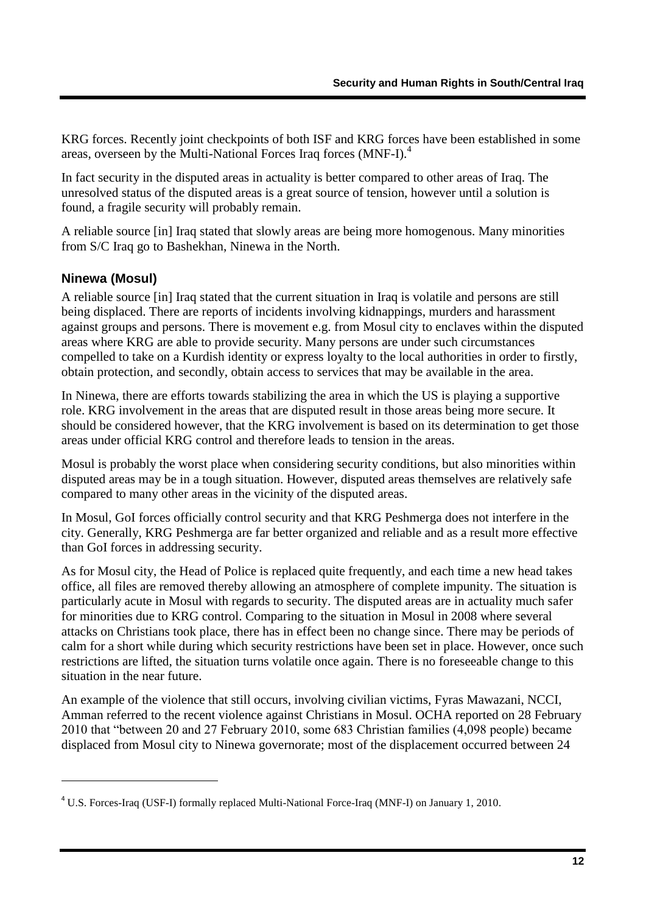KRG forces. Recently joint checkpoints of both ISF and KRG forces have been established in some areas, overseen by the Multi-National Forces Iraq forces (MNF-I). 4

In fact security in the disputed areas in actuality is better compared to other areas of Iraq. The unresolved status of the disputed areas is a great source of tension, however until a solution is found, a fragile security will probably remain.

A reliable source [in] Iraq stated that slowly areas are being more homogenous. Many minorities from S/C Iraq go to Bashekhan, Ninewa in the North.

#### <span id="page-13-0"></span>**Ninewa (Mosul)**

1

A reliable source [in] Iraq stated that the current situation in Iraq is volatile and persons are still being displaced. There are reports of incidents involving kidnappings, murders and harassment against groups and persons. There is movement e.g. from Mosul city to enclaves within the disputed areas where KRG are able to provide security. Many persons are under such circumstances compelled to take on a Kurdish identity or express loyalty to the local authorities in order to firstly, obtain protection, and secondly, obtain access to services that may be available in the area.

In Ninewa, there are efforts towards stabilizing the area in which the US is playing a supportive role. KRG involvement in the areas that are disputed result in those areas being more secure. It should be considered however, that the KRG involvement is based on its determination to get those areas under official KRG control and therefore leads to tension in the areas.

Mosul is probably the worst place when considering security conditions, but also minorities within disputed areas may be in a tough situation. However, disputed areas themselves are relatively safe compared to many other areas in the vicinity of the disputed areas.

In Mosul, GoI forces officially control security and that KRG Peshmerga does not interfere in the city. Generally, KRG Peshmerga are far better organized and reliable and as a result more effective than GoI forces in addressing security.

As for Mosul city, the Head of Police is replaced quite frequently, and each time a new head takes office, all files are removed thereby allowing an atmosphere of complete impunity. The situation is particularly acute in Mosul with regards to security. The disputed areas are in actuality much safer for minorities due to KRG control. Comparing to the situation in Mosul in 2008 where several attacks on Christians took place, there has in effect been no change since. There may be periods of calm for a short while during which security restrictions have been set in place. However, once such restrictions are lifted, the situation turns volatile once again. There is no foreseeable change to this situation in the near future.

An example of the violence that still occurs, involving civilian victims, Fyras Mawazani, NCCI, Amman referred to the recent violence against Christians in Mosul. OCHA reported on 28 February 2010 that "between 20 and 27 February 2010, some 683 Christian families (4,098 people) became displaced from Mosul city to Ninewa governorate; most of the displacement occurred between 24

<sup>4</sup> U.S. Forces-Iraq (USF-I) formally replaced Multi-National Force-Iraq (MNF-I) on January 1, 2010.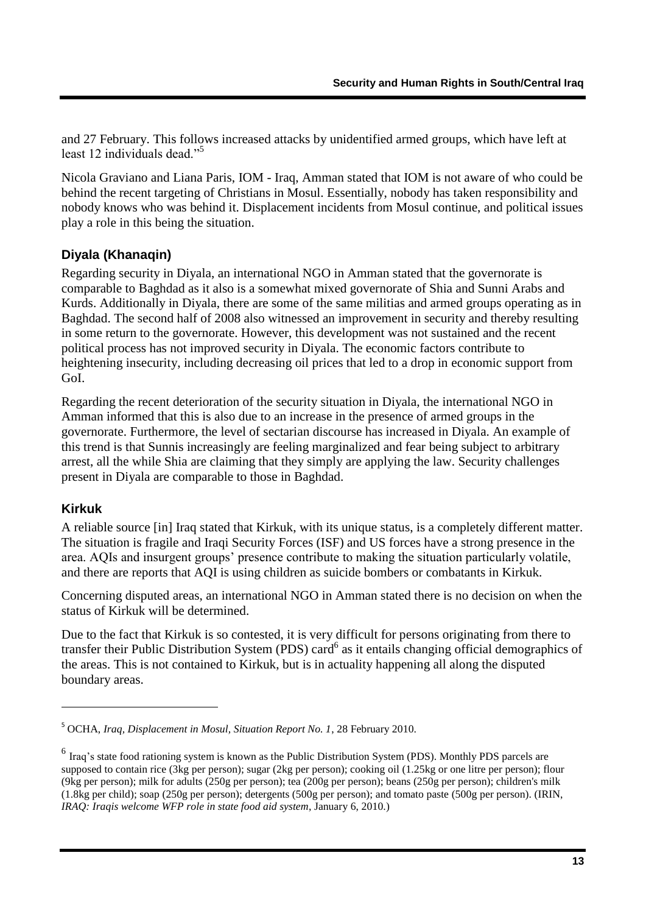and 27 February. This follows increased attacks by unidentified armed groups, which have left at least 12 individuals dead."<sup>5</sup>

Nicola Graviano and Liana Paris, IOM - Iraq, Amman stated that IOM is not aware of who could be behind the recent targeting of Christians in Mosul. Essentially, nobody has taken responsibility and nobody knows who was behind it. Displacement incidents from Mosul continue, and political issues play a role in this being the situation.

#### <span id="page-14-0"></span>**Diyala (Khanaqin)**

Regarding security in Diyala, an international NGO in Amman stated that the governorate is comparable to Baghdad as it also is a somewhat mixed governorate of Shia and Sunni Arabs and Kurds. Additionally in Diyala, there are some of the same militias and armed groups operating as in Baghdad. The second half of 2008 also witnessed an improvement in security and thereby resulting in some return to the governorate. However, this development was not sustained and the recent political process has not improved security in Diyala. The economic factors contribute to heightening insecurity, including decreasing oil prices that led to a drop in economic support from GoI.

Regarding the recent deterioration of the security situation in Diyala, the international NGO in Amman informed that this is also due to an increase in the presence of armed groups in the governorate. Furthermore, the level of sectarian discourse has increased in Diyala. An example of this trend is that Sunnis increasingly are feeling marginalized and fear being subject to arbitrary arrest, all the while Shia are claiming that they simply are applying the law. Security challenges present in Diyala are comparable to those in Baghdad.

#### <span id="page-14-1"></span>**Kirkuk**

1

A reliable source [in] Iraq stated that Kirkuk, with its unique status, is a completely different matter. The situation is fragile and Iraqi Security Forces (ISF) and US forces have a strong presence in the area. AQIs and insurgent groups" presence contribute to making the situation particularly volatile, and there are reports that AQI is using children as suicide bombers or combatants in Kirkuk.

Concerning disputed areas, an international NGO in Amman stated there is no decision on when the status of Kirkuk will be determined.

Due to the fact that Kirkuk is so contested, it is very difficult for persons originating from there to transfer their Public Distribution System (PDS) card<sup>6</sup> as it entails changing official demographics of the areas. This is not contained to Kirkuk, but is in actuality happening all along the disputed boundary areas.

<sup>5</sup> OCHA, *Iraq, Displacement in Mosul, Situation Report No. 1*, 28 February 2010.

<sup>&</sup>lt;sup>6</sup> Iraq's state food rationing system is known as the Public Distribution System (PDS). Monthly PDS parcels are supposed to contain rice (3kg per person); sugar (2kg per person); cooking oil (1.25kg or one litre per person); flour (9kg per person); milk for adults (250g per person); tea (200g per person); beans (250g per person); children's milk (1.8kg per child); soap (250g per person); detergents (500g per person); and tomato paste (500g per person). (IRIN, *IRAQ: Iraqis welcome WFP role in state food aid system*, January 6, 2010.)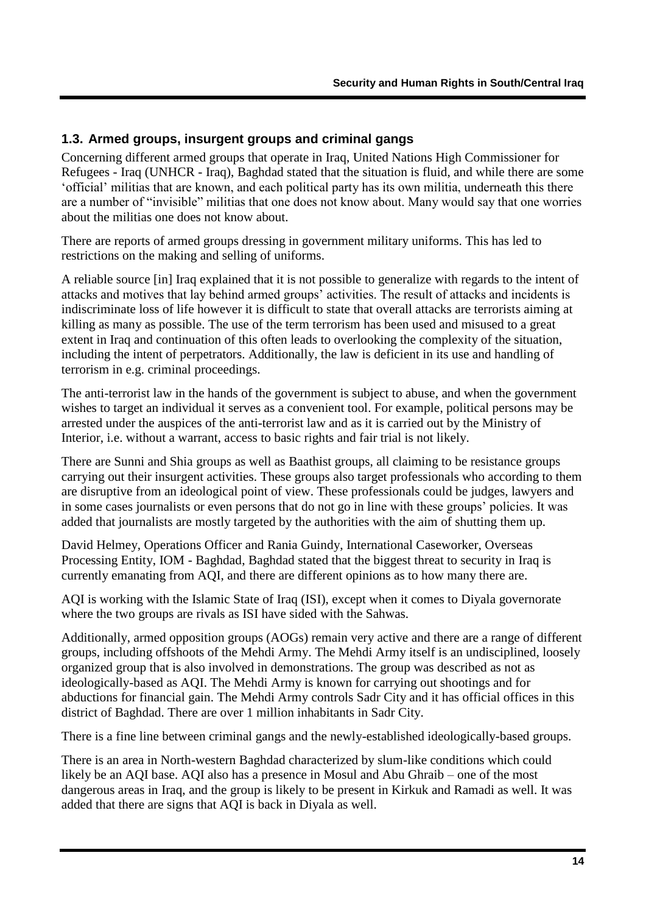#### <span id="page-15-0"></span>**1.3. Armed groups, insurgent groups and criminal gangs**

Concerning different armed groups that operate in Iraq, United Nations High Commissioner for Refugees - Iraq (UNHCR - Iraq), Baghdad stated that the situation is fluid, and while there are some "official" militias that are known, and each political party has its own militia, underneath this there are a number of "invisible" militias that one does not know about. Many would say that one worries about the militias one does not know about.

There are reports of armed groups dressing in government military uniforms. This has led to restrictions on the making and selling of uniforms.

A reliable source [in] Iraq explained that it is not possible to generalize with regards to the intent of attacks and motives that lay behind armed groups" activities. The result of attacks and incidents is indiscriminate loss of life however it is difficult to state that overall attacks are terrorists aiming at killing as many as possible. The use of the term terrorism has been used and misused to a great extent in Iraq and continuation of this often leads to overlooking the complexity of the situation, including the intent of perpetrators. Additionally, the law is deficient in its use and handling of terrorism in e.g. criminal proceedings.

The anti-terrorist law in the hands of the government is subject to abuse, and when the government wishes to target an individual it serves as a convenient tool. For example, political persons may be arrested under the auspices of the anti-terrorist law and as it is carried out by the Ministry of Interior, i.e. without a warrant, access to basic rights and fair trial is not likely.

There are Sunni and Shia groups as well as Baathist groups, all claiming to be resistance groups carrying out their insurgent activities. These groups also target professionals who according to them are disruptive from an ideological point of view. These professionals could be judges, lawyers and in some cases journalists or even persons that do not go in line with these groups" policies. It was added that journalists are mostly targeted by the authorities with the aim of shutting them up.

David Helmey, Operations Officer and Rania Guindy, International Caseworker, Overseas Processing Entity, IOM - Baghdad, Baghdad stated that the biggest threat to security in Iraq is currently emanating from AQI, and there are different opinions as to how many there are.

AQI is working with the Islamic State of Iraq (ISI), except when it comes to Diyala governorate where the two groups are rivals as ISI have sided with the Sahwas.

Additionally, armed opposition groups (AOGs) remain very active and there are a range of different groups, including offshoots of the Mehdi Army. The Mehdi Army itself is an undisciplined, loosely organized group that is also involved in demonstrations. The group was described as not as ideologically-based as AQI. The Mehdi Army is known for carrying out shootings and for abductions for financial gain. The Mehdi Army controls Sadr City and it has official offices in this district of Baghdad. There are over 1 million inhabitants in Sadr City.

There is a fine line between criminal gangs and the newly-established ideologically-based groups.

There is an area in North-western Baghdad characterized by slum-like conditions which could likely be an AQI base. AQI also has a presence in Mosul and Abu Ghraib – one of the most dangerous areas in Iraq, and the group is likely to be present in Kirkuk and Ramadi as well. It was added that there are signs that AQI is back in Diyala as well.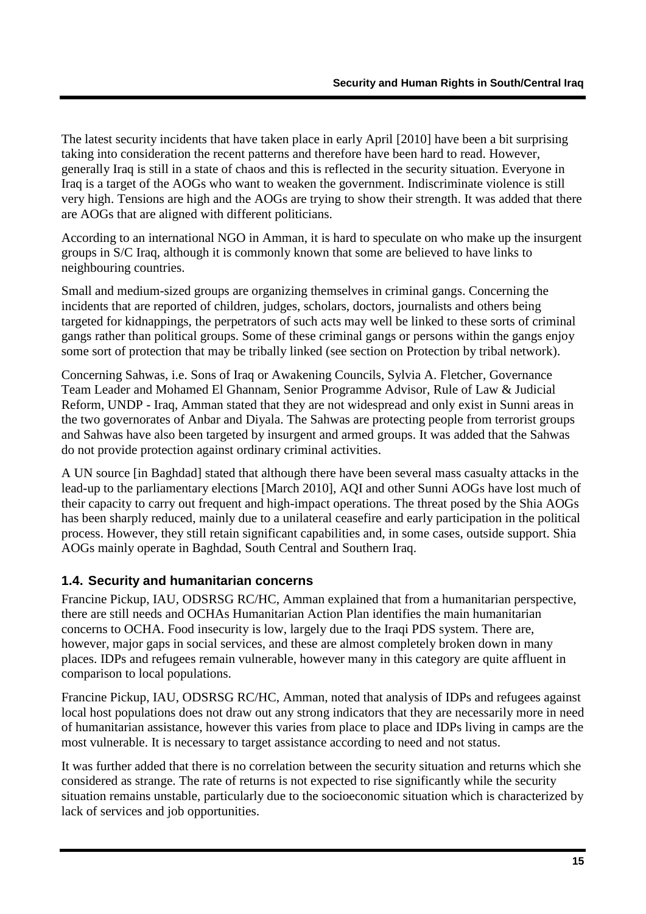The latest security incidents that have taken place in early April [2010] have been a bit surprising taking into consideration the recent patterns and therefore have been hard to read. However, generally Iraq is still in a state of chaos and this is reflected in the security situation. Everyone in Iraq is a target of the AOGs who want to weaken the government. Indiscriminate violence is still very high. Tensions are high and the AOGs are trying to show their strength. It was added that there are AOGs that are aligned with different politicians.

According to an international NGO in Amman, it is hard to speculate on who make up the insurgent groups in S/C Iraq, although it is commonly known that some are believed to have links to neighbouring countries.

Small and medium-sized groups are organizing themselves in criminal gangs. Concerning the incidents that are reported of children, judges, scholars, doctors, journalists and others being targeted for kidnappings, the perpetrators of such acts may well be linked to these sorts of criminal gangs rather than political groups. Some of these criminal gangs or persons within the gangs enjoy some sort of protection that may be tribally linked (see section on Protection by tribal network).

Concerning Sahwas, i.e. Sons of Iraq or Awakening Councils, Sylvia A. Fletcher, Governance Team Leader and Mohamed El Ghannam, Senior Programme Advisor, Rule of Law & Judicial Reform, UNDP - Iraq, Amman stated that they are not widespread and only exist in Sunni areas in the two governorates of Anbar and Diyala. The Sahwas are protecting people from terrorist groups and Sahwas have also been targeted by insurgent and armed groups. It was added that the Sahwas do not provide protection against ordinary criminal activities.

A UN source [in Baghdad] stated that although there have been several mass casualty attacks in the lead-up to the parliamentary elections [March 2010], AQI and other Sunni AOGs have lost much of their capacity to carry out frequent and high-impact operations. The threat posed by the Shia AOGs has been sharply reduced, mainly due to a unilateral ceasefire and early participation in the political process. However, they still retain significant capabilities and, in some cases, outside support. Shia AOGs mainly operate in Baghdad, South Central and Southern Iraq.

#### <span id="page-16-0"></span>**1.4. Security and humanitarian concerns**

Francine Pickup, IAU, ODSRSG RC/HC, Amman explained that from a humanitarian perspective, there are still needs and OCHAs Humanitarian Action Plan identifies the main humanitarian concerns to OCHA. Food insecurity is low, largely due to the Iraqi PDS system. There are, however, major gaps in social services, and these are almost completely broken down in many places. IDPs and refugees remain vulnerable, however many in this category are quite affluent in comparison to local populations.

Francine Pickup, IAU, ODSRSG RC/HC, Amman, noted that analysis of IDPs and refugees against local host populations does not draw out any strong indicators that they are necessarily more in need of humanitarian assistance, however this varies from place to place and IDPs living in camps are the most vulnerable. It is necessary to target assistance according to need and not status.

It was further added that there is no correlation between the security situation and returns which she considered as strange. The rate of returns is not expected to rise significantly while the security situation remains unstable, particularly due to the socioeconomic situation which is characterized by lack of services and job opportunities.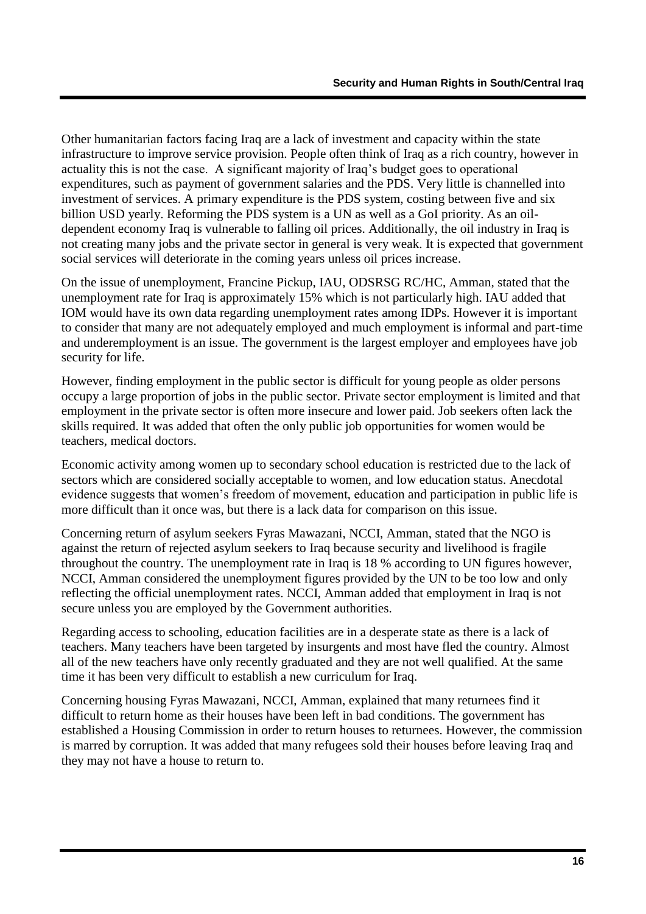Other humanitarian factors facing Iraq are a lack of investment and capacity within the state infrastructure to improve service provision. People often think of Iraq as a rich country, however in actuality this is not the case. A significant majority of Iraq"s budget goes to operational expenditures, such as payment of government salaries and the PDS. Very little is channelled into investment of services. A primary expenditure is the PDS system, costing between five and six billion USD yearly. Reforming the PDS system is a UN as well as a GoI priority. As an oildependent economy Iraq is vulnerable to falling oil prices. Additionally, the oil industry in Iraq is not creating many jobs and the private sector in general is very weak. It is expected that government social services will deteriorate in the coming years unless oil prices increase.

On the issue of unemployment, Francine Pickup, IAU, ODSRSG RC/HC, Amman, stated that the unemployment rate for Iraq is approximately 15% which is not particularly high. IAU added that IOM would have its own data regarding unemployment rates among IDPs. However it is important to consider that many are not adequately employed and much employment is informal and part-time and underemployment is an issue. The government is the largest employer and employees have job security for life.

However, finding employment in the public sector is difficult for young people as older persons occupy a large proportion of jobs in the public sector. Private sector employment is limited and that employment in the private sector is often more insecure and lower paid. Job seekers often lack the skills required. It was added that often the only public job opportunities for women would be teachers, medical doctors.

Economic activity among women up to secondary school education is restricted due to the lack of sectors which are considered socially acceptable to women, and low education status. Anecdotal evidence suggests that women"s freedom of movement, education and participation in public life is more difficult than it once was, but there is a lack data for comparison on this issue.

Concerning return of asylum seekers Fyras Mawazani, NCCI, Amman, stated that the NGO is against the return of rejected asylum seekers to Iraq because security and livelihood is fragile throughout the country. The unemployment rate in Iraq is 18 % according to UN figures however, NCCI, Amman considered the unemployment figures provided by the UN to be too low and only reflecting the official unemployment rates. NCCI, Amman added that employment in Iraq is not secure unless you are employed by the Government authorities.

Regarding access to schooling, education facilities are in a desperate state as there is a lack of teachers. Many teachers have been targeted by insurgents and most have fled the country. Almost all of the new teachers have only recently graduated and they are not well qualified. At the same time it has been very difficult to establish a new curriculum for Iraq.

Concerning housing Fyras Mawazani, NCCI, Amman, explained that many returnees find it difficult to return home as their houses have been left in bad conditions. The government has established a Housing Commission in order to return houses to returnees. However, the commission is marred by corruption. It was added that many refugees sold their houses before leaving Iraq and they may not have a house to return to.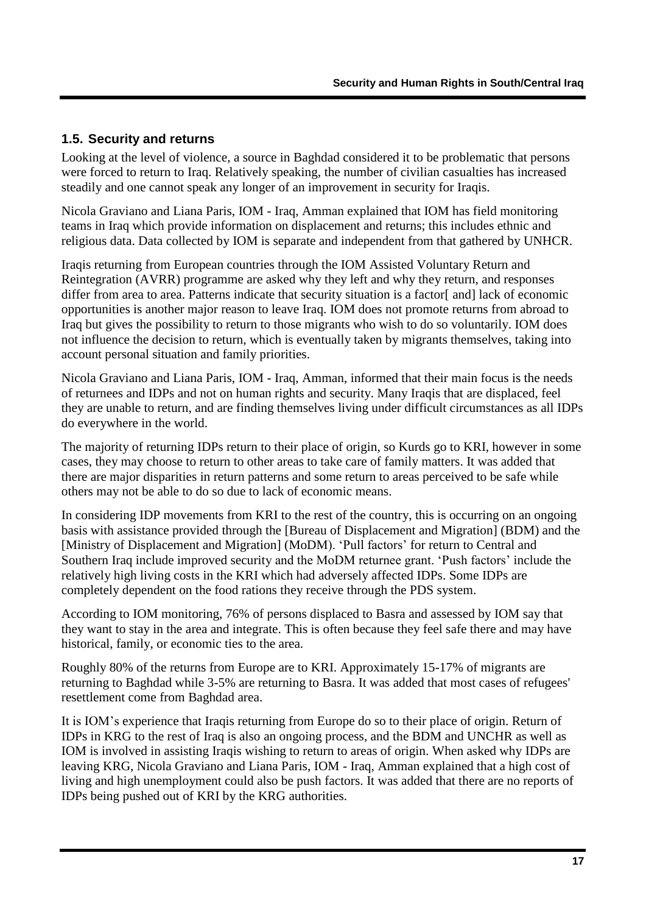#### <span id="page-18-0"></span>**1.5. Security and returns**

Looking at the level of violence, a source in Baghdad considered it to be problematic that persons were forced to return to Iraq. Relatively speaking, the number of civilian casualties has increased steadily and one cannot speak any longer of an improvement in security for Iraqis.

Nicola Graviano and Liana Paris, IOM - Iraq, Amman explained that IOM has field monitoring teams in Iraq which provide information on displacement and returns; this includes ethnic and religious data. Data collected by IOM is separate and independent from that gathered by UNHCR.

Iraqis returning from European countries through the IOM Assisted Voluntary Return and Reintegration (AVRR) programme are asked why they left and why they return, and responses differ from area to area. Patterns indicate that security situation is a factor [and] lack of economic opportunities is another major reason to leave Iraq. IOM does not promote returns from abroad to Iraq but gives the possibility to return to those migrants who wish to do so voluntarily. IOM does not influence the decision to return, which is eventually taken by migrants themselves, taking into account personal situation and family priorities.

Nicola Graviano and Liana Paris, IOM - Iraq, Amman, informed that their main focus is the needs of returnees and IDPs and not on human rights and security. Many Iraqis that are displaced, feel they are unable to return, and are finding themselves living under difficult circumstances as all IDPs do everywhere in the world.

The majority of returning IDPs return to their place of origin, so Kurds go to KRI, however in some cases, they may choose to return to other areas to take care of family matters. It was added that there are major disparities in return patterns and some return to areas perceived to be safe while others may not be able to do so due to lack of economic means.

In considering IDP movements from KRI to the rest of the country, this is occurring on an ongoing basis with assistance provided through the [Bureau of Displacement and Migration] (BDM) and the [Ministry of Displacement and Migration] (MoDM). "Pull factors" for return to Central and Southern Iraq include improved security and the MoDM returnee grant. 'Push factors' include the relatively high living costs in the KRI which had adversely affected IDPs. Some IDPs are completely dependent on the food rations they receive through the PDS system.

According to IOM monitoring, 76% of persons displaced to Basra and assessed by IOM say that they want to stay in the area and integrate. This is often because they feel safe there and may have historical, family, or economic ties to the area.

Roughly 80% of the returns from Europe are to KRI. Approximately 15-17% of migrants are returning to Baghdad while 3-5% are returning to Basra. It was added that most cases of refugees' resettlement come from Baghdad area.

It is IOM"s experience that Iraqis returning from Europe do so to their place of origin. Return of IDPs in KRG to the rest of Iraq is also an ongoing process, and the BDM and UNCHR as well as IOM is involved in assisting Iraqis wishing to return to areas of origin. When asked why IDPs are leaving KRG, Nicola Graviano and Liana Paris, IOM - Iraq, Amman explained that a high cost of living and high unemployment could also be push factors. It was added that there are no reports of IDPs being pushed out of KRI by the KRG authorities.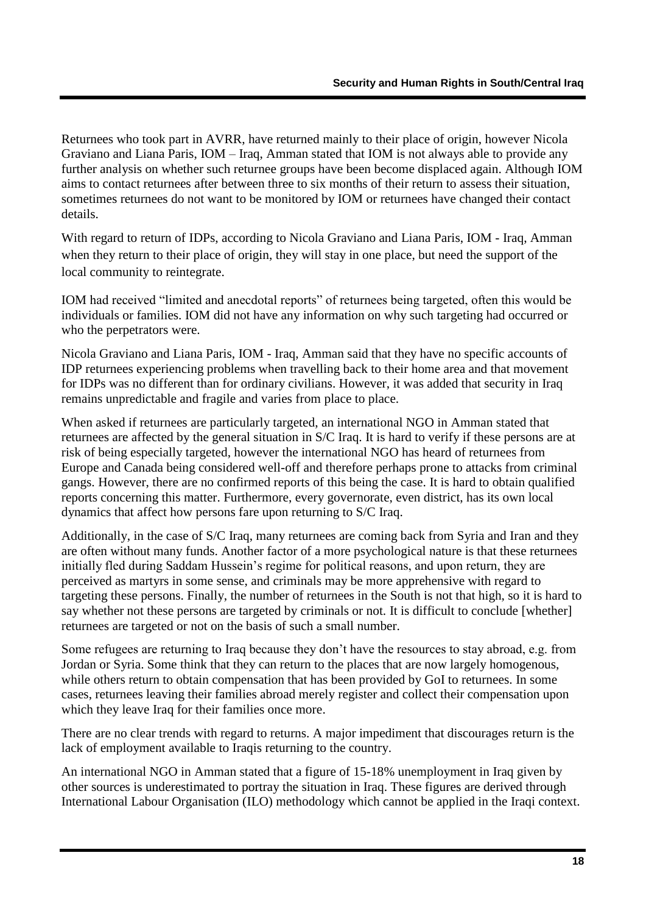Returnees who took part in AVRR, have returned mainly to their place of origin, however Nicola Graviano and Liana Paris, IOM – Iraq, Amman stated that IOM is not always able to provide any further analysis on whether such returnee groups have been become displaced again. Although IOM aims to contact returnees after between three to six months of their return to assess their situation, sometimes returnees do not want to be monitored by IOM or returnees have changed their contact details.

With regard to return of IDPs, according to Nicola Graviano and Liana Paris, IOM - Iraq, Amman when they return to their place of origin, they will stay in one place, but need the support of the local community to reintegrate.

IOM had received "limited and anecdotal reports" of returnees being targeted, often this would be individuals or families. IOM did not have any information on why such targeting had occurred or who the perpetrators were.

Nicola Graviano and Liana Paris, IOM - Iraq, Amman said that they have no specific accounts of IDP returnees experiencing problems when travelling back to their home area and that movement for IDPs was no different than for ordinary civilians. However, it was added that security in Iraq remains unpredictable and fragile and varies from place to place.

When asked if returnees are particularly targeted, an international NGO in Amman stated that returnees are affected by the general situation in S/C Iraq. It is hard to verify if these persons are at risk of being especially targeted, however the international NGO has heard of returnees from Europe and Canada being considered well-off and therefore perhaps prone to attacks from criminal gangs. However, there are no confirmed reports of this being the case. It is hard to obtain qualified reports concerning this matter. Furthermore, every governorate, even district, has its own local dynamics that affect how persons fare upon returning to S/C Iraq.

Additionally, in the case of S/C Iraq, many returnees are coming back from Syria and Iran and they are often without many funds. Another factor of a more psychological nature is that these returnees initially fled during Saddam Hussein's regime for political reasons, and upon return, they are perceived as martyrs in some sense, and criminals may be more apprehensive with regard to targeting these persons. Finally, the number of returnees in the South is not that high, so it is hard to say whether not these persons are targeted by criminals or not. It is difficult to conclude [whether] returnees are targeted or not on the basis of such a small number.

Some refugees are returning to Iraq because they don"t have the resources to stay abroad, e.g. from Jordan or Syria. Some think that they can return to the places that are now largely homogenous, while others return to obtain compensation that has been provided by GoI to returnees. In some cases, returnees leaving their families abroad merely register and collect their compensation upon which they leave Iraq for their families once more.

There are no clear trends with regard to returns. A major impediment that discourages return is the lack of employment available to Iraqis returning to the country.

An international NGO in Amman stated that a figure of 15-18% unemployment in Iraq given by other sources is underestimated to portray the situation in Iraq. These figures are derived through International Labour Organisation (ILO) methodology which cannot be applied in the Iraqi context.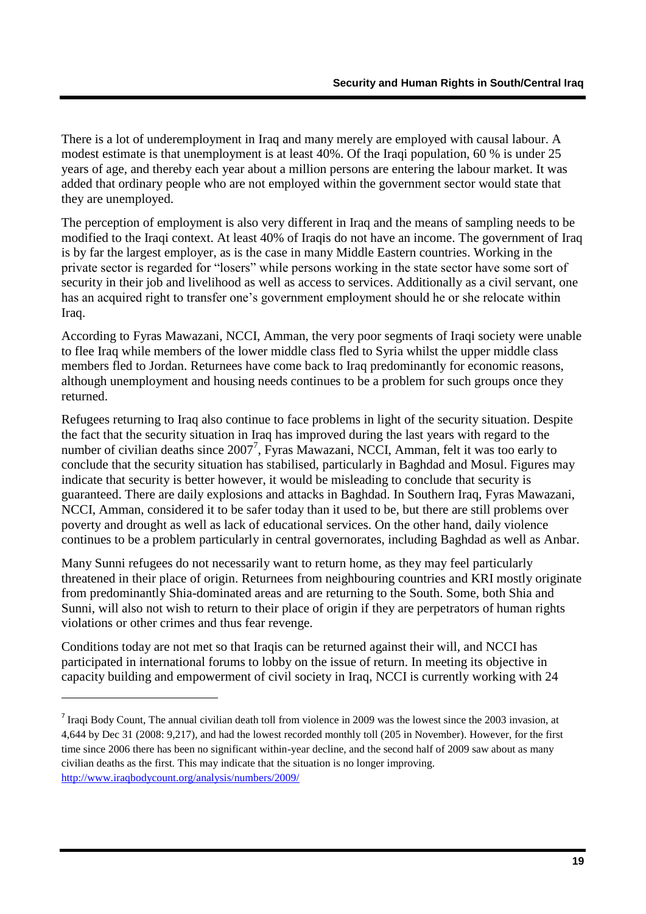There is a lot of underemployment in Iraq and many merely are employed with causal labour. A modest estimate is that unemployment is at least 40%. Of the Iraqi population, 60 % is under 25 years of age, and thereby each year about a million persons are entering the labour market. It was added that ordinary people who are not employed within the government sector would state that they are unemployed.

The perception of employment is also very different in Iraq and the means of sampling needs to be modified to the Iraqi context. At least 40% of Iraqis do not have an income. The government of Iraq is by far the largest employer, as is the case in many Middle Eastern countries. Working in the private sector is regarded for "losers" while persons working in the state sector have some sort of security in their job and livelihood as well as access to services. Additionally as a civil servant, one has an acquired right to transfer one"s government employment should he or she relocate within Iraq.

According to Fyras Mawazani, NCCI, Amman, the very poor segments of Iraqi society were unable to flee Iraq while members of the lower middle class fled to Syria whilst the upper middle class members fled to Jordan. Returnees have come back to Iraq predominantly for economic reasons, although unemployment and housing needs continues to be a problem for such groups once they returned.

Refugees returning to Iraq also continue to face problems in light of the security situation. Despite the fact that the security situation in Iraq has improved during the last years with regard to the number of civilian deaths since  $2007^7$ , Fyras Mawazani, NCCI, Amman, felt it was too early to conclude that the security situation has stabilised, particularly in Baghdad and Mosul. Figures may indicate that security is better however, it would be misleading to conclude that security is guaranteed. There are daily explosions and attacks in Baghdad. In Southern Iraq, Fyras Mawazani, NCCI, Amman, considered it to be safer today than it used to be, but there are still problems over poverty and drought as well as lack of educational services. On the other hand, daily violence continues to be a problem particularly in central governorates, including Baghdad as well as Anbar.

Many Sunni refugees do not necessarily want to return home, as they may feel particularly threatened in their place of origin. Returnees from neighbouring countries and KRI mostly originate from predominantly Shia-dominated areas and are returning to the South. Some, both Shia and Sunni, will also not wish to return to their place of origin if they are perpetrators of human rights violations or other crimes and thus fear revenge.

Conditions today are not met so that Iraqis can be returned against their will, and NCCI has participated in international forums to lobby on the issue of return. In meeting its objective in capacity building and empowerment of civil society in Iraq, NCCI is currently working with 24

1

<sup>&</sup>lt;sup>7</sup> Iraqi Body Count, The annual civilian death toll from violence in 2009 was the lowest since the 2003 invasion, at 4,644 by Dec 31 (2008: 9,217), and had the lowest recorded monthly toll (205 in November). However, for the first time since 2006 there has been no significant within-year decline, and the second half of 2009 saw about as many civilian deaths as the first. This may indicate that the situation is no longer improving. <http://www.iraqbodycount.org/analysis/numbers/2009/>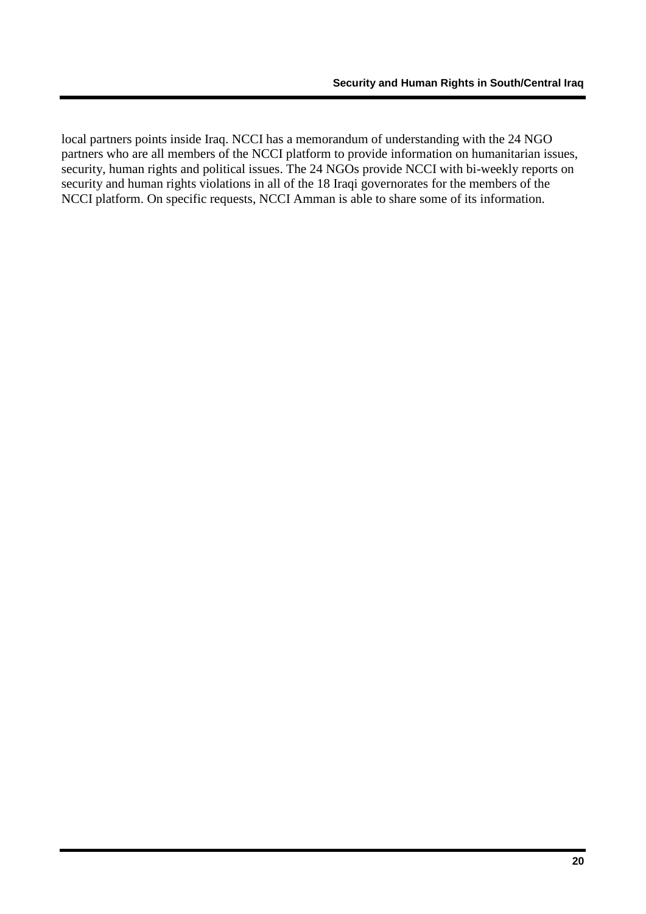local partners points inside Iraq. NCCI has a memorandum of understanding with the 24 NGO partners who are all members of the NCCI platform to provide information on humanitarian issues, security, human rights and political issues. The 24 NGOs provide NCCI with bi-weekly reports on security and human rights violations in all of the 18 Iraqi governorates for the members of the NCCI platform. On specific requests, NCCI Amman is able to share some of its information.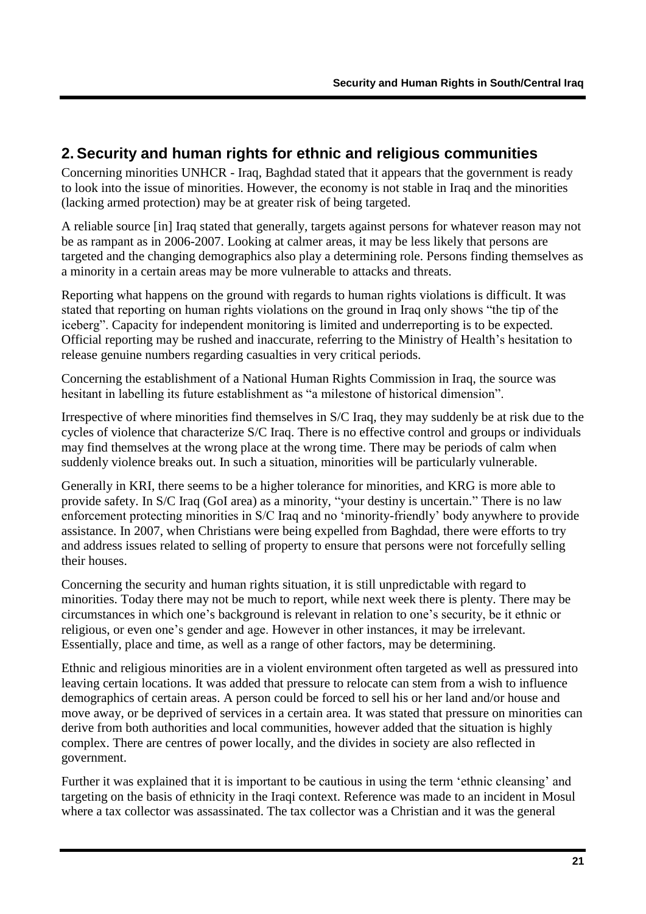## <span id="page-22-0"></span>**2. Security and human rights for ethnic and religious communities**

Concerning minorities UNHCR - Iraq, Baghdad stated that it appears that the government is ready to look into the issue of minorities. However, the economy is not stable in Iraq and the minorities (lacking armed protection) may be at greater risk of being targeted.

A reliable source [in] Iraq stated that generally, targets against persons for whatever reason may not be as rampant as in 2006-2007. Looking at calmer areas, it may be less likely that persons are targeted and the changing demographics also play a determining role. Persons finding themselves as a minority in a certain areas may be more vulnerable to attacks and threats.

Reporting what happens on the ground with regards to human rights violations is difficult. It was stated that reporting on human rights violations on the ground in Iraq only shows "the tip of the iceberg". Capacity for independent monitoring is limited and underreporting is to be expected. Official reporting may be rushed and inaccurate, referring to the Ministry of Health"s hesitation to release genuine numbers regarding casualties in very critical periods.

Concerning the establishment of a National Human Rights Commission in Iraq, the source was hesitant in labelling its future establishment as "a milestone of historical dimension".

Irrespective of where minorities find themselves in S/C Iraq, they may suddenly be at risk due to the cycles of violence that characterize S/C Iraq. There is no effective control and groups or individuals may find themselves at the wrong place at the wrong time. There may be periods of calm when suddenly violence breaks out. In such a situation, minorities will be particularly vulnerable.

Generally in KRI, there seems to be a higher tolerance for minorities, and KRG is more able to provide safety. In S/C Iraq (GoI area) as a minority, "your destiny is uncertain." There is no law enforcement protecting minorities in S/C Iraq and no "minority-friendly" body anywhere to provide assistance. In 2007, when Christians were being expelled from Baghdad, there were efforts to try and address issues related to selling of property to ensure that persons were not forcefully selling their houses.

Concerning the security and human rights situation, it is still unpredictable with regard to minorities. Today there may not be much to report, while next week there is plenty. There may be circumstances in which one"s background is relevant in relation to one"s security, be it ethnic or religious, or even one"s gender and age. However in other instances, it may be irrelevant. Essentially, place and time, as well as a range of other factors, may be determining.

Ethnic and religious minorities are in a violent environment often targeted as well as pressured into leaving certain locations. It was added that pressure to relocate can stem from a wish to influence demographics of certain areas. A person could be forced to sell his or her land and/or house and move away, or be deprived of services in a certain area. It was stated that pressure on minorities can derive from both authorities and local communities, however added that the situation is highly complex. There are centres of power locally, and the divides in society are also reflected in government.

Further it was explained that it is important to be cautious in using the term "ethnic cleansing" and targeting on the basis of ethnicity in the Iraqi context. Reference was made to an incident in Mosul where a tax collector was assassinated. The tax collector was a Christian and it was the general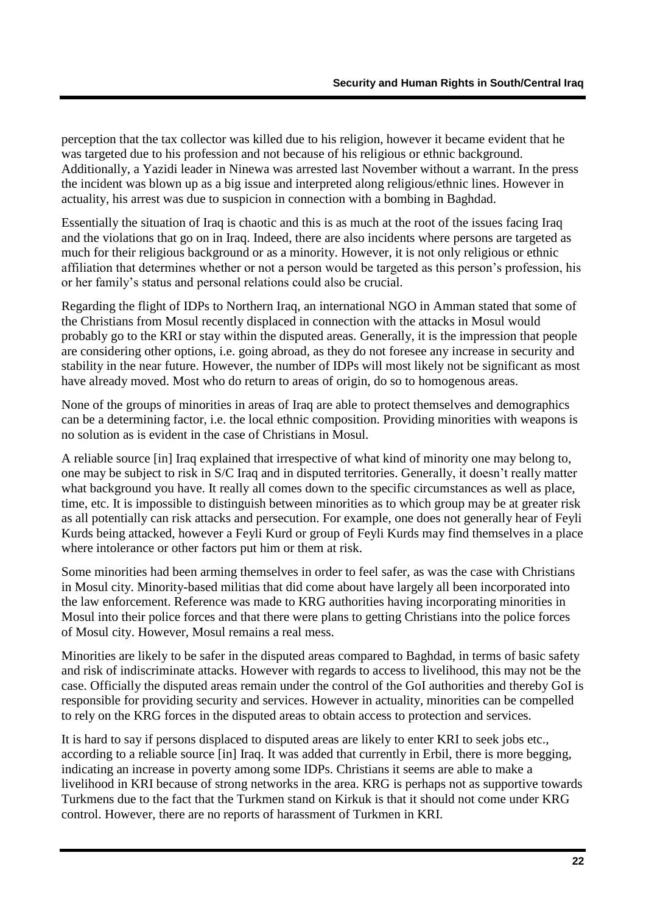perception that the tax collector was killed due to his religion, however it became evident that he was targeted due to his profession and not because of his religious or ethnic background. Additionally, a Yazidi leader in Ninewa was arrested last November without a warrant. In the press the incident was blown up as a big issue and interpreted along religious/ethnic lines. However in actuality, his arrest was due to suspicion in connection with a bombing in Baghdad.

Essentially the situation of Iraq is chaotic and this is as much at the root of the issues facing Iraq and the violations that go on in Iraq. Indeed, there are also incidents where persons are targeted as much for their religious background or as a minority. However, it is not only religious or ethnic affiliation that determines whether or not a person would be targeted as this person"s profession, his or her family"s status and personal relations could also be crucial.

Regarding the flight of IDPs to Northern Iraq, an international NGO in Amman stated that some of the Christians from Mosul recently displaced in connection with the attacks in Mosul would probably go to the KRI or stay within the disputed areas. Generally, it is the impression that people are considering other options, i.e. going abroad, as they do not foresee any increase in security and stability in the near future. However, the number of IDPs will most likely not be significant as most have already moved. Most who do return to areas of origin, do so to homogenous areas.

None of the groups of minorities in areas of Iraq are able to protect themselves and demographics can be a determining factor, i.e. the local ethnic composition. Providing minorities with weapons is no solution as is evident in the case of Christians in Mosul.

A reliable source [in] Iraq explained that irrespective of what kind of minority one may belong to, one may be subject to risk in S/C Iraq and in disputed territories. Generally, it doesn"t really matter what background you have. It really all comes down to the specific circumstances as well as place, time, etc. It is impossible to distinguish between minorities as to which group may be at greater risk as all potentially can risk attacks and persecution. For example, one does not generally hear of Feyli Kurds being attacked, however a Feyli Kurd or group of Feyli Kurds may find themselves in a place where intolerance or other factors put him or them at risk.

Some minorities had been arming themselves in order to feel safer, as was the case with Christians in Mosul city. Minority-based militias that did come about have largely all been incorporated into the law enforcement. Reference was made to KRG authorities having incorporating minorities in Mosul into their police forces and that there were plans to getting Christians into the police forces of Mosul city. However, Mosul remains a real mess.

Minorities are likely to be safer in the disputed areas compared to Baghdad, in terms of basic safety and risk of indiscriminate attacks. However with regards to access to livelihood, this may not be the case. Officially the disputed areas remain under the control of the GoI authorities and thereby GoI is responsible for providing security and services. However in actuality, minorities can be compelled to rely on the KRG forces in the disputed areas to obtain access to protection and services.

It is hard to say if persons displaced to disputed areas are likely to enter KRI to seek jobs etc., according to a reliable source [in] Iraq. It was added that currently in Erbil, there is more begging, indicating an increase in poverty among some IDPs. Christians it seems are able to make a livelihood in KRI because of strong networks in the area. KRG is perhaps not as supportive towards Turkmens due to the fact that the Turkmen stand on Kirkuk is that it should not come under KRG control. However, there are no reports of harassment of Turkmen in KRI.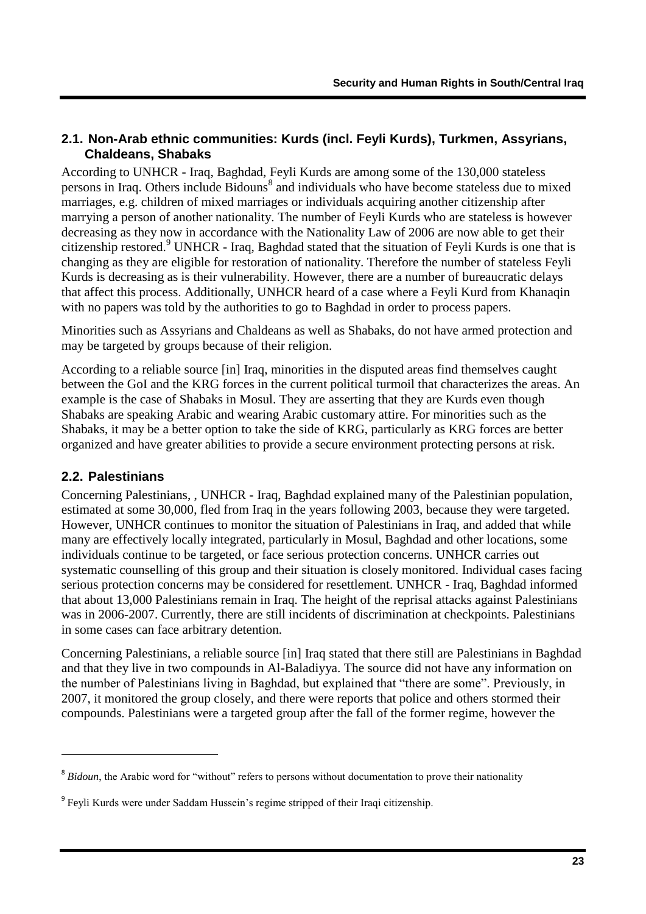### <span id="page-24-0"></span>**2.1. Non-Arab ethnic communities: Kurds (incl. Feyli Kurds), Turkmen, Assyrians, Chaldeans, Shabaks**

According to UNHCR - Iraq, Baghdad, Feyli Kurds are among some of the 130,000 stateless persons in Iraq. Others include Bidouns<sup>8</sup> and individuals who have become stateless due to mixed marriages, e.g. children of mixed marriages or individuals acquiring another citizenship after marrying a person of another nationality. The number of Feyli Kurds who are stateless is however decreasing as they now in accordance with the Nationality Law of 2006 are now able to get their citizenship restored. <sup>9</sup> UNHCR - Iraq, Baghdad stated that the situation of Feyli Kurds is one that is changing as they are eligible for restoration of nationality. Therefore the number of stateless Feyli Kurds is decreasing as is their vulnerability. However, there are a number of bureaucratic delays that affect this process. Additionally, UNHCR heard of a case where a Feyli Kurd from Khanaqin with no papers was told by the authorities to go to Baghdad in order to process papers.

Minorities such as Assyrians and Chaldeans as well as Shabaks, do not have armed protection and may be targeted by groups because of their religion.

According to a reliable source [in] Iraq, minorities in the disputed areas find themselves caught between the GoI and the KRG forces in the current political turmoil that characterizes the areas. An example is the case of Shabaks in Mosul. They are asserting that they are Kurds even though Shabaks are speaking Arabic and wearing Arabic customary attire. For minorities such as the Shabaks, it may be a better option to take the side of KRG, particularly as KRG forces are better organized and have greater abilities to provide a secure environment protecting persons at risk.

### <span id="page-24-1"></span>**2.2. Palestinians**

1

Concerning Palestinians, , UNHCR - Iraq, Baghdad explained many of the Palestinian population, estimated at some 30,000, fled from Iraq in the years following 2003, because they were targeted. However, UNHCR continues to monitor the situation of Palestinians in Iraq, and added that while many are effectively locally integrated, particularly in Mosul, Baghdad and other locations, some individuals continue to be targeted, or face serious protection concerns. UNHCR carries out systematic counselling of this group and their situation is closely monitored. Individual cases facing serious protection concerns may be considered for resettlement. UNHCR - Iraq, Baghdad informed that about 13,000 Palestinians remain in Iraq. The height of the reprisal attacks against Palestinians was in 2006-2007. Currently, there are still incidents of discrimination at checkpoints. Palestinians in some cases can face arbitrary detention.

Concerning Palestinians, a reliable source [in] Iraq stated that there still are Palestinians in Baghdad and that they live in two compounds in Al-Baladiyya. The source did not have any information on the number of Palestinians living in Baghdad, but explained that "there are some". Previously, in 2007, it monitored the group closely, and there were reports that police and others stormed their compounds. Palestinians were a targeted group after the fall of the former regime, however the

<sup>&</sup>lt;sup>8</sup> Bidoun, the Arabic word for "without" refers to persons without documentation to prove their nationality

<sup>&</sup>lt;sup>9</sup> Feyli Kurds were under Saddam Hussein's regime stripped of their Iraqi citizenship.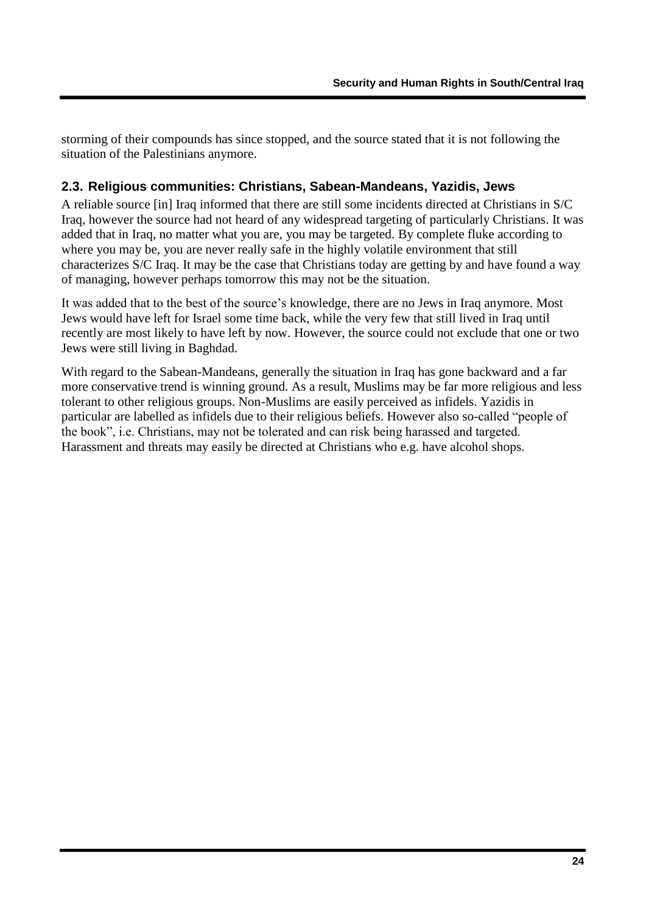storming of their compounds has since stopped, and the source stated that it is not following the situation of the Palestinians anymore.

#### <span id="page-25-0"></span>**2.3. Religious communities: Christians, Sabean-Mandeans, Yazidis, Jews**

A reliable source [in] Iraq informed that there are still some incidents directed at Christians in S/C Iraq, however the source had not heard of any widespread targeting of particularly Christians. It was added that in Iraq, no matter what you are, you may be targeted. By complete fluke according to where you may be, you are never really safe in the highly volatile environment that still characterizes S/C Iraq. It may be the case that Christians today are getting by and have found a way of managing, however perhaps tomorrow this may not be the situation.

It was added that to the best of the source's knowledge, there are no Jews in Iraq anymore. Most Jews would have left for Israel some time back, while the very few that still lived in Iraq until recently are most likely to have left by now. However, the source could not exclude that one or two Jews were still living in Baghdad.

With regard to the Sabean-Mandeans, generally the situation in Iraq has gone backward and a far more conservative trend is winning ground. As a result, Muslims may be far more religious and less tolerant to other religious groups. Non-Muslims are easily perceived as infidels. Yazidis in particular are labelled as infidels due to their religious beliefs. However also so-called "people of the book", i.e. Christians, may not be tolerated and can risk being harassed and targeted. Harassment and threats may easily be directed at Christians who e.g. have alcohol shops.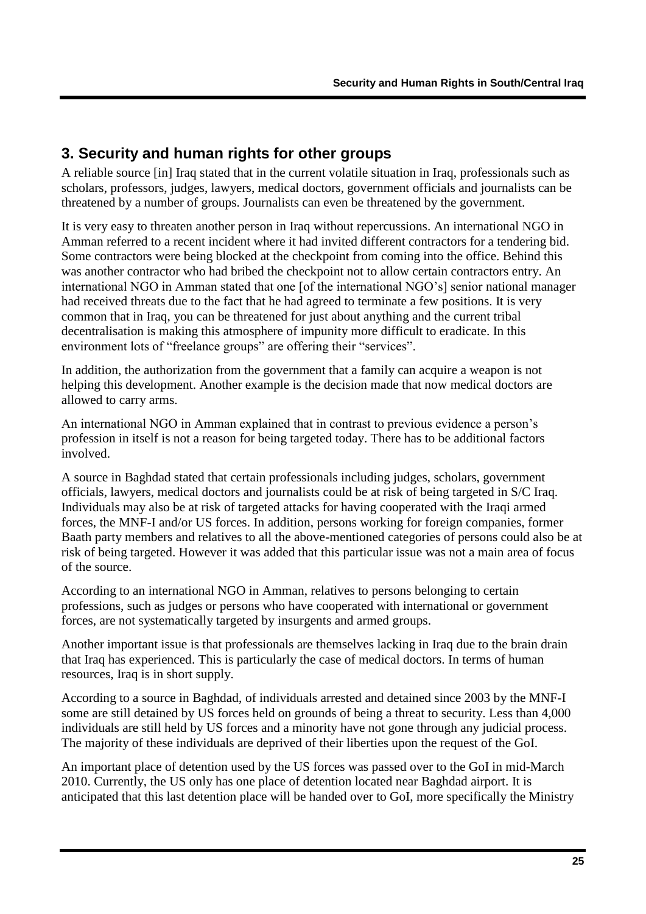## <span id="page-26-0"></span>**3. Security and human rights for other groups**

A reliable source [in] Iraq stated that in the current volatile situation in Iraq, professionals such as scholars, professors, judges, lawyers, medical doctors, government officials and journalists can be threatened by a number of groups. Journalists can even be threatened by the government.

It is very easy to threaten another person in Iraq without repercussions. An international NGO in Amman referred to a recent incident where it had invited different contractors for a tendering bid. Some contractors were being blocked at the checkpoint from coming into the office. Behind this was another contractor who had bribed the checkpoint not to allow certain contractors entry. An international NGO in Amman stated that one [of the international NGO"s] senior national manager had received threats due to the fact that he had agreed to terminate a few positions. It is very common that in Iraq, you can be threatened for just about anything and the current tribal decentralisation is making this atmosphere of impunity more difficult to eradicate. In this environment lots of "freelance groups" are offering their "services".

In addition, the authorization from the government that a family can acquire a weapon is not helping this development. Another example is the decision made that now medical doctors are allowed to carry arms.

An international NGO in Amman explained that in contrast to previous evidence a person"s profession in itself is not a reason for being targeted today. There has to be additional factors involved.

A source in Baghdad stated that certain professionals including judges, scholars, government officials, lawyers, medical doctors and journalists could be at risk of being targeted in S/C Iraq. Individuals may also be at risk of targeted attacks for having cooperated with the Iraqi armed forces, the MNF-I and/or US forces. In addition, persons working for foreign companies, former Baath party members and relatives to all the above-mentioned categories of persons could also be at risk of being targeted. However it was added that this particular issue was not a main area of focus of the source.

According to an international NGO in Amman, relatives to persons belonging to certain professions, such as judges or persons who have cooperated with international or government forces, are not systematically targeted by insurgents and armed groups.

Another important issue is that professionals are themselves lacking in Iraq due to the brain drain that Iraq has experienced. This is particularly the case of medical doctors. In terms of human resources, Iraq is in short supply.

According to a source in Baghdad, of individuals arrested and detained since 2003 by the MNF-I some are still detained by US forces held on grounds of being a threat to security. Less than 4,000 individuals are still held by US forces and a minority have not gone through any judicial process. The majority of these individuals are deprived of their liberties upon the request of the GoI.

An important place of detention used by the US forces was passed over to the GoI in mid-March 2010. Currently, the US only has one place of detention located near Baghdad airport. It is anticipated that this last detention place will be handed over to GoI, more specifically the Ministry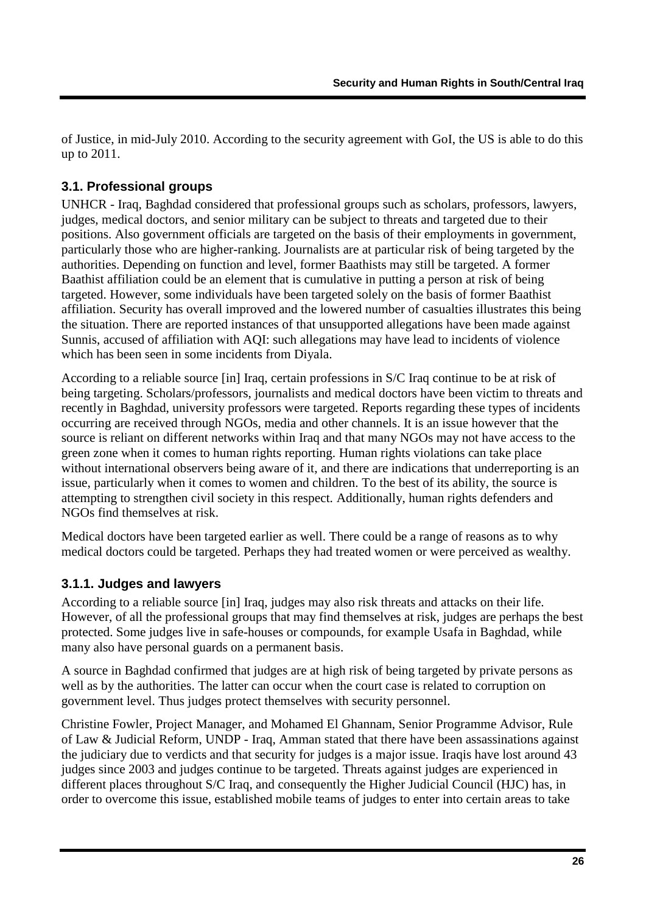of Justice, in mid-July 2010. According to the security agreement with GoI, the US is able to do this up to 2011.

### <span id="page-27-0"></span>**3.1. Professional groups**

UNHCR - Iraq, Baghdad considered that professional groups such as scholars, professors, lawyers, judges, medical doctors, and senior military can be subject to threats and targeted due to their positions. Also government officials are targeted on the basis of their employments in government, particularly those who are higher-ranking. Journalists are at particular risk of being targeted by the authorities. Depending on function and level, former Baathists may still be targeted. A former Baathist affiliation could be an element that is cumulative in putting a person at risk of being targeted. However, some individuals have been targeted solely on the basis of former Baathist affiliation. Security has overall improved and the lowered number of casualties illustrates this being the situation. There are reported instances of that unsupported allegations have been made against Sunnis, accused of affiliation with AQI: such allegations may have lead to incidents of violence which has been seen in some incidents from Diyala.

According to a reliable source [in] Iraq, certain professions in S/C Iraq continue to be at risk of being targeting. Scholars/professors, journalists and medical doctors have been victim to threats and recently in Baghdad, university professors were targeted. Reports regarding these types of incidents occurring are received through NGOs, media and other channels. It is an issue however that the source is reliant on different networks within Iraq and that many NGOs may not have access to the green zone when it comes to human rights reporting. Human rights violations can take place without international observers being aware of it, and there are indications that underreporting is an issue, particularly when it comes to women and children. To the best of its ability, the source is attempting to strengthen civil society in this respect. Additionally, human rights defenders and NGOs find themselves at risk.

Medical doctors have been targeted earlier as well. There could be a range of reasons as to why medical doctors could be targeted. Perhaps they had treated women or were perceived as wealthy.

### <span id="page-27-1"></span>**3.1.1. Judges and lawyers**

According to a reliable source [in] Iraq, judges may also risk threats and attacks on their life. However, of all the professional groups that may find themselves at risk, judges are perhaps the best protected. Some judges live in safe-houses or compounds, for example Usafa in Baghdad, while many also have personal guards on a permanent basis.

A source in Baghdad confirmed that judges are at high risk of being targeted by private persons as well as by the authorities. The latter can occur when the court case is related to corruption on government level. Thus judges protect themselves with security personnel.

Christine Fowler, Project Manager, and Mohamed El Ghannam, Senior Programme Advisor, Rule of Law & Judicial Reform, UNDP - Iraq, Amman stated that there have been assassinations against the judiciary due to verdicts and that security for judges is a major issue. Iraqis have lost around 43 judges since 2003 and judges continue to be targeted. Threats against judges are experienced in different places throughout S/C Iraq, and consequently the Higher Judicial Council (HJC) has, in order to overcome this issue, established mobile teams of judges to enter into certain areas to take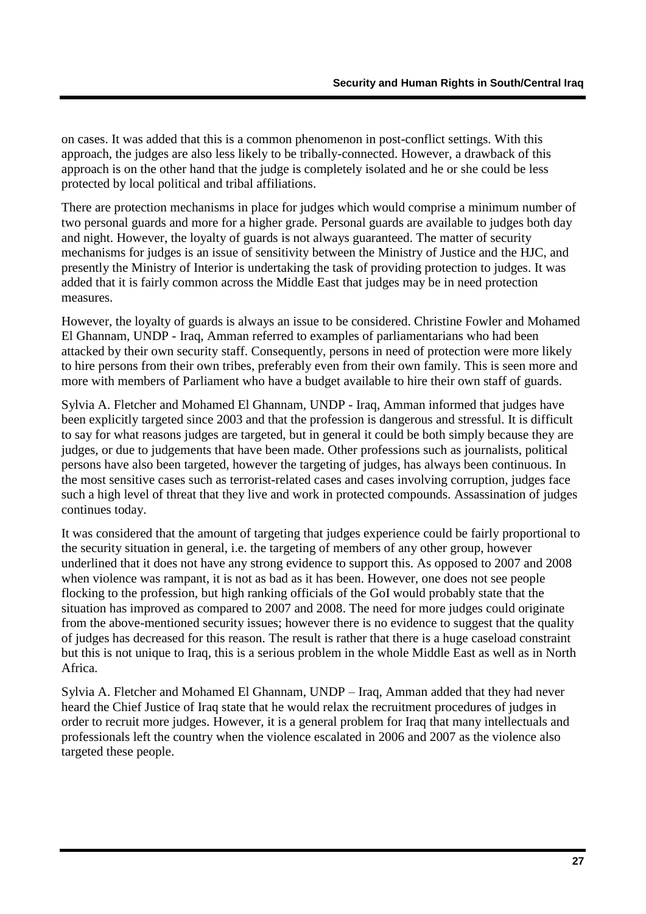on cases. It was added that this is a common phenomenon in post-conflict settings. With this approach, the judges are also less likely to be tribally-connected. However, a drawback of this approach is on the other hand that the judge is completely isolated and he or she could be less protected by local political and tribal affiliations.

There are protection mechanisms in place for judges which would comprise a minimum number of two personal guards and more for a higher grade. Personal guards are available to judges both day and night. However, the loyalty of guards is not always guaranteed. The matter of security mechanisms for judges is an issue of sensitivity between the Ministry of Justice and the HJC, and presently the Ministry of Interior is undertaking the task of providing protection to judges. It was added that it is fairly common across the Middle East that judges may be in need protection measures.

However, the loyalty of guards is always an issue to be considered. Christine Fowler and Mohamed El Ghannam, UNDP - Iraq, Amman referred to examples of parliamentarians who had been attacked by their own security staff. Consequently, persons in need of protection were more likely to hire persons from their own tribes, preferably even from their own family. This is seen more and more with members of Parliament who have a budget available to hire their own staff of guards.

Sylvia A. Fletcher and Mohamed El Ghannam, UNDP - Iraq, Amman informed that judges have been explicitly targeted since 2003 and that the profession is dangerous and stressful. It is difficult to say for what reasons judges are targeted, but in general it could be both simply because they are judges, or due to judgements that have been made. Other professions such as journalists, political persons have also been targeted, however the targeting of judges, has always been continuous. In the most sensitive cases such as terrorist-related cases and cases involving corruption, judges face such a high level of threat that they live and work in protected compounds. Assassination of judges continues today.

It was considered that the amount of targeting that judges experience could be fairly proportional to the security situation in general, i.e. the targeting of members of any other group, however underlined that it does not have any strong evidence to support this. As opposed to 2007 and 2008 when violence was rampant, it is not as bad as it has been. However, one does not see people flocking to the profession, but high ranking officials of the GoI would probably state that the situation has improved as compared to 2007 and 2008. The need for more judges could originate from the above-mentioned security issues; however there is no evidence to suggest that the quality of judges has decreased for this reason. The result is rather that there is a huge caseload constraint but this is not unique to Iraq, this is a serious problem in the whole Middle East as well as in North Africa.

Sylvia A. Fletcher and Mohamed El Ghannam, UNDP – Iraq, Amman added that they had never heard the Chief Justice of Iraq state that he would relax the recruitment procedures of judges in order to recruit more judges. However, it is a general problem for Iraq that many intellectuals and professionals left the country when the violence escalated in 2006 and 2007 as the violence also targeted these people.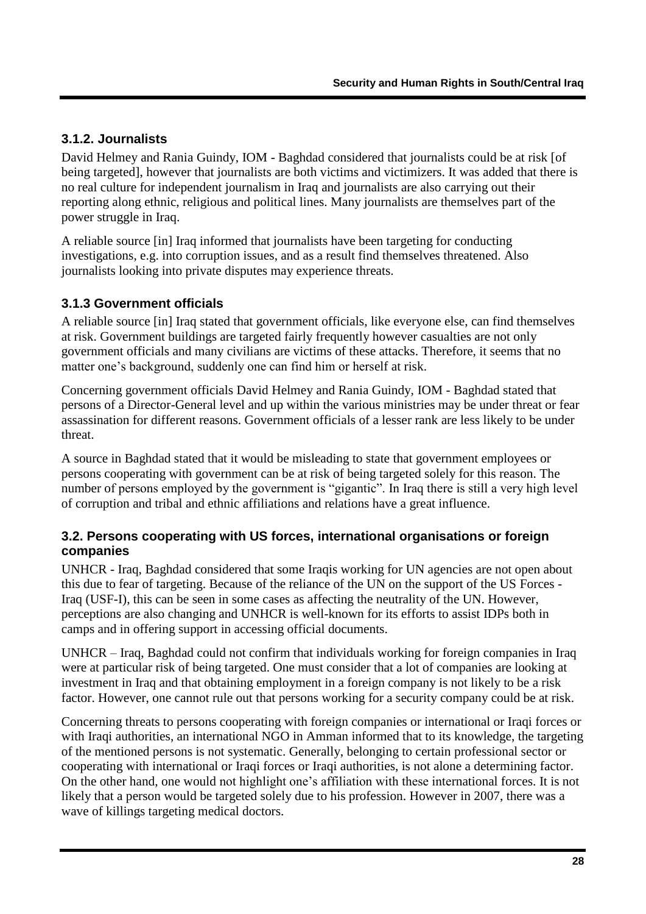### <span id="page-29-0"></span>**3.1.2. Journalists**

David Helmey and Rania Guindy, IOM - Baghdad considered that journalists could be at risk [of being targeted], however that journalists are both victims and victimizers. It was added that there is no real culture for independent journalism in Iraq and journalists are also carrying out their reporting along ethnic, religious and political lines. Many journalists are themselves part of the power struggle in Iraq.

A reliable source [in] Iraq informed that journalists have been targeting for conducting investigations, e.g. into corruption issues, and as a result find themselves threatened. Also journalists looking into private disputes may experience threats.

### <span id="page-29-1"></span>**3.1.3 Government officials**

A reliable source [in] Iraq stated that government officials, like everyone else, can find themselves at risk. Government buildings are targeted fairly frequently however casualties are not only government officials and many civilians are victims of these attacks. Therefore, it seems that no matter one's background, suddenly one can find him or herself at risk.

Concerning government officials David Helmey and Rania Guindy, IOM - Baghdad stated that persons of a Director-General level and up within the various ministries may be under threat or fear assassination for different reasons. Government officials of a lesser rank are less likely to be under threat.

A source in Baghdad stated that it would be misleading to state that government employees or persons cooperating with government can be at risk of being targeted solely for this reason. The number of persons employed by the government is "gigantic". In Iraq there is still a very high level of corruption and tribal and ethnic affiliations and relations have a great influence.

#### <span id="page-29-2"></span>**3.2. Persons cooperating with US forces, international organisations or foreign companies**

UNHCR - Iraq, Baghdad considered that some Iraqis working for UN agencies are not open about this due to fear of targeting. Because of the reliance of the UN on the support of the US Forces - Iraq (USF-I), this can be seen in some cases as affecting the neutrality of the UN. However, perceptions are also changing and UNHCR is well-known for its efforts to assist IDPs both in camps and in offering support in accessing official documents.

UNHCR – Iraq, Baghdad could not confirm that individuals working for foreign companies in Iraq were at particular risk of being targeted. One must consider that a lot of companies are looking at investment in Iraq and that obtaining employment in a foreign company is not likely to be a risk factor. However, one cannot rule out that persons working for a security company could be at risk.

Concerning threats to persons cooperating with foreign companies or international or Iraqi forces or with Iraqi authorities, an international NGO in Amman informed that to its knowledge, the targeting of the mentioned persons is not systematic. Generally, belonging to certain professional sector or cooperating with international or Iraqi forces or Iraqi authorities, is not alone a determining factor. On the other hand, one would not highlight one"s affiliation with these international forces. It is not likely that a person would be targeted solely due to his profession. However in 2007, there was a wave of killings targeting medical doctors.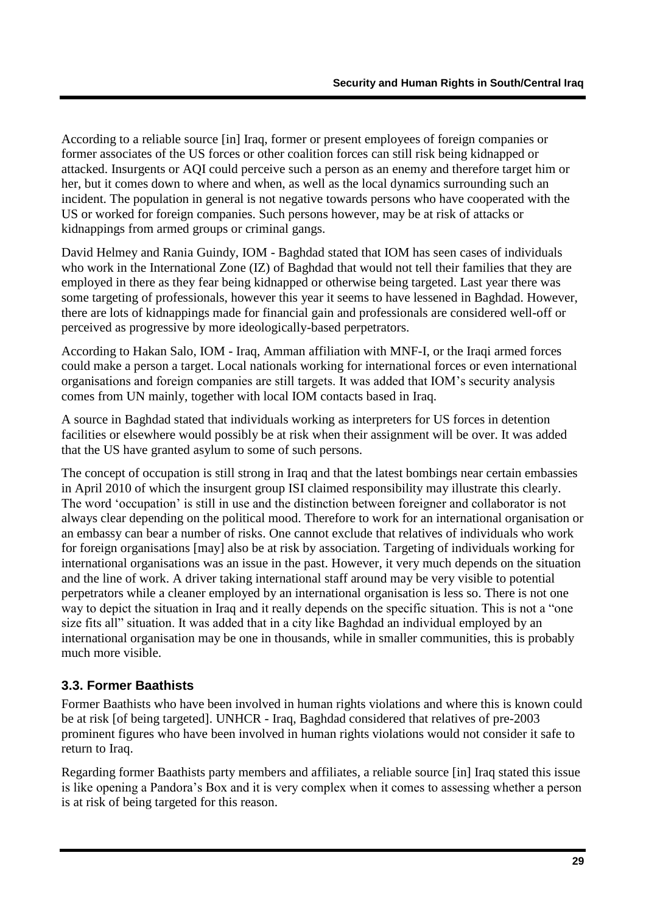According to a reliable source [in] Iraq, former or present employees of foreign companies or former associates of the US forces or other coalition forces can still risk being kidnapped or attacked. Insurgents or AQI could perceive such a person as an enemy and therefore target him or her, but it comes down to where and when, as well as the local dynamics surrounding such an incident. The population in general is not negative towards persons who have cooperated with the US or worked for foreign companies. Such persons however, may be at risk of attacks or kidnappings from armed groups or criminal gangs.

David Helmey and Rania Guindy, IOM - Baghdad stated that IOM has seen cases of individuals who work in the International Zone (IZ) of Baghdad that would not tell their families that they are employed in there as they fear being kidnapped or otherwise being targeted. Last year there was some targeting of professionals, however this year it seems to have lessened in Baghdad. However, there are lots of kidnappings made for financial gain and professionals are considered well-off or perceived as progressive by more ideologically-based perpetrators.

According to Hakan Salo, IOM - Iraq, Amman affiliation with MNF-I, or the Iraqi armed forces could make a person a target. Local nationals working for international forces or even international organisations and foreign companies are still targets. It was added that IOM"s security analysis comes from UN mainly, together with local IOM contacts based in Iraq.

A source in Baghdad stated that individuals working as interpreters for US forces in detention facilities or elsewhere would possibly be at risk when their assignment will be over. It was added that the US have granted asylum to some of such persons.

The concept of occupation is still strong in Iraq and that the latest bombings near certain embassies in April 2010 of which the insurgent group ISI claimed responsibility may illustrate this clearly. The word 'occupation' is still in use and the distinction between foreigner and collaborator is not always clear depending on the political mood. Therefore to work for an international organisation or an embassy can bear a number of risks. One cannot exclude that relatives of individuals who work for foreign organisations [may] also be at risk by association. Targeting of individuals working for international organisations was an issue in the past. However, it very much depends on the situation and the line of work. A driver taking international staff around may be very visible to potential perpetrators while a cleaner employed by an international organisation is less so. There is not one way to depict the situation in Iraq and it really depends on the specific situation. This is not a "one size fits all" situation. It was added that in a city like Baghdad an individual employed by an international organisation may be one in thousands, while in smaller communities, this is probably much more visible.

### <span id="page-30-0"></span>**3.3. Former Baathists**

Former Baathists who have been involved in human rights violations and where this is known could be at risk [of being targeted]. UNHCR - Iraq, Baghdad considered that relatives of pre-2003 prominent figures who have been involved in human rights violations would not consider it safe to return to Iraq.

Regarding former Baathists party members and affiliates, a reliable source [in] Iraq stated this issue is like opening a Pandora"s Box and it is very complex when it comes to assessing whether a person is at risk of being targeted for this reason.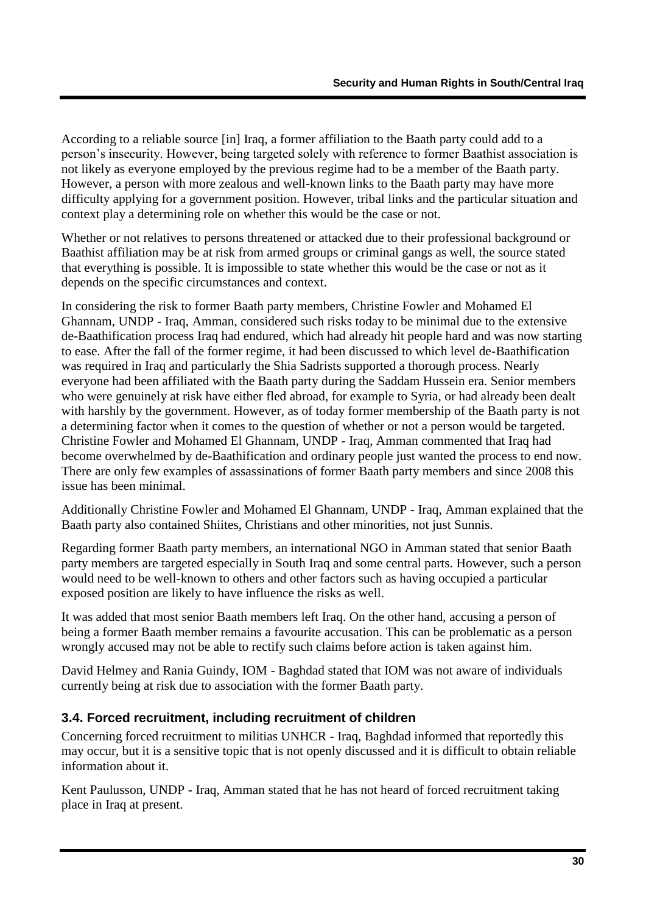According to a reliable source [in] Iraq, a former affiliation to the Baath party could add to a person"s insecurity. However, being targeted solely with reference to former Baathist association is not likely as everyone employed by the previous regime had to be a member of the Baath party. However, a person with more zealous and well-known links to the Baath party may have more difficulty applying for a government position. However, tribal links and the particular situation and context play a determining role on whether this would be the case or not.

Whether or not relatives to persons threatened or attacked due to their professional background or Baathist affiliation may be at risk from armed groups or criminal gangs as well, the source stated that everything is possible. It is impossible to state whether this would be the case or not as it depends on the specific circumstances and context.

In considering the risk to former Baath party members, Christine Fowler and Mohamed El Ghannam, UNDP - Iraq, Amman, considered such risks today to be minimal due to the extensive de-Baathification process Iraq had endured, which had already hit people hard and was now starting to ease. After the fall of the former regime, it had been discussed to which level de-Baathification was required in Iraq and particularly the Shia Sadrists supported a thorough process. Nearly everyone had been affiliated with the Baath party during the Saddam Hussein era. Senior members who were genuinely at risk have either fled abroad, for example to Syria, or had already been dealt with harshly by the government. However, as of today former membership of the Baath party is not a determining factor when it comes to the question of whether or not a person would be targeted. Christine Fowler and Mohamed El Ghannam, UNDP - Iraq, Amman commented that Iraq had become overwhelmed by de-Baathification and ordinary people just wanted the process to end now. There are only few examples of assassinations of former Baath party members and since 2008 this issue has been minimal.

Additionally Christine Fowler and Mohamed El Ghannam, UNDP - Iraq, Amman explained that the Baath party also contained Shiites, Christians and other minorities, not just Sunnis.

Regarding former Baath party members, an international NGO in Amman stated that senior Baath party members are targeted especially in South Iraq and some central parts. However, such a person would need to be well-known to others and other factors such as having occupied a particular exposed position are likely to have influence the risks as well.

It was added that most senior Baath members left Iraq. On the other hand, accusing a person of being a former Baath member remains a favourite accusation. This can be problematic as a person wrongly accused may not be able to rectify such claims before action is taken against him.

David Helmey and Rania Guindy, IOM - Baghdad stated that IOM was not aware of individuals currently being at risk due to association with the former Baath party.

#### <span id="page-31-0"></span>**3.4. Forced recruitment, including recruitment of children**

Concerning forced recruitment to militias UNHCR - Iraq, Baghdad informed that reportedly this may occur, but it is a sensitive topic that is not openly discussed and it is difficult to obtain reliable information about it.

Kent Paulusson, UNDP - Iraq, Amman stated that he has not heard of forced recruitment taking place in Iraq at present.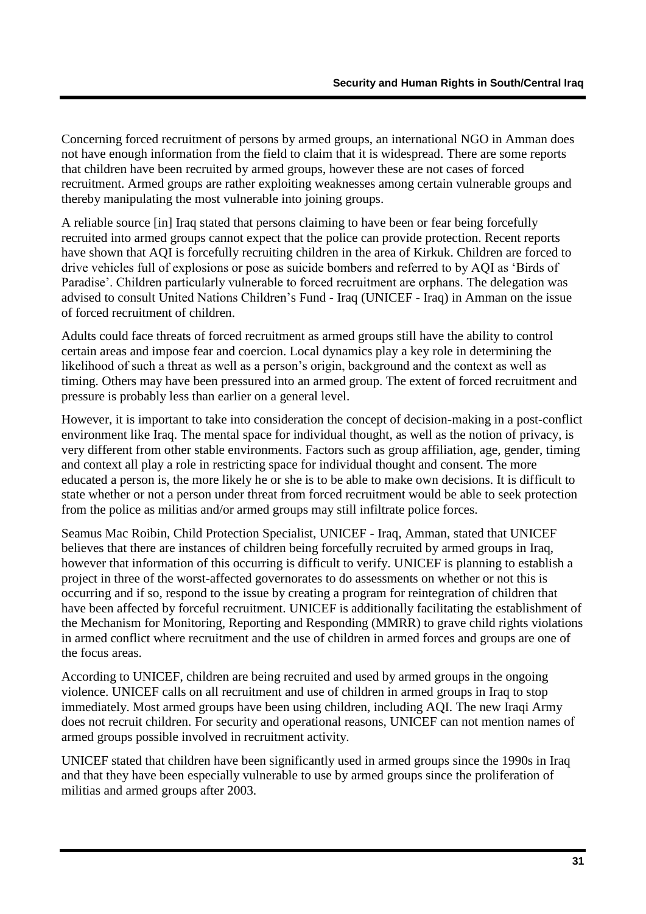Concerning forced recruitment of persons by armed groups, an international NGO in Amman does not have enough information from the field to claim that it is widespread. There are some reports that children have been recruited by armed groups, however these are not cases of forced recruitment. Armed groups are rather exploiting weaknesses among certain vulnerable groups and thereby manipulating the most vulnerable into joining groups.

A reliable source [in] Iraq stated that persons claiming to have been or fear being forcefully recruited into armed groups cannot expect that the police can provide protection. Recent reports have shown that AQI is forcefully recruiting children in the area of Kirkuk. Children are forced to drive vehicles full of explosions or pose as suicide bombers and referred to by AQI as "Birds of Paradise'. Children particularly vulnerable to forced recruitment are orphans. The delegation was advised to consult United Nations Children"s Fund - Iraq (UNICEF - Iraq) in Amman on the issue of forced recruitment of children.

Adults could face threats of forced recruitment as armed groups still have the ability to control certain areas and impose fear and coercion. Local dynamics play a key role in determining the likelihood of such a threat as well as a person's origin, background and the context as well as timing. Others may have been pressured into an armed group. The extent of forced recruitment and pressure is probably less than earlier on a general level.

However, it is important to take into consideration the concept of decision-making in a post-conflict environment like Iraq. The mental space for individual thought, as well as the notion of privacy, is very different from other stable environments. Factors such as group affiliation, age, gender, timing and context all play a role in restricting space for individual thought and consent. The more educated a person is, the more likely he or she is to be able to make own decisions. It is difficult to state whether or not a person under threat from forced recruitment would be able to seek protection from the police as militias and/or armed groups may still infiltrate police forces.

Seamus Mac Roibin, Child Protection Specialist, UNICEF - Iraq, Amman, stated that UNICEF believes that there are instances of children being forcefully recruited by armed groups in Iraq, however that information of this occurring is difficult to verify. UNICEF is planning to establish a project in three of the worst-affected governorates to do assessments on whether or not this is occurring and if so, respond to the issue by creating a program for reintegration of children that have been affected by forceful recruitment. UNICEF is additionally facilitating the establishment of the Mechanism for Monitoring, Reporting and Responding (MMRR) to grave child rights violations in armed conflict where recruitment and the use of children in armed forces and groups are one of the focus areas.

According to UNICEF, children are being recruited and used by armed groups in the ongoing violence. UNICEF calls on all recruitment and use of children in armed groups in Iraq to stop immediately. Most armed groups have been using children, including AQI. The new Iraqi Army does not recruit children. For security and operational reasons, UNICEF can not mention names of armed groups possible involved in recruitment activity.

UNICEF stated that children have been significantly used in armed groups since the 1990s in Iraq and that they have been especially vulnerable to use by armed groups since the proliferation of militias and armed groups after 2003.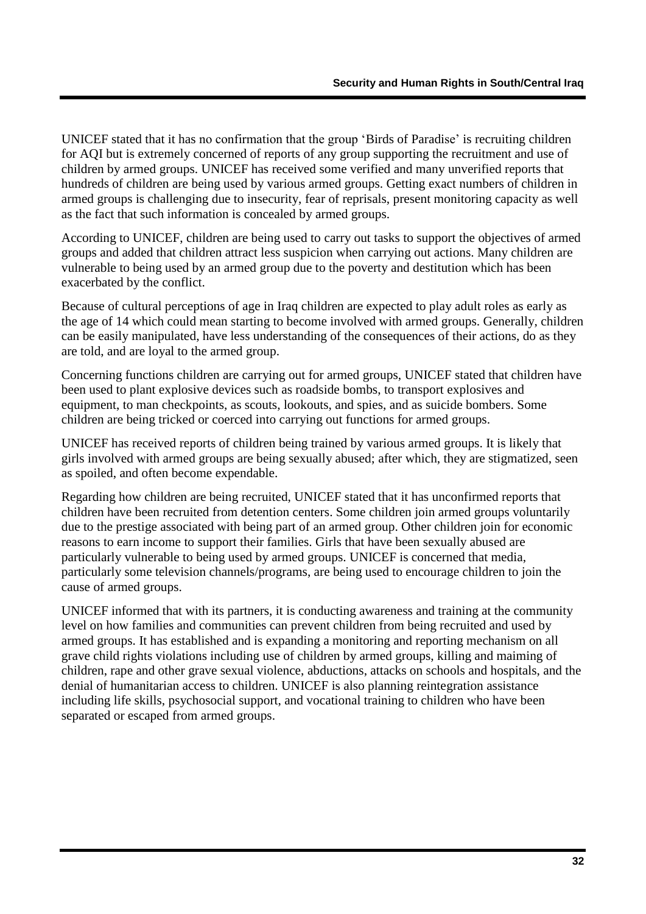UNICEF stated that it has no confirmation that the group "Birds of Paradise" is recruiting children for AQI but is extremely concerned of reports of any group supporting the recruitment and use of children by armed groups. UNICEF has received some verified and many unverified reports that hundreds of children are being used by various armed groups. Getting exact numbers of children in armed groups is challenging due to insecurity, fear of reprisals, present monitoring capacity as well as the fact that such information is concealed by armed groups.

According to UNICEF, children are being used to carry out tasks to support the objectives of armed groups and added that children attract less suspicion when carrying out actions. Many children are vulnerable to being used by an armed group due to the poverty and destitution which has been exacerbated by the conflict.

Because of cultural perceptions of age in Iraq children are expected to play adult roles as early as the age of 14 which could mean starting to become involved with armed groups. Generally, children can be easily manipulated, have less understanding of the consequences of their actions, do as they are told, and are loyal to the armed group.

Concerning functions children are carrying out for armed groups, UNICEF stated that children have been used to plant explosive devices such as roadside bombs, to transport explosives and equipment, to man checkpoints, as scouts, lookouts, and spies, and as suicide bombers. Some children are being tricked or coerced into carrying out functions for armed groups.

UNICEF has received reports of children being trained by various armed groups. It is likely that girls involved with armed groups are being sexually abused; after which, they are stigmatized, seen as spoiled, and often become expendable.

Regarding how children are being recruited, UNICEF stated that it has unconfirmed reports that children have been recruited from detention centers. Some children join armed groups voluntarily due to the prestige associated with being part of an armed group. Other children join for economic reasons to earn income to support their families. Girls that have been sexually abused are particularly vulnerable to being used by armed groups. UNICEF is concerned that media, particularly some television channels/programs, are being used to encourage children to join the cause of armed groups.

UNICEF informed that with its partners, it is conducting awareness and training at the community level on how families and communities can prevent children from being recruited and used by armed groups. It has established and is expanding a monitoring and reporting mechanism on all grave child rights violations including use of children by armed groups, killing and maiming of children, rape and other grave sexual violence, abductions, attacks on schools and hospitals, and the denial of humanitarian access to children. UNICEF is also planning reintegration assistance including life skills, psychosocial support, and vocational training to children who have been separated or escaped from armed groups.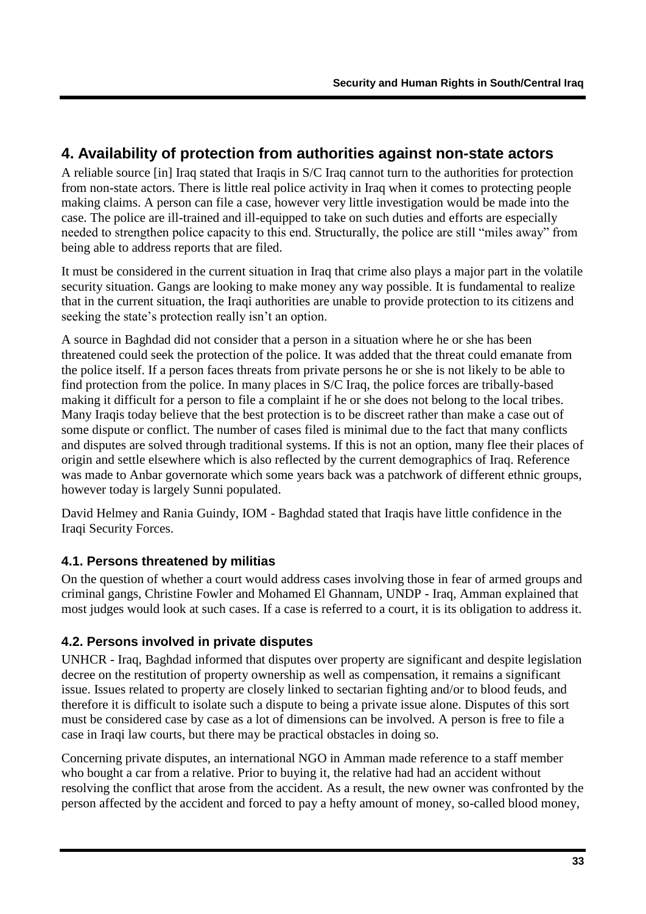## <span id="page-34-0"></span>**4. Availability of protection from authorities against non-state actors**

A reliable source [in] Iraq stated that Iraqis in S/C Iraq cannot turn to the authorities for protection from non-state actors. There is little real police activity in Iraq when it comes to protecting people making claims. A person can file a case, however very little investigation would be made into the case. The police are ill-trained and ill-equipped to take on such duties and efforts are especially needed to strengthen police capacity to this end. Structurally, the police are still "miles away" from being able to address reports that are filed.

It must be considered in the current situation in Iraq that crime also plays a major part in the volatile security situation. Gangs are looking to make money any way possible. It is fundamental to realize that in the current situation, the Iraqi authorities are unable to provide protection to its citizens and seeking the state's protection really isn't an option.

A source in Baghdad did not consider that a person in a situation where he or she has been threatened could seek the protection of the police. It was added that the threat could emanate from the police itself. If a person faces threats from private persons he or she is not likely to be able to find protection from the police. In many places in S/C Iraq, the police forces are tribally-based making it difficult for a person to file a complaint if he or she does not belong to the local tribes. Many Iraqis today believe that the best protection is to be discreet rather than make a case out of some dispute or conflict. The number of cases filed is minimal due to the fact that many conflicts and disputes are solved through traditional systems. If this is not an option, many flee their places of origin and settle elsewhere which is also reflected by the current demographics of Iraq. Reference was made to Anbar governorate which some years back was a patchwork of different ethnic groups, however today is largely Sunni populated.

David Helmey and Rania Guindy, IOM - Baghdad stated that Iraqis have little confidence in the Iraqi Security Forces.

### <span id="page-34-1"></span>**4.1. Persons threatened by militias**

On the question of whether a court would address cases involving those in fear of armed groups and criminal gangs, Christine Fowler and Mohamed El Ghannam, UNDP - Iraq, Amman explained that most judges would look at such cases. If a case is referred to a court, it is its obligation to address it.

### <span id="page-34-2"></span>**4.2. Persons involved in private disputes**

UNHCR - Iraq, Baghdad informed that disputes over property are significant and despite legislation decree on the restitution of property ownership as well as compensation, it remains a significant issue. Issues related to property are closely linked to sectarian fighting and/or to blood feuds, and therefore it is difficult to isolate such a dispute to being a private issue alone. Disputes of this sort must be considered case by case as a lot of dimensions can be involved. A person is free to file a case in Iraqi law courts, but there may be practical obstacles in doing so.

Concerning private disputes, an international NGO in Amman made reference to a staff member who bought a car from a relative. Prior to buying it, the relative had had an accident without resolving the conflict that arose from the accident. As a result, the new owner was confronted by the person affected by the accident and forced to pay a hefty amount of money, so-called blood money,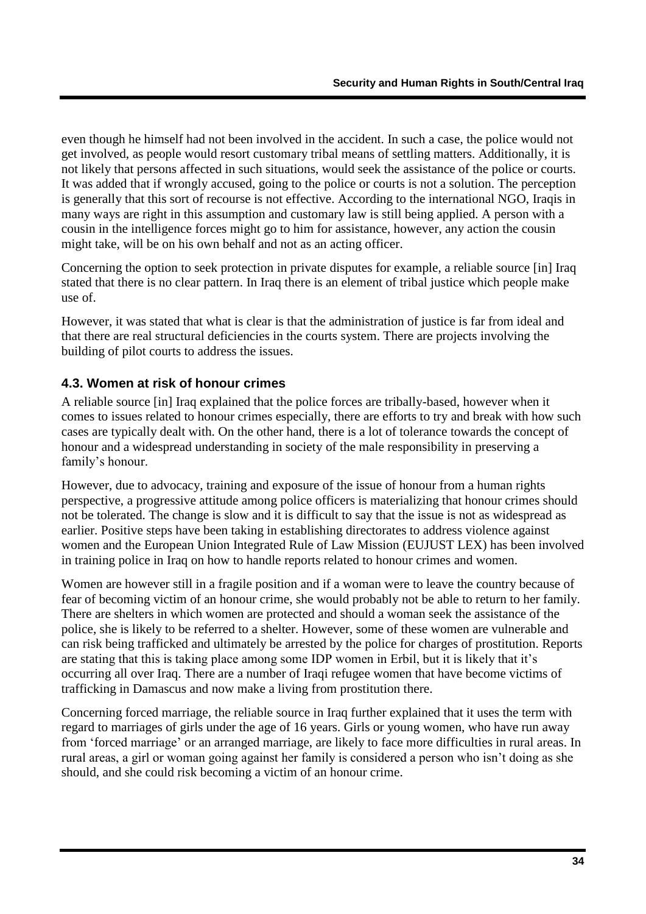even though he himself had not been involved in the accident. In such a case, the police would not get involved, as people would resort customary tribal means of settling matters. Additionally, it is not likely that persons affected in such situations, would seek the assistance of the police or courts. It was added that if wrongly accused, going to the police or courts is not a solution. The perception is generally that this sort of recourse is not effective. According to the international NGO, Iraqis in many ways are right in this assumption and customary law is still being applied. A person with a cousin in the intelligence forces might go to him for assistance, however, any action the cousin might take, will be on his own behalf and not as an acting officer.

Concerning the option to seek protection in private disputes for example, a reliable source [in] Iraq stated that there is no clear pattern. In Iraq there is an element of tribal justice which people make use of.

However, it was stated that what is clear is that the administration of justice is far from ideal and that there are real structural deficiencies in the courts system. There are projects involving the building of pilot courts to address the issues.

#### <span id="page-35-0"></span>**4.3. Women at risk of honour crimes**

A reliable source [in] Iraq explained that the police forces are tribally-based, however when it comes to issues related to honour crimes especially, there are efforts to try and break with how such cases are typically dealt with. On the other hand, there is a lot of tolerance towards the concept of honour and a widespread understanding in society of the male responsibility in preserving a family's honour.

However, due to advocacy, training and exposure of the issue of honour from a human rights perspective, a progressive attitude among police officers is materializing that honour crimes should not be tolerated. The change is slow and it is difficult to say that the issue is not as widespread as earlier. Positive steps have been taking in establishing directorates to address violence against women and the European Union Integrated Rule of Law Mission (EUJUST LEX) has been involved in training police in Iraq on how to handle reports related to honour crimes and women.

Women are however still in a fragile position and if a woman were to leave the country because of fear of becoming victim of an honour crime, she would probably not be able to return to her family. There are shelters in which women are protected and should a woman seek the assistance of the police, she is likely to be referred to a shelter. However, some of these women are vulnerable and can risk being trafficked and ultimately be arrested by the police for charges of prostitution. Reports are stating that this is taking place among some IDP women in Erbil, but it is likely that it"s occurring all over Iraq. There are a number of Iraqi refugee women that have become victims of trafficking in Damascus and now make a living from prostitution there.

Concerning forced marriage, the reliable source in Iraq further explained that it uses the term with regard to marriages of girls under the age of 16 years. Girls or young women, who have run away from "forced marriage" or an arranged marriage, are likely to face more difficulties in rural areas. In rural areas, a girl or woman going against her family is considered a person who isn"t doing as she should, and she could risk becoming a victim of an honour crime.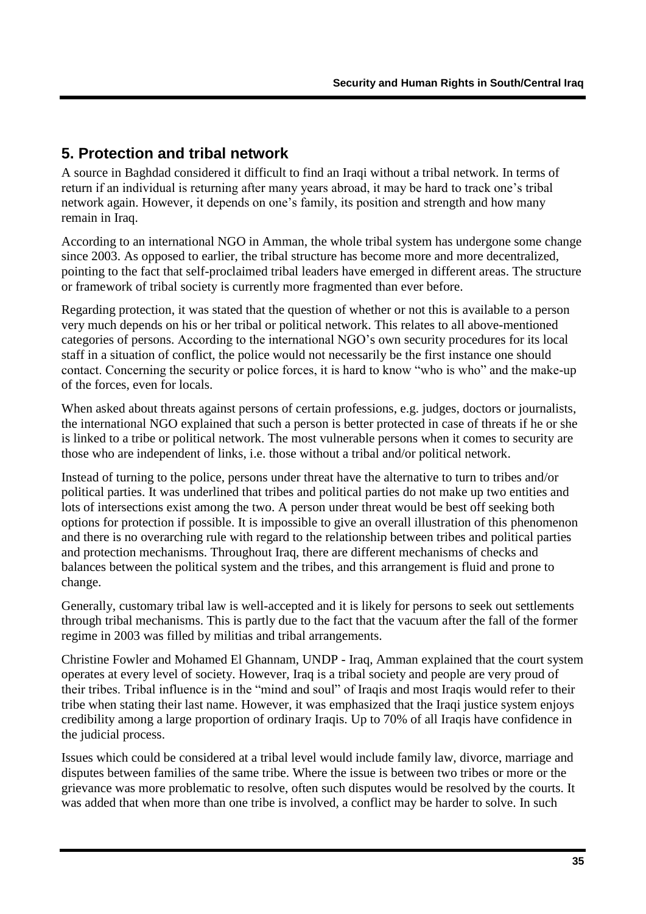## <span id="page-36-0"></span>**5. Protection and tribal network**

A source in Baghdad considered it difficult to find an Iraqi without a tribal network. In terms of return if an individual is returning after many years abroad, it may be hard to track one"s tribal network again. However, it depends on one"s family, its position and strength and how many remain in Iraq.

According to an international NGO in Amman, the whole tribal system has undergone some change since 2003. As opposed to earlier, the tribal structure has become more and more decentralized, pointing to the fact that self-proclaimed tribal leaders have emerged in different areas. The structure or framework of tribal society is currently more fragmented than ever before.

Regarding protection, it was stated that the question of whether or not this is available to a person very much depends on his or her tribal or political network. This relates to all above-mentioned categories of persons. According to the international NGO"s own security procedures for its local staff in a situation of conflict, the police would not necessarily be the first instance one should contact. Concerning the security or police forces, it is hard to know "who is who" and the make-up of the forces, even for locals.

When asked about threats against persons of certain professions, e.g. judges, doctors or journalists, the international NGO explained that such a person is better protected in case of threats if he or she is linked to a tribe or political network. The most vulnerable persons when it comes to security are those who are independent of links, i.e. those without a tribal and/or political network.

Instead of turning to the police, persons under threat have the alternative to turn to tribes and/or political parties. It was underlined that tribes and political parties do not make up two entities and lots of intersections exist among the two. A person under threat would be best off seeking both options for protection if possible. It is impossible to give an overall illustration of this phenomenon and there is no overarching rule with regard to the relationship between tribes and political parties and protection mechanisms. Throughout Iraq, there are different mechanisms of checks and balances between the political system and the tribes, and this arrangement is fluid and prone to change.

Generally, customary tribal law is well-accepted and it is likely for persons to seek out settlements through tribal mechanisms. This is partly due to the fact that the vacuum after the fall of the former regime in 2003 was filled by militias and tribal arrangements.

Christine Fowler and Mohamed El Ghannam, UNDP - Iraq, Amman explained that the court system operates at every level of society. However, Iraq is a tribal society and people are very proud of their tribes. Tribal influence is in the "mind and soul" of Iraqis and most Iraqis would refer to their tribe when stating their last name. However, it was emphasized that the Iraqi justice system enjoys credibility among a large proportion of ordinary Iraqis. Up to 70% of all Iraqis have confidence in the judicial process.

Issues which could be considered at a tribal level would include family law, divorce, marriage and disputes between families of the same tribe. Where the issue is between two tribes or more or the grievance was more problematic to resolve, often such disputes would be resolved by the courts. It was added that when more than one tribe is involved, a conflict may be harder to solve. In such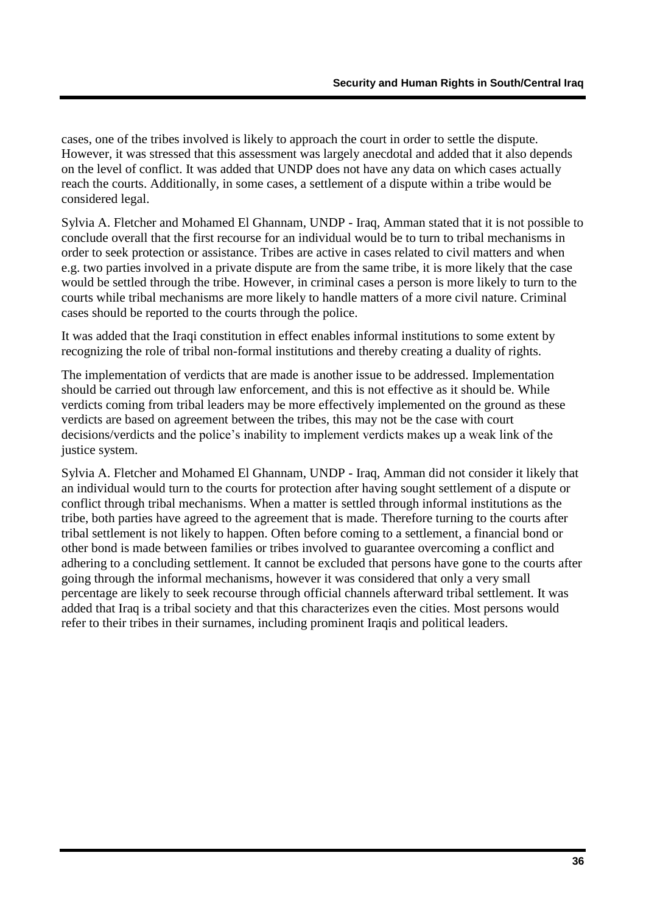cases, one of the tribes involved is likely to approach the court in order to settle the dispute. However, it was stressed that this assessment was largely anecdotal and added that it also depends on the level of conflict. It was added that UNDP does not have any data on which cases actually reach the courts. Additionally, in some cases, a settlement of a dispute within a tribe would be considered legal.

Sylvia A. Fletcher and Mohamed El Ghannam, UNDP - Iraq, Amman stated that it is not possible to conclude overall that the first recourse for an individual would be to turn to tribal mechanisms in order to seek protection or assistance. Tribes are active in cases related to civil matters and when e.g. two parties involved in a private dispute are from the same tribe, it is more likely that the case would be settled through the tribe. However, in criminal cases a person is more likely to turn to the courts while tribal mechanisms are more likely to handle matters of a more civil nature. Criminal cases should be reported to the courts through the police.

It was added that the Iraqi constitution in effect enables informal institutions to some extent by recognizing the role of tribal non-formal institutions and thereby creating a duality of rights.

The implementation of verdicts that are made is another issue to be addressed. Implementation should be carried out through law enforcement, and this is not effective as it should be. While verdicts coming from tribal leaders may be more effectively implemented on the ground as these verdicts are based on agreement between the tribes, this may not be the case with court decisions/verdicts and the police's inability to implement verdicts makes up a weak link of the justice system.

Sylvia A. Fletcher and Mohamed El Ghannam, UNDP - Iraq, Amman did not consider it likely that an individual would turn to the courts for protection after having sought settlement of a dispute or conflict through tribal mechanisms. When a matter is settled through informal institutions as the tribe, both parties have agreed to the agreement that is made. Therefore turning to the courts after tribal settlement is not likely to happen. Often before coming to a settlement, a financial bond or other bond is made between families or tribes involved to guarantee overcoming a conflict and adhering to a concluding settlement. It cannot be excluded that persons have gone to the courts after going through the informal mechanisms, however it was considered that only a very small percentage are likely to seek recourse through official channels afterward tribal settlement. It was added that Iraq is a tribal society and that this characterizes even the cities. Most persons would refer to their tribes in their surnames, including prominent Iraqis and political leaders.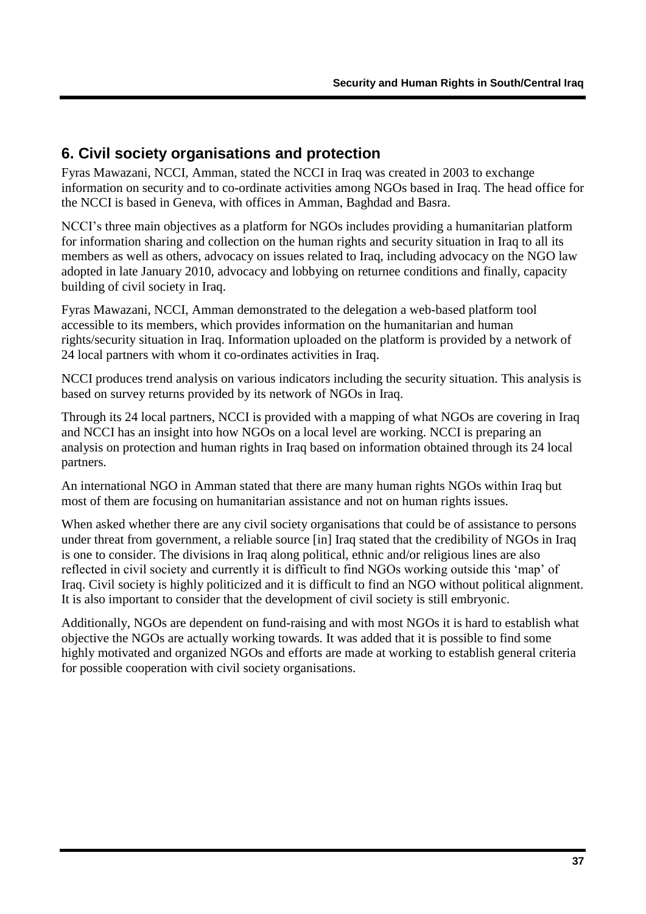## <span id="page-38-0"></span>**6. Civil society organisations and protection**

Fyras Mawazani, NCCI, Amman, stated the NCCI in Iraq was created in 2003 to exchange information on security and to co-ordinate activities among NGOs based in Iraq. The head office for the NCCI is based in Geneva, with offices in Amman, Baghdad and Basra.

NCCI"s three main objectives as a platform for NGOs includes providing a humanitarian platform for information sharing and collection on the human rights and security situation in Iraq to all its members as well as others, advocacy on issues related to Iraq, including advocacy on the NGO law adopted in late January 2010, advocacy and lobbying on returnee conditions and finally, capacity building of civil society in Iraq.

Fyras Mawazani, NCCI, Amman demonstrated to the delegation a web-based platform tool accessible to its members, which provides information on the humanitarian and human rights/security situation in Iraq. Information uploaded on the platform is provided by a network of 24 local partners with whom it co-ordinates activities in Iraq.

NCCI produces trend analysis on various indicators including the security situation. This analysis is based on survey returns provided by its network of NGOs in Iraq.

Through its 24 local partners, NCCI is provided with a mapping of what NGOs are covering in Iraq and NCCI has an insight into how NGOs on a local level are working. NCCI is preparing an analysis on protection and human rights in Iraq based on information obtained through its 24 local partners.

An international NGO in Amman stated that there are many human rights NGOs within Iraq but most of them are focusing on humanitarian assistance and not on human rights issues.

When asked whether there are any civil society organisations that could be of assistance to persons under threat from government, a reliable source [in] Iraq stated that the credibility of NGOs in Iraq is one to consider. The divisions in Iraq along political, ethnic and/or religious lines are also reflected in civil society and currently it is difficult to find NGOs working outside this "map" of Iraq. Civil society is highly politicized and it is difficult to find an NGO without political alignment. It is also important to consider that the development of civil society is still embryonic.

Additionally, NGOs are dependent on fund-raising and with most NGOs it is hard to establish what objective the NGOs are actually working towards. It was added that it is possible to find some highly motivated and organized NGOs and efforts are made at working to establish general criteria for possible cooperation with civil society organisations.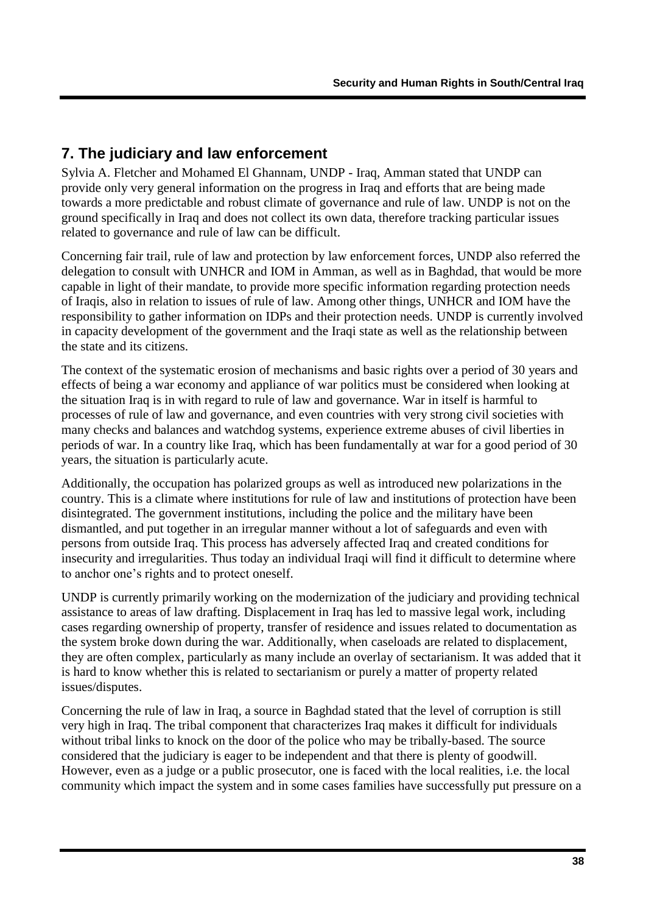## <span id="page-39-0"></span>**7. The judiciary and law enforcement**

Sylvia A. Fletcher and Mohamed El Ghannam, UNDP - Iraq, Amman stated that UNDP can provide only very general information on the progress in Iraq and efforts that are being made towards a more predictable and robust climate of governance and rule of law. UNDP is not on the ground specifically in Iraq and does not collect its own data, therefore tracking particular issues related to governance and rule of law can be difficult.

Concerning fair trail, rule of law and protection by law enforcement forces, UNDP also referred the delegation to consult with UNHCR and IOM in Amman, as well as in Baghdad, that would be more capable in light of their mandate, to provide more specific information regarding protection needs of Iraqis, also in relation to issues of rule of law. Among other things, UNHCR and IOM have the responsibility to gather information on IDPs and their protection needs. UNDP is currently involved in capacity development of the government and the Iraqi state as well as the relationship between the state and its citizens.

The context of the systematic erosion of mechanisms and basic rights over a period of 30 years and effects of being a war economy and appliance of war politics must be considered when looking at the situation Iraq is in with regard to rule of law and governance. War in itself is harmful to processes of rule of law and governance, and even countries with very strong civil societies with many checks and balances and watchdog systems, experience extreme abuses of civil liberties in periods of war. In a country like Iraq, which has been fundamentally at war for a good period of 30 years, the situation is particularly acute.

Additionally, the occupation has polarized groups as well as introduced new polarizations in the country. This is a climate where institutions for rule of law and institutions of protection have been disintegrated. The government institutions, including the police and the military have been dismantled, and put together in an irregular manner without a lot of safeguards and even with persons from outside Iraq. This process has adversely affected Iraq and created conditions for insecurity and irregularities. Thus today an individual Iraqi will find it difficult to determine where to anchor one"s rights and to protect oneself.

UNDP is currently primarily working on the modernization of the judiciary and providing technical assistance to areas of law drafting. Displacement in Iraq has led to massive legal work, including cases regarding ownership of property, transfer of residence and issues related to documentation as the system broke down during the war. Additionally, when caseloads are related to displacement, they are often complex, particularly as many include an overlay of sectarianism. It was added that it is hard to know whether this is related to sectarianism or purely a matter of property related issues/disputes.

Concerning the rule of law in Iraq, a source in Baghdad stated that the level of corruption is still very high in Iraq. The tribal component that characterizes Iraq makes it difficult for individuals without tribal links to knock on the door of the police who may be tribally-based. The source considered that the judiciary is eager to be independent and that there is plenty of goodwill. However, even as a judge or a public prosecutor, one is faced with the local realities, i.e. the local community which impact the system and in some cases families have successfully put pressure on a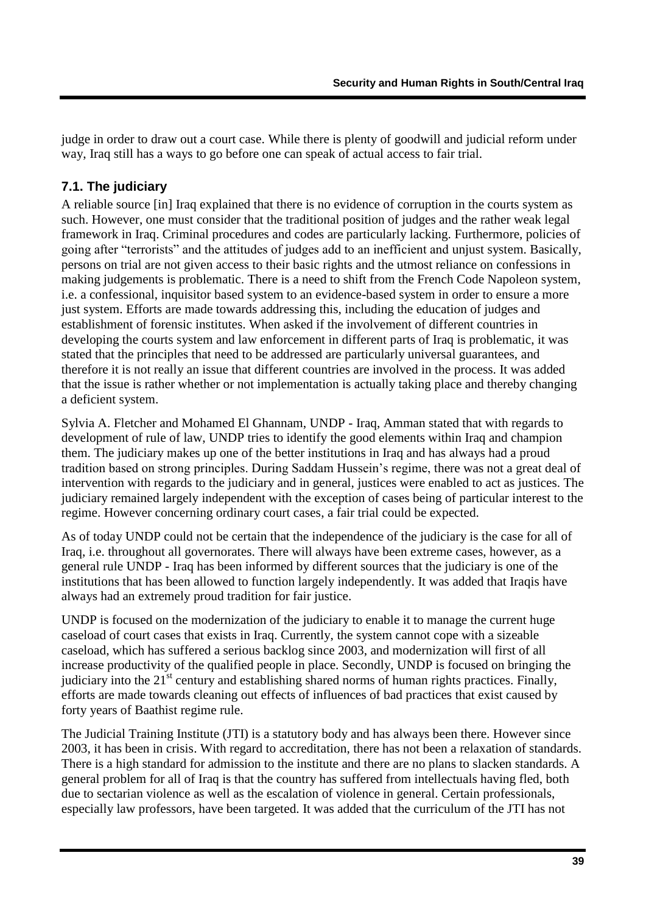judge in order to draw out a court case. While there is plenty of goodwill and judicial reform under way, Iraq still has a ways to go before one can speak of actual access to fair trial.

#### <span id="page-40-0"></span>**7.1. The judiciary**

A reliable source [in] Iraq explained that there is no evidence of corruption in the courts system as such. However, one must consider that the traditional position of judges and the rather weak legal framework in Iraq. Criminal procedures and codes are particularly lacking. Furthermore, policies of going after "terrorists" and the attitudes of judges add to an inefficient and unjust system. Basically, persons on trial are not given access to their basic rights and the utmost reliance on confessions in making judgements is problematic. There is a need to shift from the French Code Napoleon system, i.e. a confessional, inquisitor based system to an evidence-based system in order to ensure a more just system. Efforts are made towards addressing this, including the education of judges and establishment of forensic institutes. When asked if the involvement of different countries in developing the courts system and law enforcement in different parts of Iraq is problematic, it was stated that the principles that need to be addressed are particularly universal guarantees, and therefore it is not really an issue that different countries are involved in the process. It was added that the issue is rather whether or not implementation is actually taking place and thereby changing a deficient system.

Sylvia A. Fletcher and Mohamed El Ghannam, UNDP - Iraq, Amman stated that with regards to development of rule of law. UNDP tries to identify the good elements within Iraq and champion them. The judiciary makes up one of the better institutions in Iraq and has always had a proud tradition based on strong principles. During Saddam Hussein"s regime, there was not a great deal of intervention with regards to the judiciary and in general, justices were enabled to act as justices. The judiciary remained largely independent with the exception of cases being of particular interest to the regime. However concerning ordinary court cases, a fair trial could be expected.

As of today UNDP could not be certain that the independence of the judiciary is the case for all of Iraq, i.e. throughout all governorates. There will always have been extreme cases, however, as a general rule UNDP - Iraq has been informed by different sources that the judiciary is one of the institutions that has been allowed to function largely independently. It was added that Iraqis have always had an extremely proud tradition for fair justice.

UNDP is focused on the modernization of the judiciary to enable it to manage the current huge caseload of court cases that exists in Iraq. Currently, the system cannot cope with a sizeable caseload, which has suffered a serious backlog since 2003, and modernization will first of all increase productivity of the qualified people in place. Secondly, UNDP is focused on bringing the judiciary into the  $21<sup>st</sup>$  century and establishing shared norms of human rights practices. Finally, efforts are made towards cleaning out effects of influences of bad practices that exist caused by forty years of Baathist regime rule.

The Judicial Training Institute (JTI) is a statutory body and has always been there. However since 2003, it has been in crisis. With regard to accreditation, there has not been a relaxation of standards. There is a high standard for admission to the institute and there are no plans to slacken standards. A general problem for all of Iraq is that the country has suffered from intellectuals having fled, both due to sectarian violence as well as the escalation of violence in general. Certain professionals, especially law professors, have been targeted. It was added that the curriculum of the JTI has not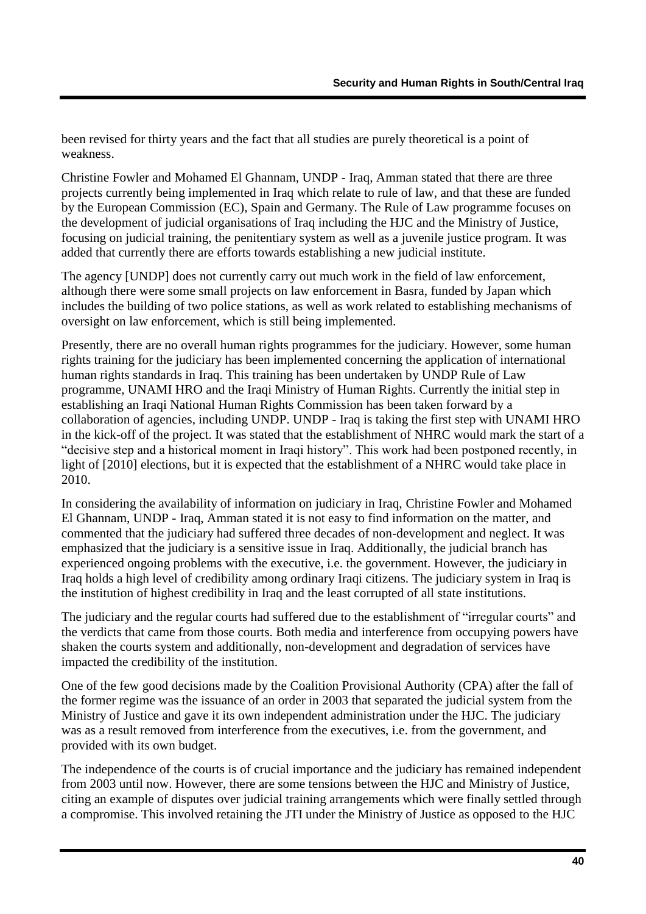been revised for thirty years and the fact that all studies are purely theoretical is a point of weakness.

Christine Fowler and Mohamed El Ghannam, UNDP - Iraq, Amman stated that there are three projects currently being implemented in Iraq which relate to rule of law, and that these are funded by the European Commission (EC), Spain and Germany. The Rule of Law programme focuses on the development of judicial organisations of Iraq including the HJC and the Ministry of Justice, focusing on judicial training, the penitentiary system as well as a juvenile justice program. It was added that currently there are efforts towards establishing a new judicial institute.

The agency [UNDP] does not currently carry out much work in the field of law enforcement, although there were some small projects on law enforcement in Basra, funded by Japan which includes the building of two police stations, as well as work related to establishing mechanisms of oversight on law enforcement, which is still being implemented.

Presently, there are no overall human rights programmes for the judiciary. However, some human rights training for the judiciary has been implemented concerning the application of international human rights standards in Iraq. This training has been undertaken by UNDP Rule of Law programme, UNAMI HRO and the Iraqi Ministry of Human Rights. Currently the initial step in establishing an Iraqi National Human Rights Commission has been taken forward by a collaboration of agencies, including UNDP. UNDP - Iraq is taking the first step with UNAMI HRO in the kick-off of the project. It was stated that the establishment of NHRC would mark the start of a "decisive step and a historical moment in Iraqi history". This work had been postponed recently, in light of [2010] elections, but it is expected that the establishment of a NHRC would take place in 2010.

In considering the availability of information on judiciary in Iraq, Christine Fowler and Mohamed El Ghannam, UNDP - Iraq, Amman stated it is not easy to find information on the matter, and commented that the judiciary had suffered three decades of non-development and neglect. It was emphasized that the judiciary is a sensitive issue in Iraq. Additionally, the judicial branch has experienced ongoing problems with the executive, i.e. the government. However, the judiciary in Iraq holds a high level of credibility among ordinary Iraqi citizens. The judiciary system in Iraq is the institution of highest credibility in Iraq and the least corrupted of all state institutions.

The judiciary and the regular courts had suffered due to the establishment of "irregular courts" and the verdicts that came from those courts. Both media and interference from occupying powers have shaken the courts system and additionally, non-development and degradation of services have impacted the credibility of the institution.

One of the few good decisions made by the Coalition Provisional Authority (CPA) after the fall of the former regime was the issuance of an order in 2003 that separated the judicial system from the Ministry of Justice and gave it its own independent administration under the HJC. The judiciary was as a result removed from interference from the executives, i.e. from the government, and provided with its own budget.

The independence of the courts is of crucial importance and the judiciary has remained independent from 2003 until now. However, there are some tensions between the HJC and Ministry of Justice, citing an example of disputes over judicial training arrangements which were finally settled through a compromise. This involved retaining the JTI under the Ministry of Justice as opposed to the HJC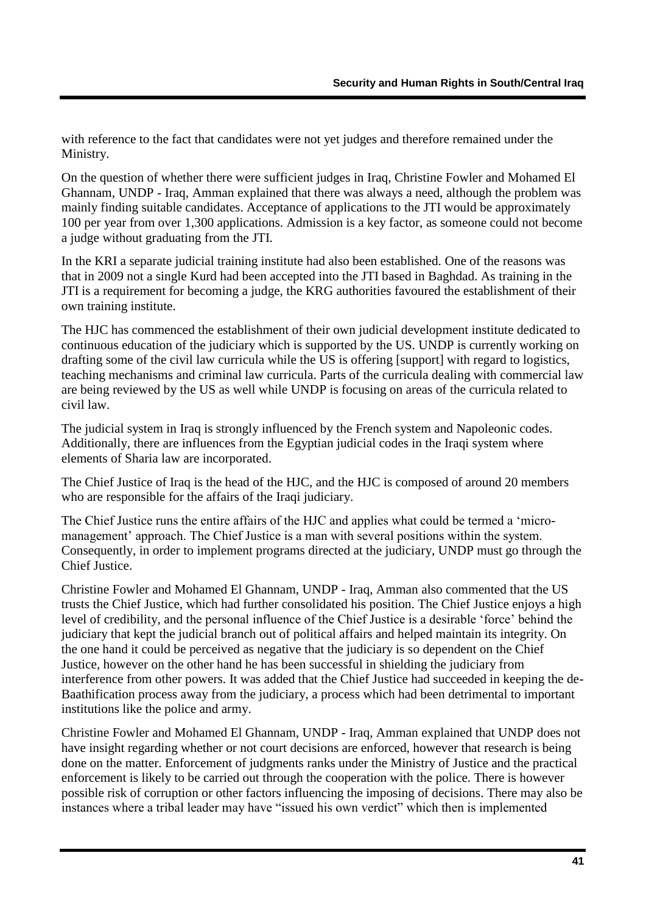with reference to the fact that candidates were not yet judges and therefore remained under the Ministry.

On the question of whether there were sufficient judges in Iraq, Christine Fowler and Mohamed El Ghannam, UNDP - Iraq, Amman explained that there was always a need, although the problem was mainly finding suitable candidates. Acceptance of applications to the JTI would be approximately 100 per year from over 1,300 applications. Admission is a key factor, as someone could not become a judge without graduating from the JTI.

In the KRI a separate judicial training institute had also been established. One of the reasons was that in 2009 not a single Kurd had been accepted into the JTI based in Baghdad. As training in the JTI is a requirement for becoming a judge, the KRG authorities favoured the establishment of their own training institute.

The HJC has commenced the establishment of their own judicial development institute dedicated to continuous education of the judiciary which is supported by the US. UNDP is currently working on drafting some of the civil law curricula while the US is offering [support] with regard to logistics, teaching mechanisms and criminal law curricula. Parts of the curricula dealing with commercial law are being reviewed by the US as well while UNDP is focusing on areas of the curricula related to civil law.

The judicial system in Iraq is strongly influenced by the French system and Napoleonic codes. Additionally, there are influences from the Egyptian judicial codes in the Iraqi system where elements of Sharia law are incorporated.

The Chief Justice of Iraq is the head of the HJC, and the HJC is composed of around 20 members who are responsible for the affairs of the Iraqi judiciary.

The Chief Justice runs the entire affairs of the HJC and applies what could be termed a "micromanagement' approach. The Chief Justice is a man with several positions within the system. Consequently, in order to implement programs directed at the judiciary, UNDP must go through the Chief Justice.

Christine Fowler and Mohamed El Ghannam, UNDP - Iraq, Amman also commented that the US trusts the Chief Justice, which had further consolidated his position. The Chief Justice enjoys a high level of credibility, and the personal influence of the Chief Justice is a desirable "force" behind the judiciary that kept the judicial branch out of political affairs and helped maintain its integrity. On the one hand it could be perceived as negative that the judiciary is so dependent on the Chief Justice, however on the other hand he has been successful in shielding the judiciary from interference from other powers. It was added that the Chief Justice had succeeded in keeping the de-Baathification process away from the judiciary, a process which had been detrimental to important institutions like the police and army.

Christine Fowler and Mohamed El Ghannam, UNDP - Iraq, Amman explained that UNDP does not have insight regarding whether or not court decisions are enforced, however that research is being done on the matter. Enforcement of judgments ranks under the Ministry of Justice and the practical enforcement is likely to be carried out through the cooperation with the police. There is however possible risk of corruption or other factors influencing the imposing of decisions. There may also be instances where a tribal leader may have "issued his own verdict" which then is implemented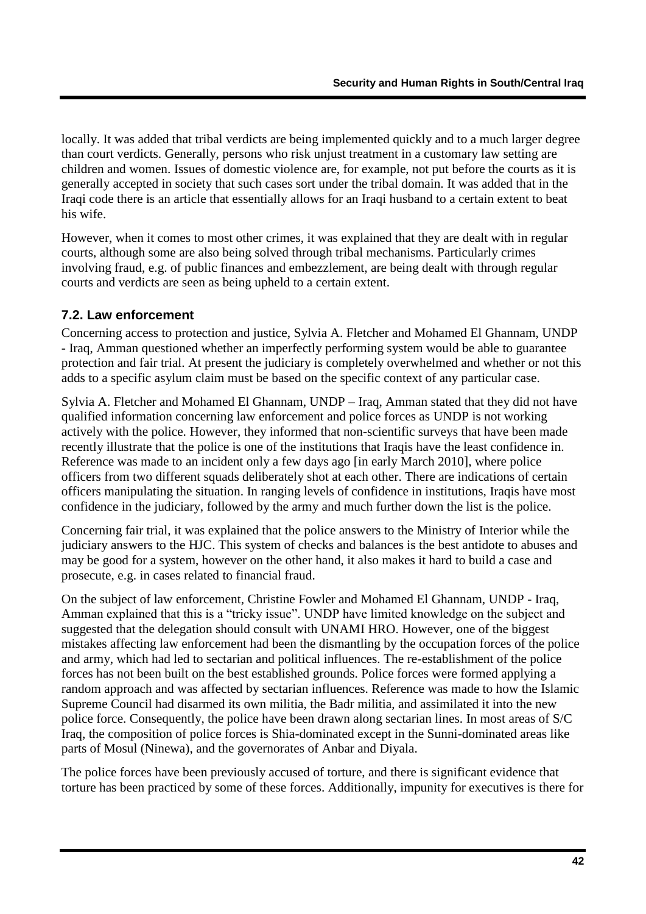locally. It was added that tribal verdicts are being implemented quickly and to a much larger degree than court verdicts. Generally, persons who risk unjust treatment in a customary law setting are children and women. Issues of domestic violence are, for example, not put before the courts as it is generally accepted in society that such cases sort under the tribal domain. It was added that in the Iraqi code there is an article that essentially allows for an Iraqi husband to a certain extent to beat his wife.

However, when it comes to most other crimes, it was explained that they are dealt with in regular courts, although some are also being solved through tribal mechanisms. Particularly crimes involving fraud, e.g. of public finances and embezzlement, are being dealt with through regular courts and verdicts are seen as being upheld to a certain extent.

### <span id="page-43-0"></span>**7.2. Law enforcement**

Concerning access to protection and justice, Sylvia A. Fletcher and Mohamed El Ghannam, UNDP - Iraq, Amman questioned whether an imperfectly performing system would be able to guarantee protection and fair trial. At present the judiciary is completely overwhelmed and whether or not this adds to a specific asylum claim must be based on the specific context of any particular case.

Sylvia A. Fletcher and Mohamed El Ghannam, UNDP – Iraq, Amman stated that they did not have qualified information concerning law enforcement and police forces as UNDP is not working actively with the police. However, they informed that non-scientific surveys that have been made recently illustrate that the police is one of the institutions that Iraqis have the least confidence in. Reference was made to an incident only a few days ago [in early March 2010], where police officers from two different squads deliberately shot at each other. There are indications of certain officers manipulating the situation. In ranging levels of confidence in institutions, Iraqis have most confidence in the judiciary, followed by the army and much further down the list is the police.

Concerning fair trial, it was explained that the police answers to the Ministry of Interior while the judiciary answers to the HJC. This system of checks and balances is the best antidote to abuses and may be good for a system, however on the other hand, it also makes it hard to build a case and prosecute, e.g. in cases related to financial fraud.

On the subject of law enforcement, Christine Fowler and Mohamed El Ghannam, UNDP - Iraq, Amman explained that this is a "tricky issue". UNDP have limited knowledge on the subject and suggested that the delegation should consult with UNAMI HRO. However, one of the biggest mistakes affecting law enforcement had been the dismantling by the occupation forces of the police and army, which had led to sectarian and political influences. The re-establishment of the police forces has not been built on the best established grounds. Police forces were formed applying a random approach and was affected by sectarian influences. Reference was made to how the Islamic Supreme Council had disarmed its own militia, the Badr militia, and assimilated it into the new police force. Consequently, the police have been drawn along sectarian lines. In most areas of S/C Iraq, the composition of police forces is Shia-dominated except in the Sunni-dominated areas like parts of Mosul (Ninewa), and the governorates of Anbar and Diyala.

The police forces have been previously accused of torture, and there is significant evidence that torture has been practiced by some of these forces. Additionally, impunity for executives is there for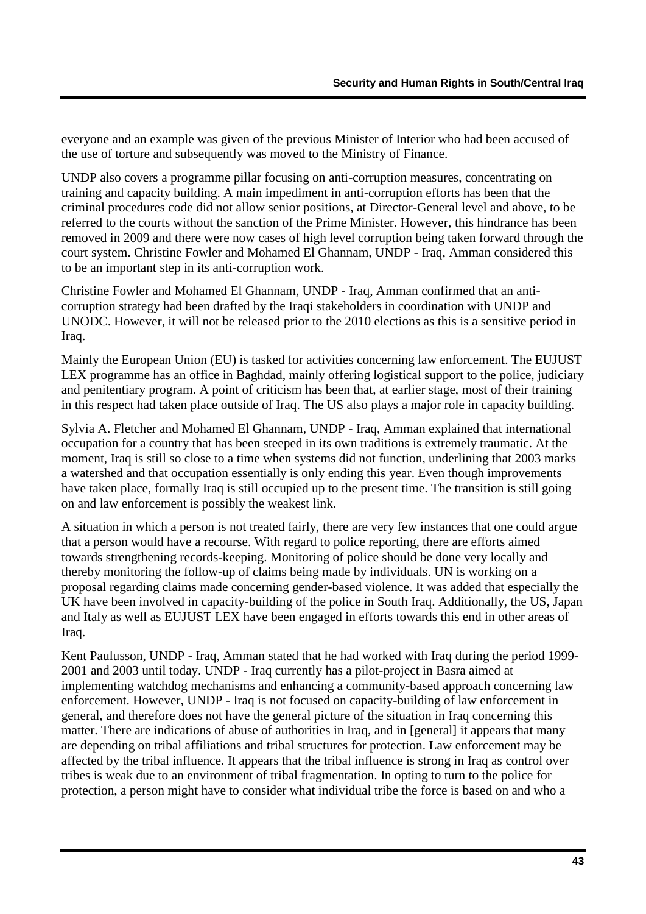everyone and an example was given of the previous Minister of Interior who had been accused of the use of torture and subsequently was moved to the Ministry of Finance.

UNDP also covers a programme pillar focusing on anti-corruption measures, concentrating on training and capacity building. A main impediment in anti-corruption efforts has been that the criminal procedures code did not allow senior positions, at Director-General level and above, to be referred to the courts without the sanction of the Prime Minister. However, this hindrance has been removed in 2009 and there were now cases of high level corruption being taken forward through the court system. Christine Fowler and Mohamed El Ghannam, UNDP - Iraq, Amman considered this to be an important step in its anti-corruption work.

Christine Fowler and Mohamed El Ghannam, UNDP - Iraq, Amman confirmed that an anticorruption strategy had been drafted by the Iraqi stakeholders in coordination with UNDP and UNODC. However, it will not be released prior to the 2010 elections as this is a sensitive period in Iraq.

Mainly the European Union (EU) is tasked for activities concerning law enforcement. The EUJUST LEX programme has an office in Baghdad, mainly offering logistical support to the police, judiciary and penitentiary program. A point of criticism has been that, at earlier stage, most of their training in this respect had taken place outside of Iraq. The US also plays a major role in capacity building.

Sylvia A. Fletcher and Mohamed El Ghannam, UNDP - Iraq, Amman explained that international occupation for a country that has been steeped in its own traditions is extremely traumatic. At the moment, Iraq is still so close to a time when systems did not function, underlining that 2003 marks a watershed and that occupation essentially is only ending this year. Even though improvements have taken place, formally Iraq is still occupied up to the present time. The transition is still going on and law enforcement is possibly the weakest link.

A situation in which a person is not treated fairly, there are very few instances that one could argue that a person would have a recourse. With regard to police reporting, there are efforts aimed towards strengthening records-keeping. Monitoring of police should be done very locally and thereby monitoring the follow-up of claims being made by individuals. UN is working on a proposal regarding claims made concerning gender-based violence. It was added that especially the UK have been involved in capacity-building of the police in South Iraq. Additionally, the US, Japan and Italy as well as EUJUST LEX have been engaged in efforts towards this end in other areas of Iraq.

Kent Paulusson, UNDP - Iraq, Amman stated that he had worked with Iraq during the period 1999- 2001 and 2003 until today. UNDP - Iraq currently has a pilot-project in Basra aimed at implementing watchdog mechanisms and enhancing a community-based approach concerning law enforcement. However, UNDP - Iraq is not focused on capacity-building of law enforcement in general, and therefore does not have the general picture of the situation in Iraq concerning this matter. There are indications of abuse of authorities in Iraq, and in [general] it appears that many are depending on tribal affiliations and tribal structures for protection. Law enforcement may be affected by the tribal influence. It appears that the tribal influence is strong in Iraq as control over tribes is weak due to an environment of tribal fragmentation. In opting to turn to the police for protection, a person might have to consider what individual tribe the force is based on and who a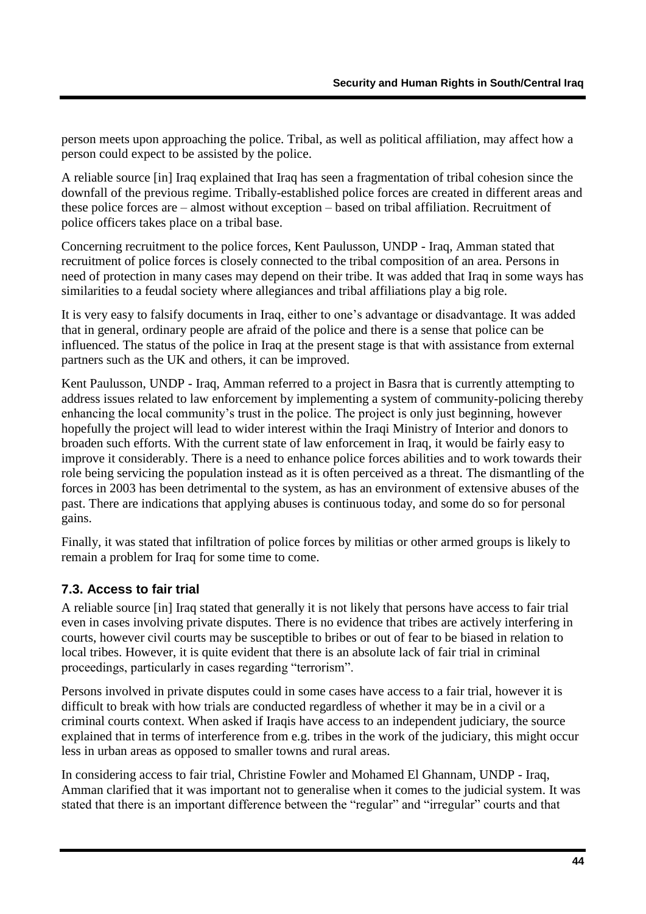person meets upon approaching the police. Tribal, as well as political affiliation, may affect how a person could expect to be assisted by the police.

A reliable source [in] Iraq explained that Iraq has seen a fragmentation of tribal cohesion since the downfall of the previous regime. Tribally-established police forces are created in different areas and these police forces are – almost without exception – based on tribal affiliation. Recruitment of police officers takes place on a tribal base.

Concerning recruitment to the police forces, Kent Paulusson, UNDP - Iraq, Amman stated that recruitment of police forces is closely connected to the tribal composition of an area. Persons in need of protection in many cases may depend on their tribe. It was added that Iraq in some ways has similarities to a feudal society where allegiances and tribal affiliations play a big role.

It is very easy to falsify documents in Iraq, either to one"s advantage or disadvantage. It was added that in general, ordinary people are afraid of the police and there is a sense that police can be influenced. The status of the police in Iraq at the present stage is that with assistance from external partners such as the UK and others, it can be improved.

Kent Paulusson, UNDP - Iraq, Amman referred to a project in Basra that is currently attempting to address issues related to law enforcement by implementing a system of community-policing thereby enhancing the local community"s trust in the police. The project is only just beginning, however hopefully the project will lead to wider interest within the Iraqi Ministry of Interior and donors to broaden such efforts. With the current state of law enforcement in Iraq, it would be fairly easy to improve it considerably. There is a need to enhance police forces abilities and to work towards their role being servicing the population instead as it is often perceived as a threat. The dismantling of the forces in 2003 has been detrimental to the system, as has an environment of extensive abuses of the past. There are indications that applying abuses is continuous today, and some do so for personal gains.

Finally, it was stated that infiltration of police forces by militias or other armed groups is likely to remain a problem for Iraq for some time to come.

### <span id="page-45-0"></span>**7.3. Access to fair trial**

A reliable source [in] Iraq stated that generally it is not likely that persons have access to fair trial even in cases involving private disputes. There is no evidence that tribes are actively interfering in courts, however civil courts may be susceptible to bribes or out of fear to be biased in relation to local tribes. However, it is quite evident that there is an absolute lack of fair trial in criminal proceedings, particularly in cases regarding "terrorism".

Persons involved in private disputes could in some cases have access to a fair trial, however it is difficult to break with how trials are conducted regardless of whether it may be in a civil or a criminal courts context. When asked if Iraqis have access to an independent judiciary, the source explained that in terms of interference from e.g. tribes in the work of the judiciary, this might occur less in urban areas as opposed to smaller towns and rural areas.

In considering access to fair trial, Christine Fowler and Mohamed El Ghannam, UNDP - Iraq, Amman clarified that it was important not to generalise when it comes to the judicial system. It was stated that there is an important difference between the "regular" and "irregular" courts and that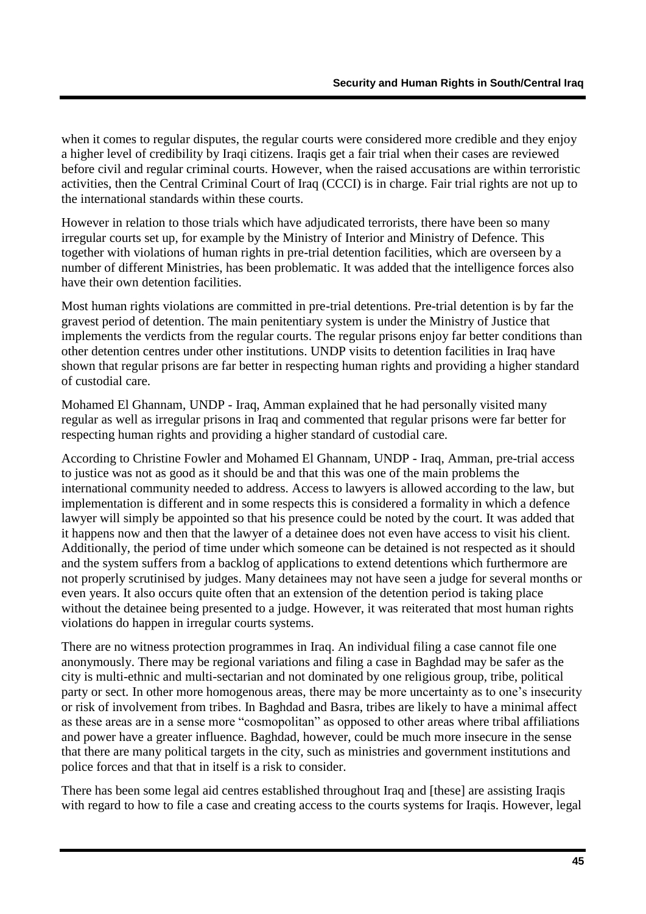when it comes to regular disputes, the regular courts were considered more credible and they enjoy a higher level of credibility by Iraqi citizens. Iraqis get a fair trial when their cases are reviewed before civil and regular criminal courts. However, when the raised accusations are within terroristic activities, then the Central Criminal Court of Iraq (CCCI) is in charge. Fair trial rights are not up to the international standards within these courts.

However in relation to those trials which have adjudicated terrorists, there have been so many irregular courts set up, for example by the Ministry of Interior and Ministry of Defence. This together with violations of human rights in pre-trial detention facilities, which are overseen by a number of different Ministries, has been problematic. It was added that the intelligence forces also have their own detention facilities.

Most human rights violations are committed in pre-trial detentions. Pre-trial detention is by far the gravest period of detention. The main penitentiary system is under the Ministry of Justice that implements the verdicts from the regular courts. The regular prisons enjoy far better conditions than other detention centres under other institutions. UNDP visits to detention facilities in Iraq have shown that regular prisons are far better in respecting human rights and providing a higher standard of custodial care.

Mohamed El Ghannam, UNDP - Iraq, Amman explained that he had personally visited many regular as well as irregular prisons in Iraq and commented that regular prisons were far better for respecting human rights and providing a higher standard of custodial care.

According to Christine Fowler and Mohamed El Ghannam, UNDP - Iraq, Amman, pre-trial access to justice was not as good as it should be and that this was one of the main problems the international community needed to address. Access to lawyers is allowed according to the law, but implementation is different and in some respects this is considered a formality in which a defence lawyer will simply be appointed so that his presence could be noted by the court. It was added that it happens now and then that the lawyer of a detainee does not even have access to visit his client. Additionally, the period of time under which someone can be detained is not respected as it should and the system suffers from a backlog of applications to extend detentions which furthermore are not properly scrutinised by judges. Many detainees may not have seen a judge for several months or even years. It also occurs quite often that an extension of the detention period is taking place without the detainee being presented to a judge. However, it was reiterated that most human rights violations do happen in irregular courts systems.

There are no witness protection programmes in Iraq. An individual filing a case cannot file one anonymously. There may be regional variations and filing a case in Baghdad may be safer as the city is multi-ethnic and multi-sectarian and not dominated by one religious group, tribe, political party or sect. In other more homogenous areas, there may be more uncertainty as to one"s insecurity or risk of involvement from tribes. In Baghdad and Basra, tribes are likely to have a minimal affect as these areas are in a sense more "cosmopolitan" as opposed to other areas where tribal affiliations and power have a greater influence. Baghdad, however, could be much more insecure in the sense that there are many political targets in the city, such as ministries and government institutions and police forces and that that in itself is a risk to consider.

There has been some legal aid centres established throughout Iraq and [these] are assisting Iraqis with regard to how to file a case and creating access to the courts systems for Iraqis. However, legal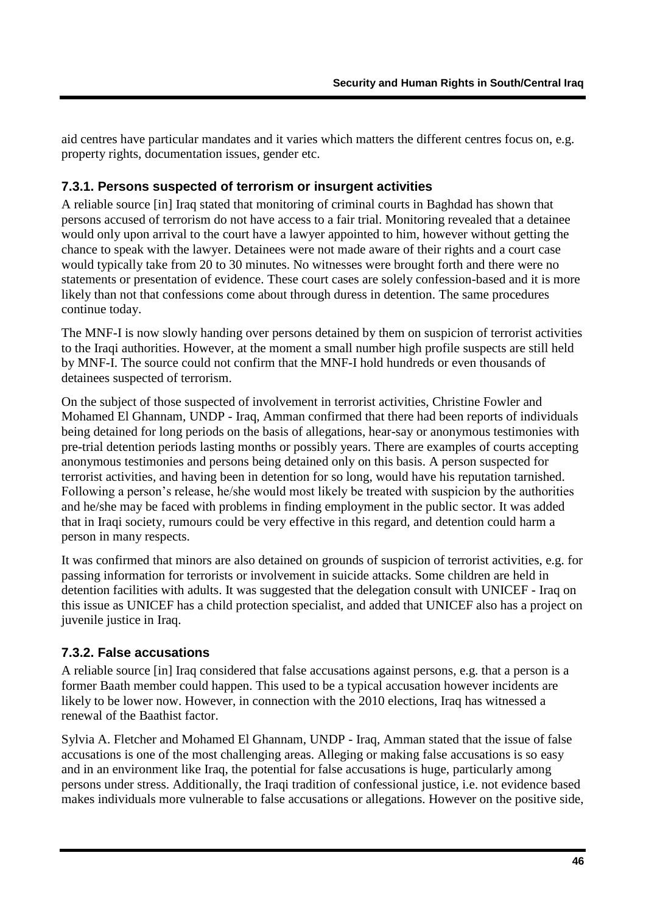aid centres have particular mandates and it varies which matters the different centres focus on, e.g. property rights, documentation issues, gender etc.

#### <span id="page-47-0"></span>**7.3.1. Persons suspected of terrorism or insurgent activities**

A reliable source [in] Iraq stated that monitoring of criminal courts in Baghdad has shown that persons accused of terrorism do not have access to a fair trial. Monitoring revealed that a detainee would only upon arrival to the court have a lawyer appointed to him, however without getting the chance to speak with the lawyer. Detainees were not made aware of their rights and a court case would typically take from 20 to 30 minutes. No witnesses were brought forth and there were no statements or presentation of evidence. These court cases are solely confession-based and it is more likely than not that confessions come about through duress in detention. The same procedures continue today.

The MNF-I is now slowly handing over persons detained by them on suspicion of terrorist activities to the Iraqi authorities. However, at the moment a small number high profile suspects are still held by MNF-I. The source could not confirm that the MNF-I hold hundreds or even thousands of detainees suspected of terrorism.

On the subject of those suspected of involvement in terrorist activities, Christine Fowler and Mohamed El Ghannam, UNDP - Iraq, Amman confirmed that there had been reports of individuals being detained for long periods on the basis of allegations, hear-say or anonymous testimonies with pre-trial detention periods lasting months or possibly years. There are examples of courts accepting anonymous testimonies and persons being detained only on this basis. A person suspected for terrorist activities, and having been in detention for so long, would have his reputation tarnished. Following a person"s release, he/she would most likely be treated with suspicion by the authorities and he/she may be faced with problems in finding employment in the public sector. It was added that in Iraqi society, rumours could be very effective in this regard, and detention could harm a person in many respects.

It was confirmed that minors are also detained on grounds of suspicion of terrorist activities, e.g. for passing information for terrorists or involvement in suicide attacks. Some children are held in detention facilities with adults. It was suggested that the delegation consult with UNICEF - Iraq on this issue as UNICEF has a child protection specialist, and added that UNICEF also has a project on juvenile justice in Iraq.

#### <span id="page-47-1"></span>**7.3.2. False accusations**

A reliable source [in] Iraq considered that false accusations against persons, e.g. that a person is a former Baath member could happen. This used to be a typical accusation however incidents are likely to be lower now. However, in connection with the 2010 elections, Iraq has witnessed a renewal of the Baathist factor.

Sylvia A. Fletcher and Mohamed El Ghannam, UNDP - Iraq, Amman stated that the issue of false accusations is one of the most challenging areas. Alleging or making false accusations is so easy and in an environment like Iraq, the potential for false accusations is huge, particularly among persons under stress. Additionally, the Iraqi tradition of confessional justice, i.e. not evidence based makes individuals more vulnerable to false accusations or allegations. However on the positive side,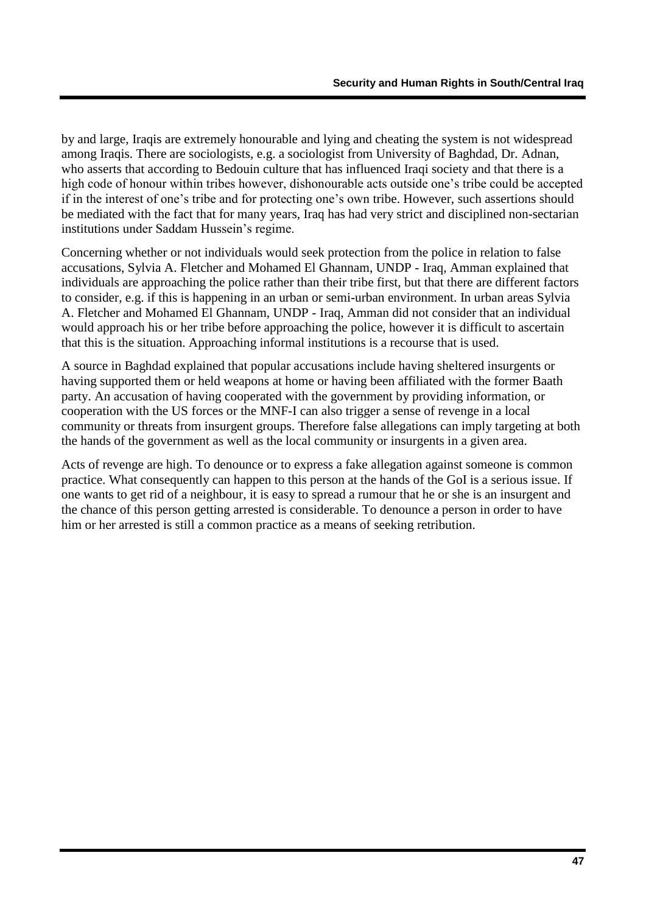by and large, Iraqis are extremely honourable and lying and cheating the system is not widespread among Iraqis. There are sociologists, e.g. a sociologist from University of Baghdad, Dr. Adnan, who asserts that according to Bedouin culture that has influenced Iraqi society and that there is a high code of honour within tribes however, dishonourable acts outside one"s tribe could be accepted if in the interest of one"s tribe and for protecting one"s own tribe. However, such assertions should be mediated with the fact that for many years, Iraq has had very strict and disciplined non-sectarian institutions under Saddam Hussein's regime.

Concerning whether or not individuals would seek protection from the police in relation to false accusations, Sylvia A. Fletcher and Mohamed El Ghannam, UNDP - Iraq, Amman explained that individuals are approaching the police rather than their tribe first, but that there are different factors to consider, e.g. if this is happening in an urban or semi-urban environment. In urban areas Sylvia A. Fletcher and Mohamed El Ghannam, UNDP - Iraq, Amman did not consider that an individual would approach his or her tribe before approaching the police, however it is difficult to ascertain that this is the situation. Approaching informal institutions is a recourse that is used.

A source in Baghdad explained that popular accusations include having sheltered insurgents or having supported them or held weapons at home or having been affiliated with the former Baath party. An accusation of having cooperated with the government by providing information, or cooperation with the US forces or the MNF-I can also trigger a sense of revenge in a local community or threats from insurgent groups. Therefore false allegations can imply targeting at both the hands of the government as well as the local community or insurgents in a given area.

Acts of revenge are high. To denounce or to express a fake allegation against someone is common practice. What consequently can happen to this person at the hands of the GoI is a serious issue. If one wants to get rid of a neighbour, it is easy to spread a rumour that he or she is an insurgent and the chance of this person getting arrested is considerable. To denounce a person in order to have him or her arrested is still a common practice as a means of seeking retribution.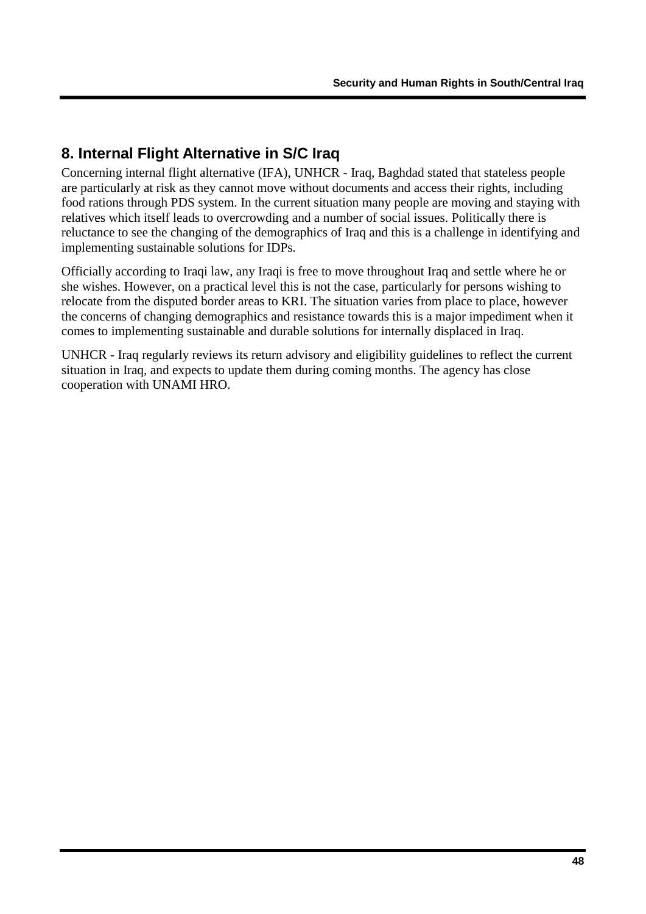## <span id="page-49-0"></span>**8. Internal Flight Alternative in S/C Iraq**

Concerning internal flight alternative (IFA), UNHCR - Iraq, Baghdad stated that stateless people are particularly at risk as they cannot move without documents and access their rights, including food rations through PDS system. In the current situation many people are moving and staying with relatives which itself leads to overcrowding and a number of social issues. Politically there is reluctance to see the changing of the demographics of Iraq and this is a challenge in identifying and implementing sustainable solutions for IDPs.

Officially according to Iraqi law, any Iraqi is free to move throughout Iraq and settle where he or she wishes. However, on a practical level this is not the case, particularly for persons wishing to relocate from the disputed border areas to KRI. The situation varies from place to place, however the concerns of changing demographics and resistance towards this is a major impediment when it comes to implementing sustainable and durable solutions for internally displaced in Iraq.

UNHCR - Iraq regularly reviews its return advisory and eligibility guidelines to reflect the current situation in Iraq, and expects to update them during coming months. The agency has close cooperation with UNAMI HRO.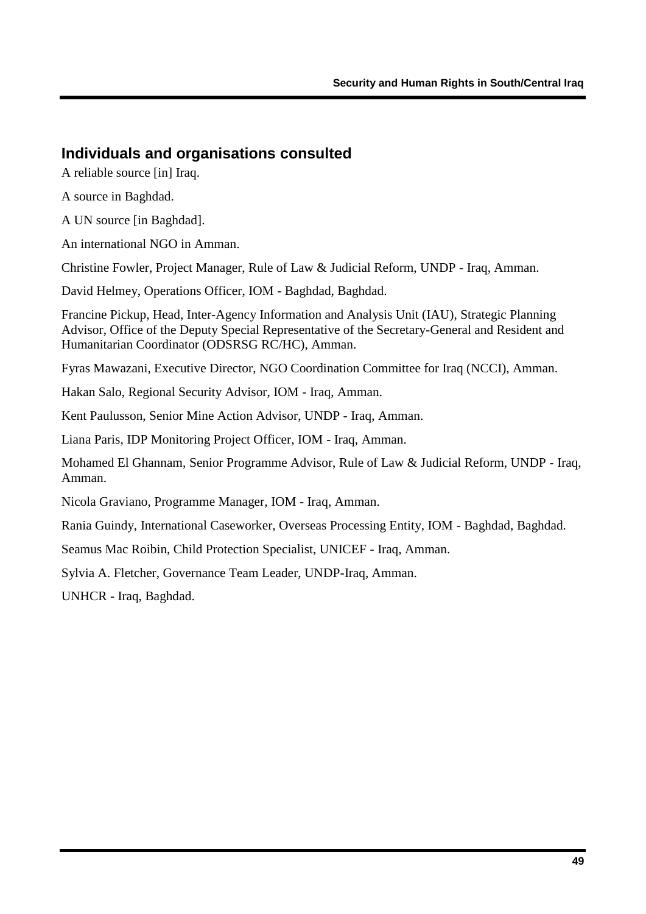## <span id="page-50-0"></span>**Individuals and organisations consulted**

A reliable source [in] Iraq.

A source in Baghdad.

A UN source [in Baghdad].

An international NGO in Amman.

Christine Fowler, Project Manager, Rule of Law & Judicial Reform, UNDP - Iraq, Amman.

David Helmey, Operations Officer, IOM - Baghdad, Baghdad.

Francine Pickup, Head, Inter-Agency Information and Analysis Unit (IAU), Strategic Planning Advisor, Office of the Deputy Special Representative of the Secretary-General and Resident and Humanitarian Coordinator (ODSRSG RC/HC), Amman.

Fyras Mawazani, Executive Director, NGO Coordination Committee for Iraq (NCCI), Amman.

Hakan Salo, Regional Security Advisor, IOM - Iraq, Amman.

Kent Paulusson, Senior Mine Action Advisor, UNDP - Iraq, Amman.

Liana Paris, IDP Monitoring Project Officer, IOM - Iraq, Amman.

Mohamed El Ghannam, Senior Programme Advisor, Rule of Law & Judicial Reform, UNDP - Iraq, Amman.

Nicola Graviano, Programme Manager, IOM - Iraq, Amman.

Rania Guindy, International Caseworker, Overseas Processing Entity, IOM - Baghdad, Baghdad.

Seamus Mac Roibin, Child Protection Specialist, UNICEF - Iraq, Amman.

Sylvia A. Fletcher, Governance Team Leader, UNDP-Iraq, Amman.

UNHCR - Iraq, Baghdad.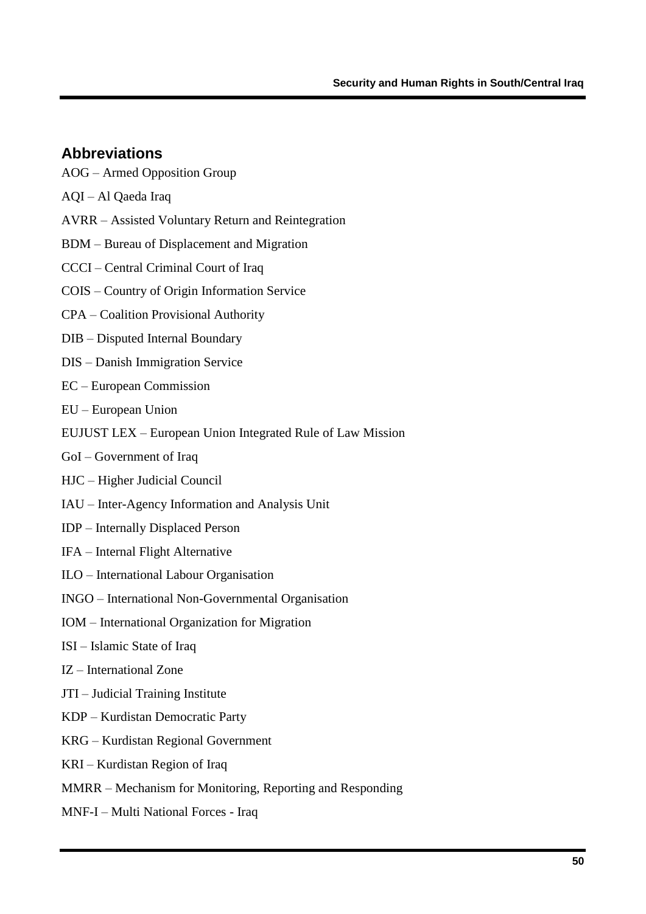### <span id="page-51-0"></span>**Abbreviations**

- AOG Armed Opposition Group
- AQI Al Qaeda Iraq
- AVRR Assisted Voluntary Return and Reintegration
- BDM Bureau of Displacement and Migration
- CCCI Central Criminal Court of Iraq
- COIS Country of Origin Information Service
- CPA Coalition Provisional Authority
- DIB Disputed Internal Boundary
- DIS Danish Immigration Service
- EC European Commission
- EU European Union
- EUJUST LEX European Union Integrated Rule of Law Mission
- GoI Government of Iraq
- HJC Higher Judicial Council
- IAU Inter-Agency Information and Analysis Unit
- IDP Internally Displaced Person
- IFA Internal Flight Alternative
- ILO International Labour Organisation
- INGO International Non-Governmental Organisation
- IOM International Organization for Migration
- ISI Islamic State of Iraq
- IZ International Zone
- JTI Judicial Training Institute
- KDP Kurdistan Democratic Party
- KRG Kurdistan Regional Government
- KRI Kurdistan Region of Iraq
- MMRR Mechanism for Monitoring, Reporting and Responding
- MNF-I Multi National Forces Iraq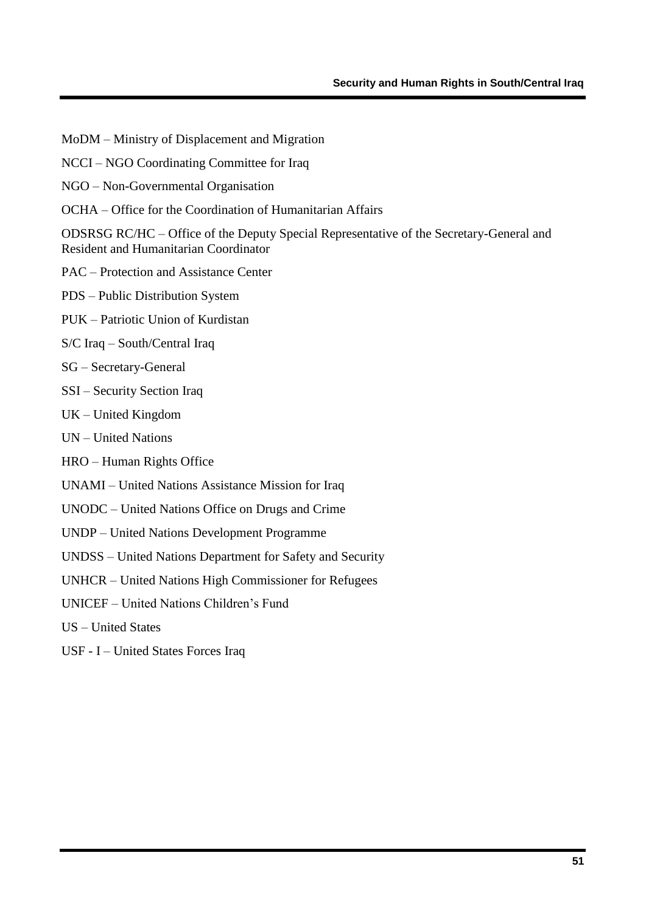- MoDM Ministry of Displacement and Migration
- NCCI NGO Coordinating Committee for Iraq
- NGO Non-Governmental Organisation
- OCHA Office for the Coordination of Humanitarian Affairs

ODSRSG RC/HC – Office of the Deputy Special Representative of the Secretary-General and Resident and Humanitarian Coordinator

- PAC Protection and Assistance Center
- PDS Public Distribution System
- PUK Patriotic Union of Kurdistan
- S/C Iraq South/Central Iraq
- SG Secretary-General
- SSI Security Section Iraq
- UK United Kingdom
- UN United Nations
- HRO Human Rights Office
- UNAMI United Nations Assistance Mission for Iraq
- UNODC United Nations Office on Drugs and Crime
- UNDP United Nations Development Programme
- UNDSS United Nations Department for Safety and Security
- UNHCR United Nations High Commissioner for Refugees
- UNICEF United Nations Children"s Fund
- US United States
- USF I United States Forces Iraq